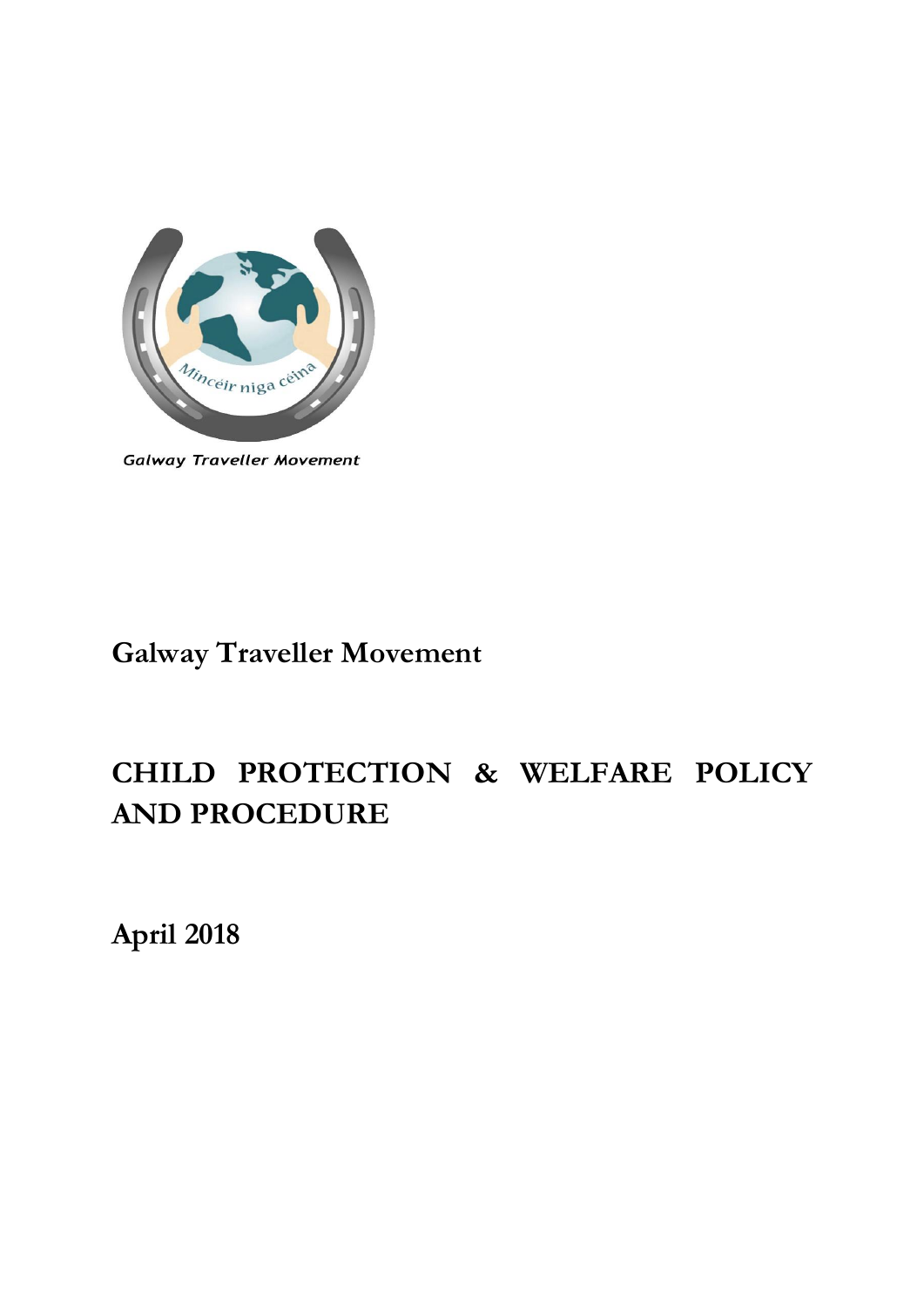

**Galway Traveller Movement** 

# **Galway Traveller Movement**

# **CHILD PROTECTION & WELFARE POLICY AND PROCEDURE**

**April 2018**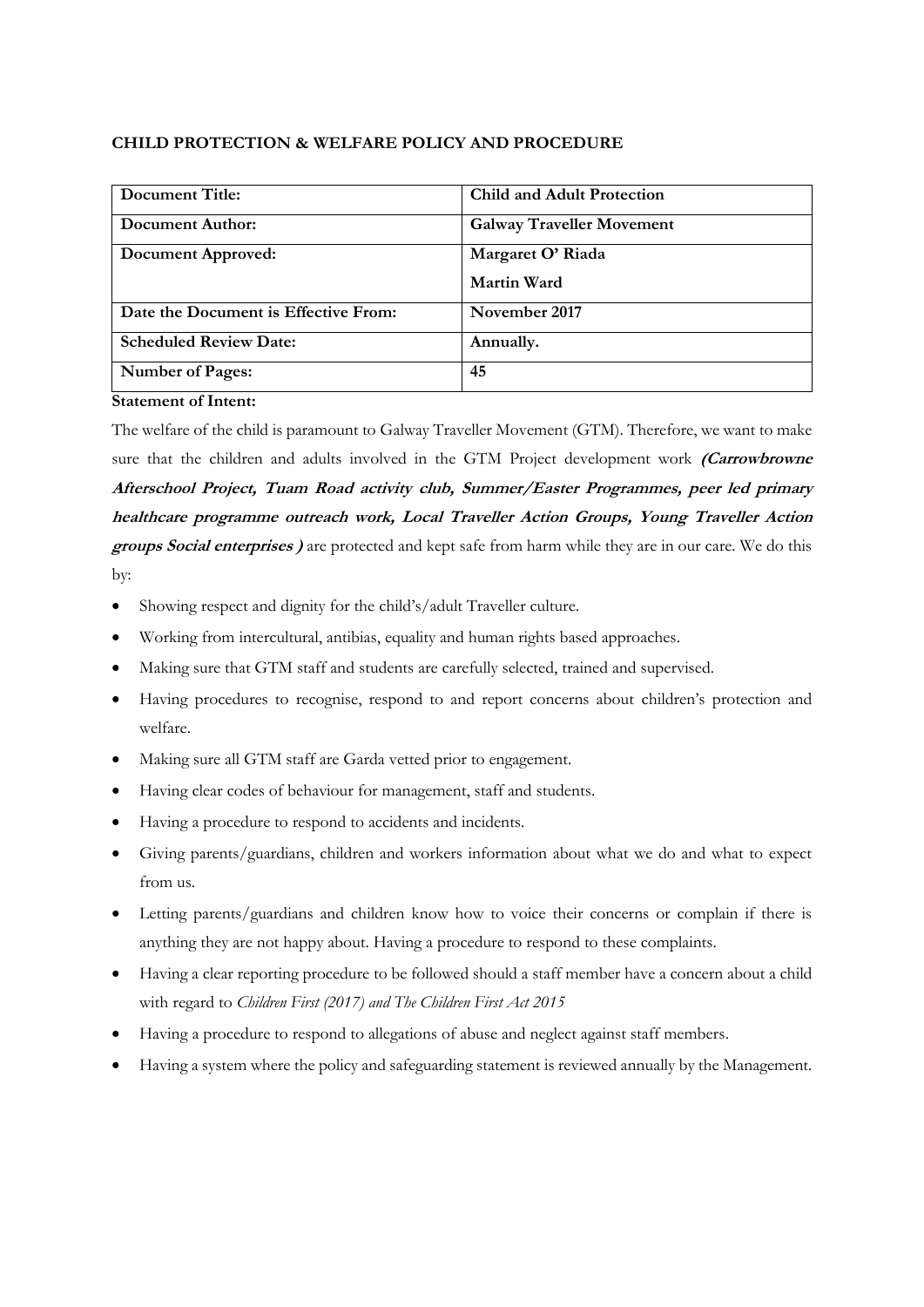## **CHILD PROTECTION & WELFARE POLICY AND PROCEDURE**

| Document Title:                      | <b>Child and Adult Protection</b> |
|--------------------------------------|-----------------------------------|
| Document Author:                     | <b>Galway Traveller Movement</b>  |
| Document Approved:                   | Margaret O' Riada                 |
|                                      | Martin Ward                       |
| Date the Document is Effective From: | November 2017                     |
| <b>Scheduled Review Date:</b>        | Annually.                         |
| <b>Number of Pages:</b>              | 45                                |

**Statement of Intent:**

The welfare of the child is paramount to Galway Traveller Movement (GTM). Therefore, we want to make sure that the children and adults involved in the GTM Project development work **(Carrowbrowne Afterschool Project, Tuam Road activity club, Summer/Easter Programmes, peer led primary healthcare programme outreach work, Local Traveller Action Groups, Young Traveller Action groups Social enterprises )** are protected and kept safe from harm while they are in our care. We do this by:

- Showing respect and dignity for the child's/adult Traveller culture.
- Working from intercultural, antibias, equality and human rights based approaches.
- Making sure that GTM staff and students are carefully selected, trained and supervised.
- Having procedures to recognise, respond to and report concerns about children's protection and welfare.
- Making sure all GTM staff are Garda vetted prior to engagement.
- Having clear codes of behaviour for management, staff and students.
- Having a procedure to respond to accidents and incidents.
- Giving parents/guardians, children and workers information about what we do and what to expect from us.
- Letting parents/guardians and children know how to voice their concerns or complain if there is anything they are not happy about. Having a procedure to respond to these complaints.
- Having a clear reporting procedure to be followed should a staff member have a concern about a child with regard to *Children First (2017) and The Children First Act 2015*
- Having a procedure to respond to allegations of abuse and neglect against staff members.
- Having a system where the policy and safeguarding statement is reviewed annually by the Management.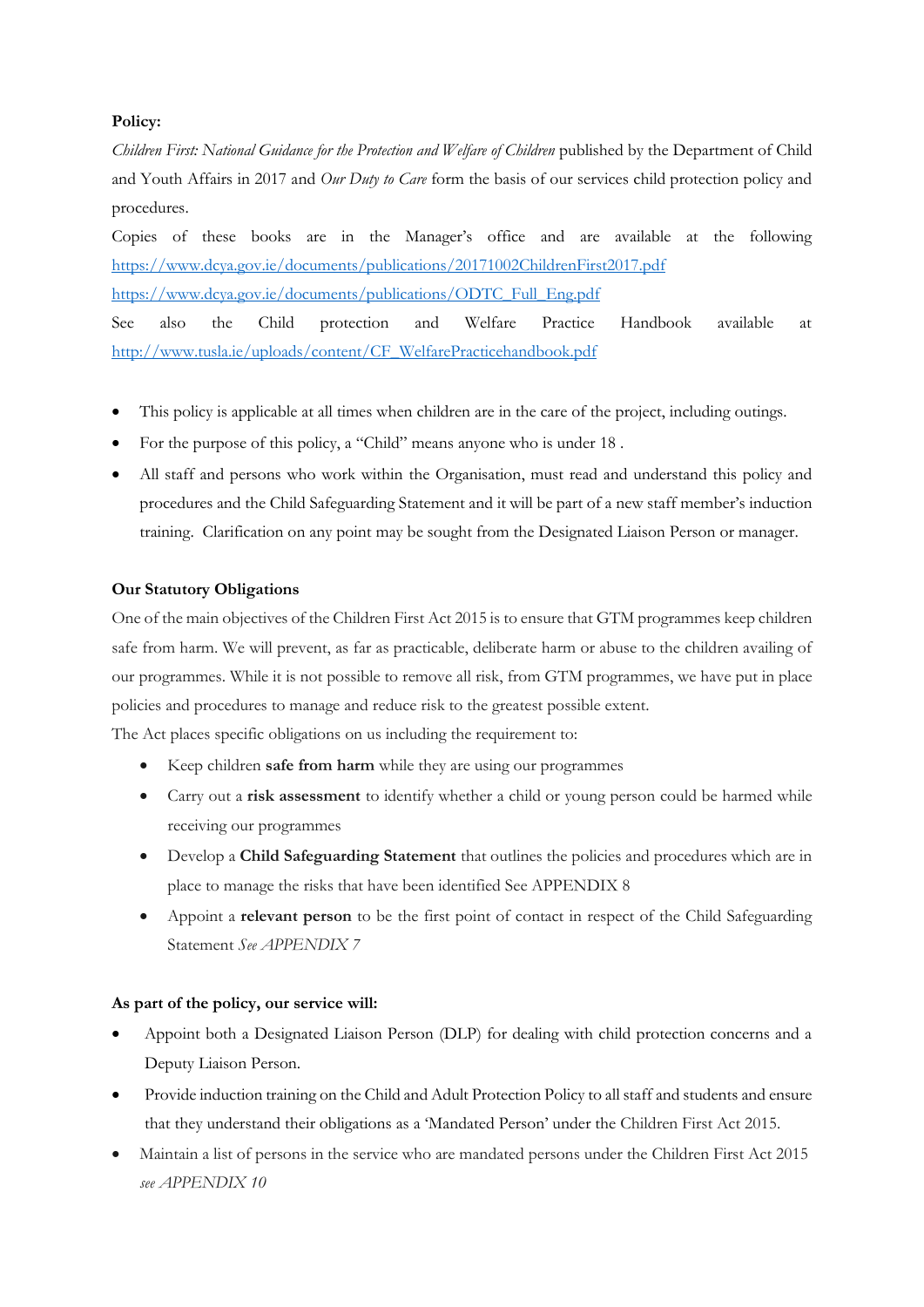# **Policy:**

*Children First: National Guidance for the Protection and Welfare of Children* published by the Department of Child and Youth Affairs in 2017 and *Our Duty to Care* form the basis of our services child protection policy and procedures.

Copies of these books are in the Manager's office and are available at the following <https://www.dcya.gov.ie/documents/publications/20171002ChildrenFirst2017.pdf> [https://www.dcya.gov.ie/documents/publications/ODTC\\_Full\\_Eng.pdf](https://www.dcya.gov.ie/documents/publications/ODTC_Full_Eng.pdf)

See also the Child protection and Welfare Practice Handbook available at [http://www.tusla.ie/uploads/content/CF\\_WelfarePracticehandbook.pdf](http://www.tusla.ie/uploads/content/CF_WelfarePracticehandbook.pdf)

- This policy is applicable at all times when children are in the care of the project, including outings.
- For the purpose of this policy, a "Child" means anyone who is under 18 .
- All staff and persons who work within the Organisation, must read and understand this policy and procedures and the Child Safeguarding Statement and it will be part of a new staff member's induction training. Clarification on any point may be sought from the Designated Liaison Person or manager.

# **Our Statutory Obligations**

One of the main objectives of the Children First Act 2015 is to ensure that GTM programmes keep children safe from harm. We will prevent, as far as practicable, deliberate harm or abuse to the children availing of our programmes. While it is not possible to remove all risk, from GTM programmes, we have put in place policies and procedures to manage and reduce risk to the greatest possible extent.

The Act places specific obligations on us including the requirement to:

- Keep children **safe from harm** while they are using our programmes
- Carry out a **risk assessment** to identify whether a child or young person could be harmed while receiving our programmes
- Develop a **Child Safeguarding Statement** that outlines the policies and procedures which are in place to manage the risks that have been identified See APPENDIX 8
- Appoint a **relevant person** to be the first point of contact in respect of the Child Safeguarding Statement *See APPENDIX 7*

### **As part of the policy, our service will:**

- Appoint both a Designated Liaison Person (DLP) for dealing with child protection concerns and a Deputy Liaison Person.
- Provide induction training on the Child and Adult Protection Policy to all staff and students and ensure that they understand their obligations as a 'Mandated Person' under the Children First Act 2015.
- Maintain a list of persons in the service who are mandated persons under the Children First Act 2015 *see APPENDIX 10*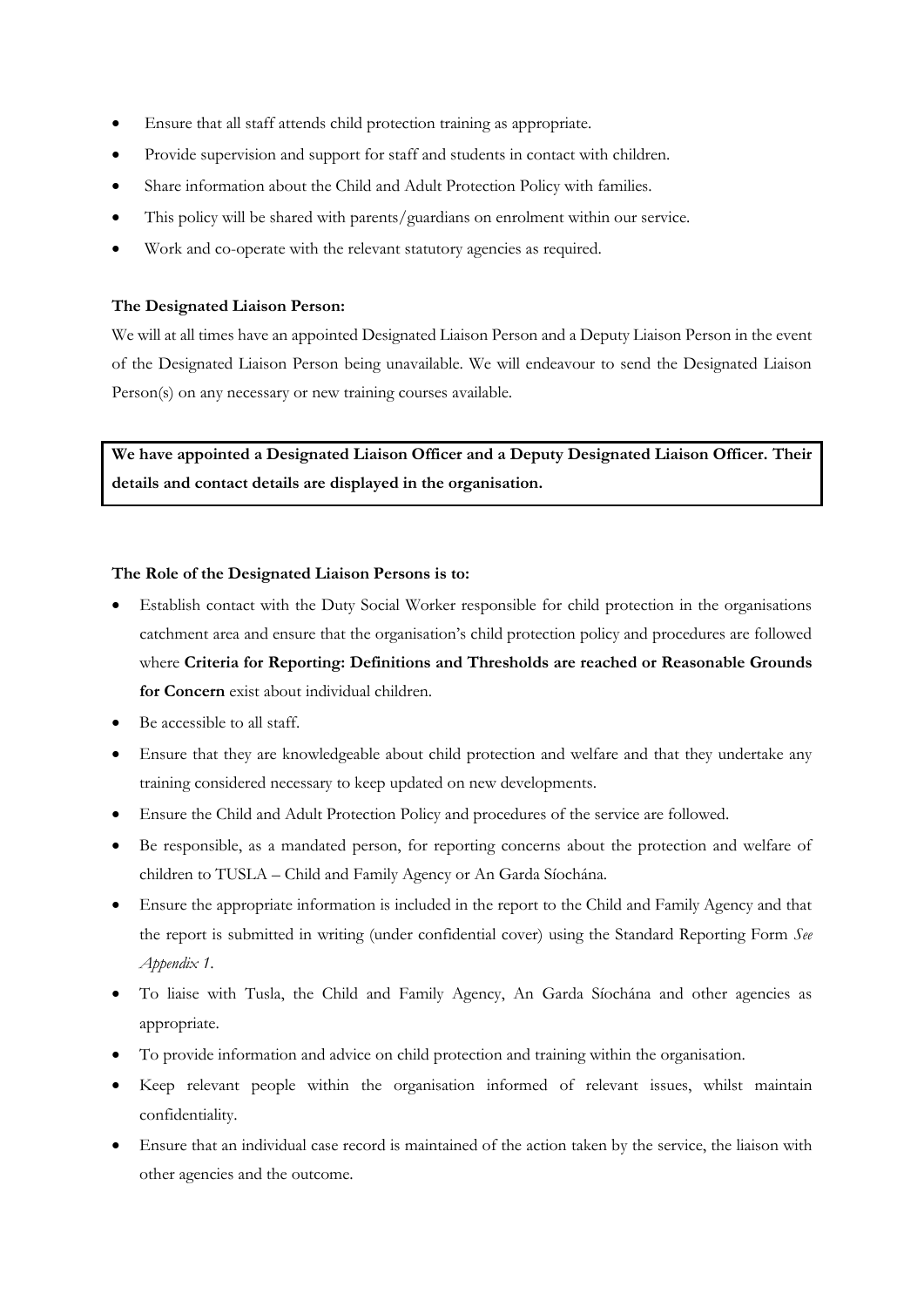- Ensure that all staff attends child protection training as appropriate.
- Provide supervision and support for staff and students in contact with children.
- Share information about the Child and Adult Protection Policy with families.
- This policy will be shared with parents/guardians on enrolment within our service.
- Work and co-operate with the relevant statutory agencies as required.

#### **The Designated Liaison Person:**

We will at all times have an appointed Designated Liaison Person and a Deputy Liaison Person in the event of the Designated Liaison Person being unavailable. We will endeavour to send the Designated Liaison Person(s) on any necessary or new training courses available.

**We have appointed a Designated Liaison Officer and a Deputy Designated Liaison Officer. Their details and contact details are displayed in the organisation.** 

#### **The Role of the Designated Liaison Persons is to:**

- Establish contact with the Duty Social Worker responsible for child protection in the organisations catchment area and ensure that the organisation's child protection policy and procedures are followed where **Criteria for Reporting: Definitions and Thresholds are reached or Reasonable Grounds for Concern** exist about individual children.
- Be accessible to all staff.
- Ensure that they are knowledgeable about child protection and welfare and that they undertake any training considered necessary to keep updated on new developments.
- Ensure the Child and Adult Protection Policy and procedures of the service are followed.
- Be responsible, as a mandated person, for reporting concerns about the protection and welfare of children to TUSLA – Child and Family Agency or An Garda Síochána.
- Ensure the appropriate information is included in the report to the Child and Family Agency and that the report is submitted in writing (under confidential cover) using the Standard Reporting Form *See Appendix 1*.
- To liaise with Tusla, the Child and Family Agency, An Garda Síochána and other agencies as appropriate.
- To provide information and advice on child protection and training within the organisation.
- Keep relevant people within the organisation informed of relevant issues, whilst maintain confidentiality.
- Ensure that an individual case record is maintained of the action taken by the service, the liaison with other agencies and the outcome.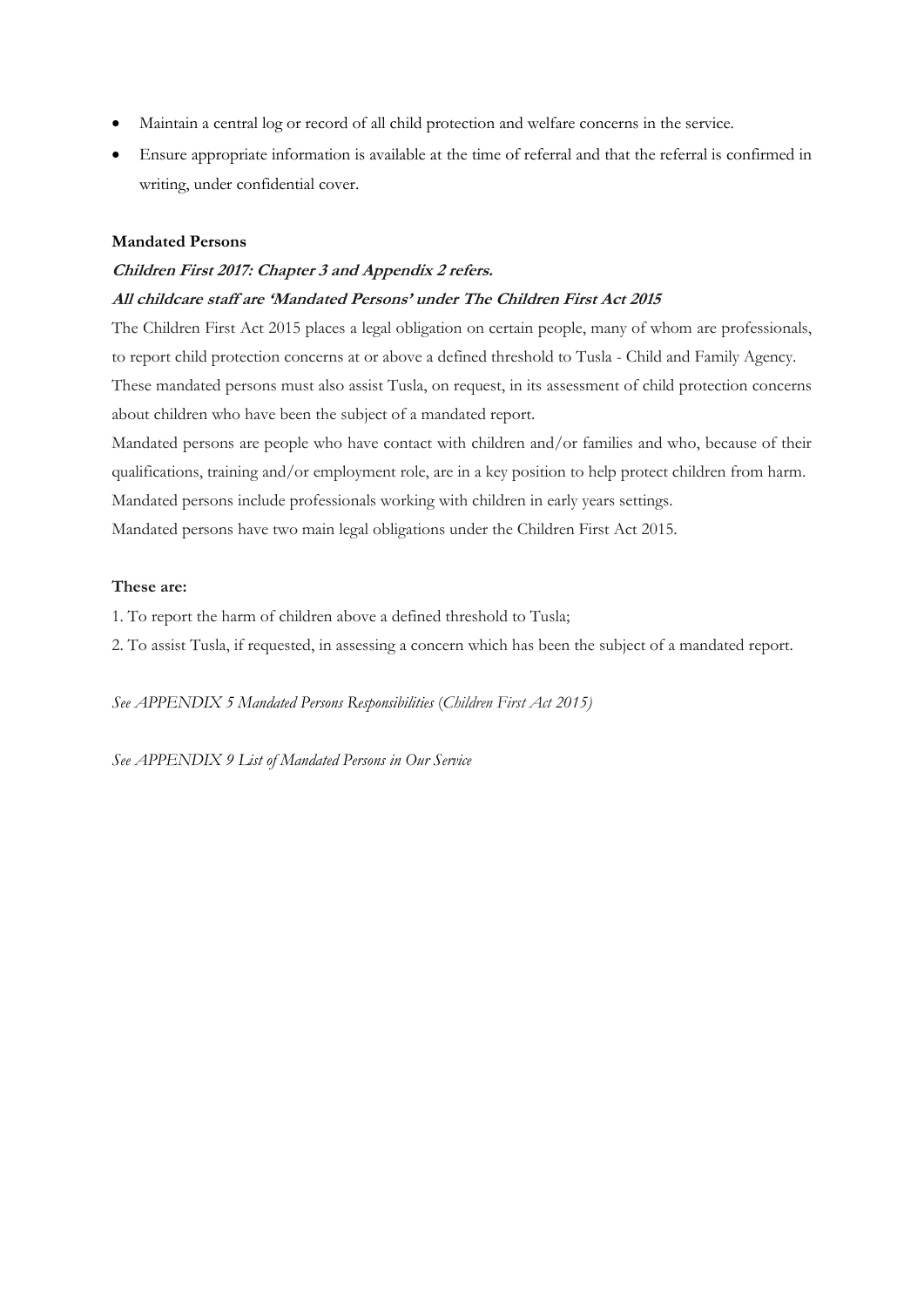- Maintain a central log or record of all child protection and welfare concerns in the service.
- Ensure appropriate information is available at the time of referral and that the referral is confirmed in writing, under confidential cover.

#### **Mandated Persons**

# **Children First 2017: Chapter 3 and Appendix 2 refers.**

# **All childcare staff are 'Mandated Persons' under The Children First Act 2015**

The Children First Act 2015 places a legal obligation on certain people, many of whom are professionals, to report child protection concerns at or above a defined threshold to Tusla - Child and Family Agency. These mandated persons must also assist Tusla, on request, in its assessment of child protection concerns about children who have been the subject of a mandated report.

Mandated persons are people who have contact with children and/or families and who, because of their qualifications, training and/or employment role, are in a key position to help protect children from harm. Mandated persons include professionals working with children in early years settings.

Mandated persons have two main legal obligations under the Children First Act 2015.

#### **These are:**

1. To report the harm of children above a defined threshold to Tusla;

2. To assist Tusla, if requested, in assessing a concern which has been the subject of a mandated report.

*See APPENDIX 5 Mandated Persons Responsibilities* (*Children First Act 2015)*

*See APPENDIX 9 List of Mandated Persons in Our Service*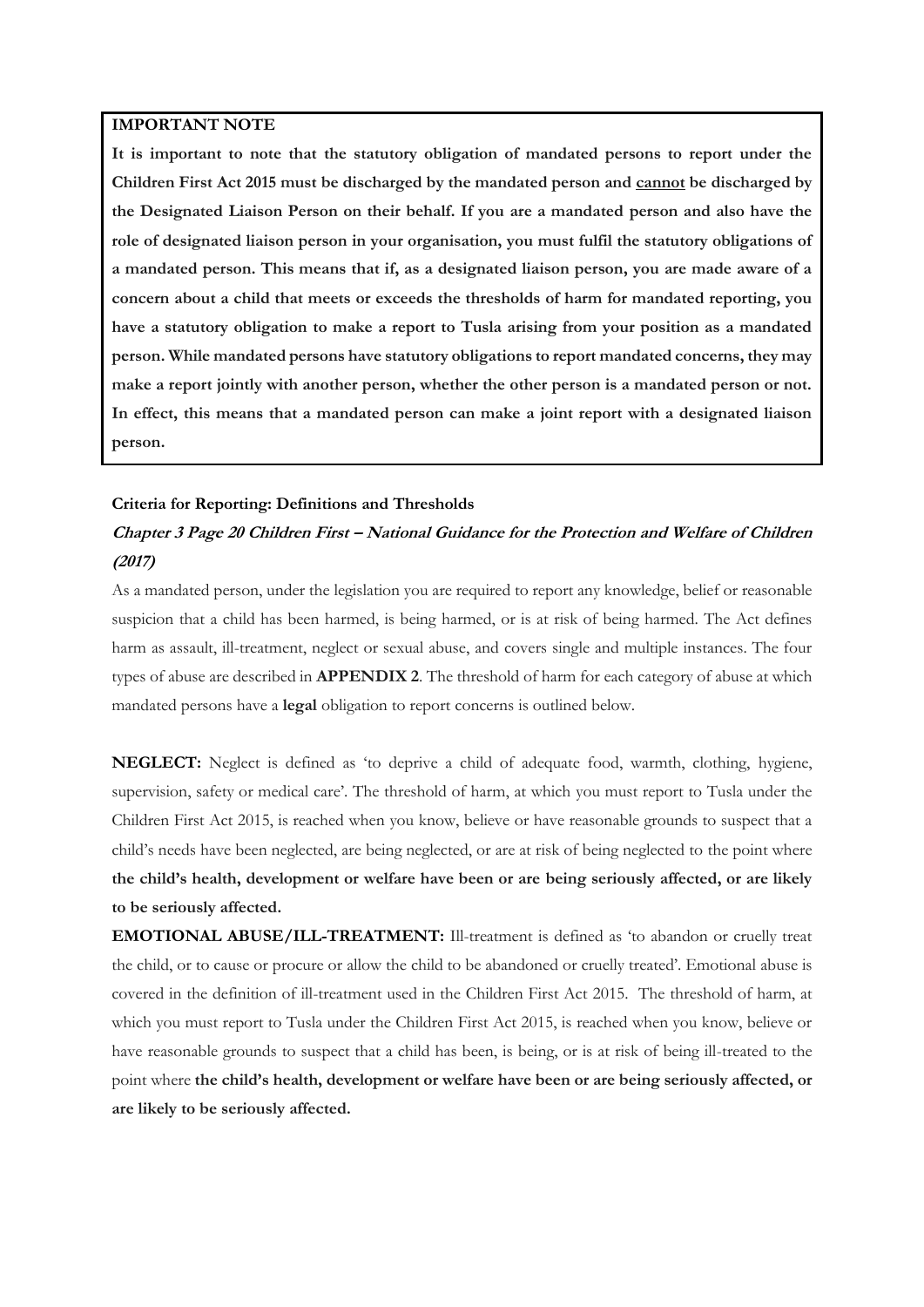#### **IMPORTANT NOTE**

**It is important to note that the statutory obligation of mandated persons to report under the Children First Act 2015 must be discharged by the mandated person and cannot be discharged by the Designated Liaison Person on their behalf. If you are a mandated person and also have the role of designated liaison person in your organisation, you must fulfil the statutory obligations of a mandated person. This means that if, as a designated liaison person, you are made aware of a concern about a child that meets or exceeds the thresholds of harm for mandated reporting, you have a statutory obligation to make a report to Tusla arising from your position as a mandated person. While mandated persons have statutory obligations to report mandated concerns, they may make a report jointly with another person, whether the other person is a mandated person or not. In effect, this means that a mandated person can make a joint report with a designated liaison person.**

#### **Criteria for Reporting: Definitions and Thresholds**

# **Chapter 3 Page 20 Children First – National Guidance for the Protection and Welfare of Children (2017)**

As a mandated person, under the legislation you are required to report any knowledge, belief or reasonable suspicion that a child has been harmed, is being harmed, or is at risk of being harmed. The Act defines harm as assault, ill-treatment, neglect or sexual abuse, and covers single and multiple instances. The four types of abuse are described in **APPENDIX 2**. The threshold of harm for each category of abuse at which mandated persons have a **legal** obligation to report concerns is outlined below.

**NEGLECT:** Neglect is defined as 'to deprive a child of adequate food, warmth, clothing, hygiene, supervision, safety or medical care'. The threshold of harm, at which you must report to Tusla under the Children First Act 2015, is reached when you know, believe or have reasonable grounds to suspect that a child's needs have been neglected, are being neglected, or are at risk of being neglected to the point where **the child's health, development or welfare have been or are being seriously affected, or are likely to be seriously affected.**

**EMOTIONAL ABUSE/ILL-TREATMENT:** Ill-treatment is defined as 'to abandon or cruelly treat the child, or to cause or procure or allow the child to be abandoned or cruelly treated'. Emotional abuse is covered in the definition of ill-treatment used in the Children First Act 2015. The threshold of harm, at which you must report to Tusla under the Children First Act 2015, is reached when you know, believe or have reasonable grounds to suspect that a child has been, is being, or is at risk of being ill-treated to the point where **the child's health, development or welfare have been or are being seriously affected, or are likely to be seriously affected.**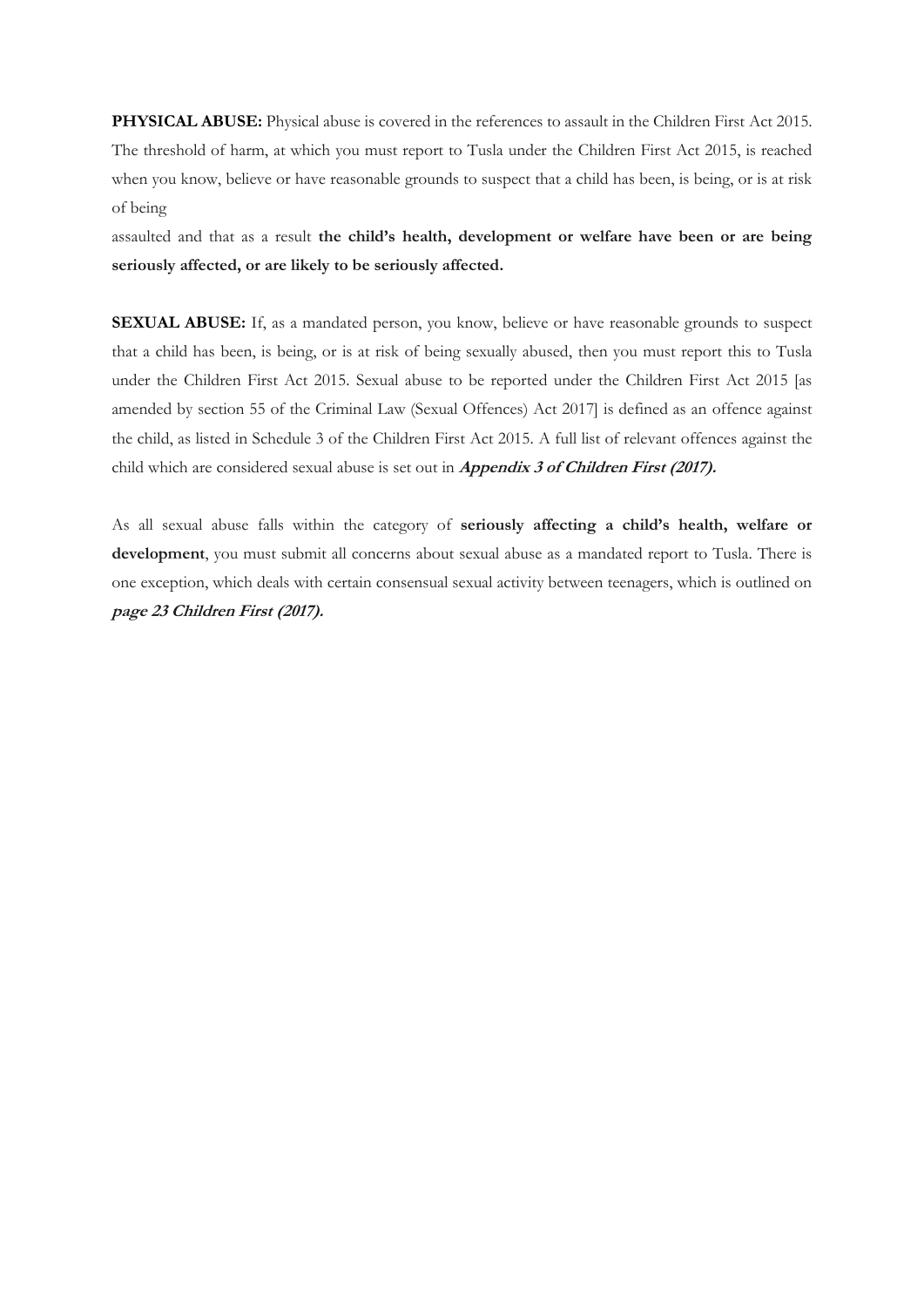**PHYSICAL ABUSE:** Physical abuse is covered in the references to assault in the Children First Act 2015. The threshold of harm, at which you must report to Tusla under the Children First Act 2015, is reached when you know, believe or have reasonable grounds to suspect that a child has been, is being, or is at risk of being

assaulted and that as a result **the child's health, development or welfare have been or are being seriously affected, or are likely to be seriously affected.**

**SEXUAL ABUSE:** If, as a mandated person, you know, believe or have reasonable grounds to suspect that a child has been, is being, or is at risk of being sexually abused, then you must report this to Tusla under the Children First Act 2015. Sexual abuse to be reported under the Children First Act 2015 [as amended by section 55 of the Criminal Law (Sexual Offences) Act 2017] is defined as an offence against the child, as listed in Schedule 3 of the Children First Act 2015. A full list of relevant offences against the child which are considered sexual abuse is set out in **Appendix 3 of Children First (2017).**

As all sexual abuse falls within the category of **seriously affecting a child's health, welfare or development**, you must submit all concerns about sexual abuse as a mandated report to Tusla. There is one exception, which deals with certain consensual sexual activity between teenagers, which is outlined on **page 23 Children First (2017).**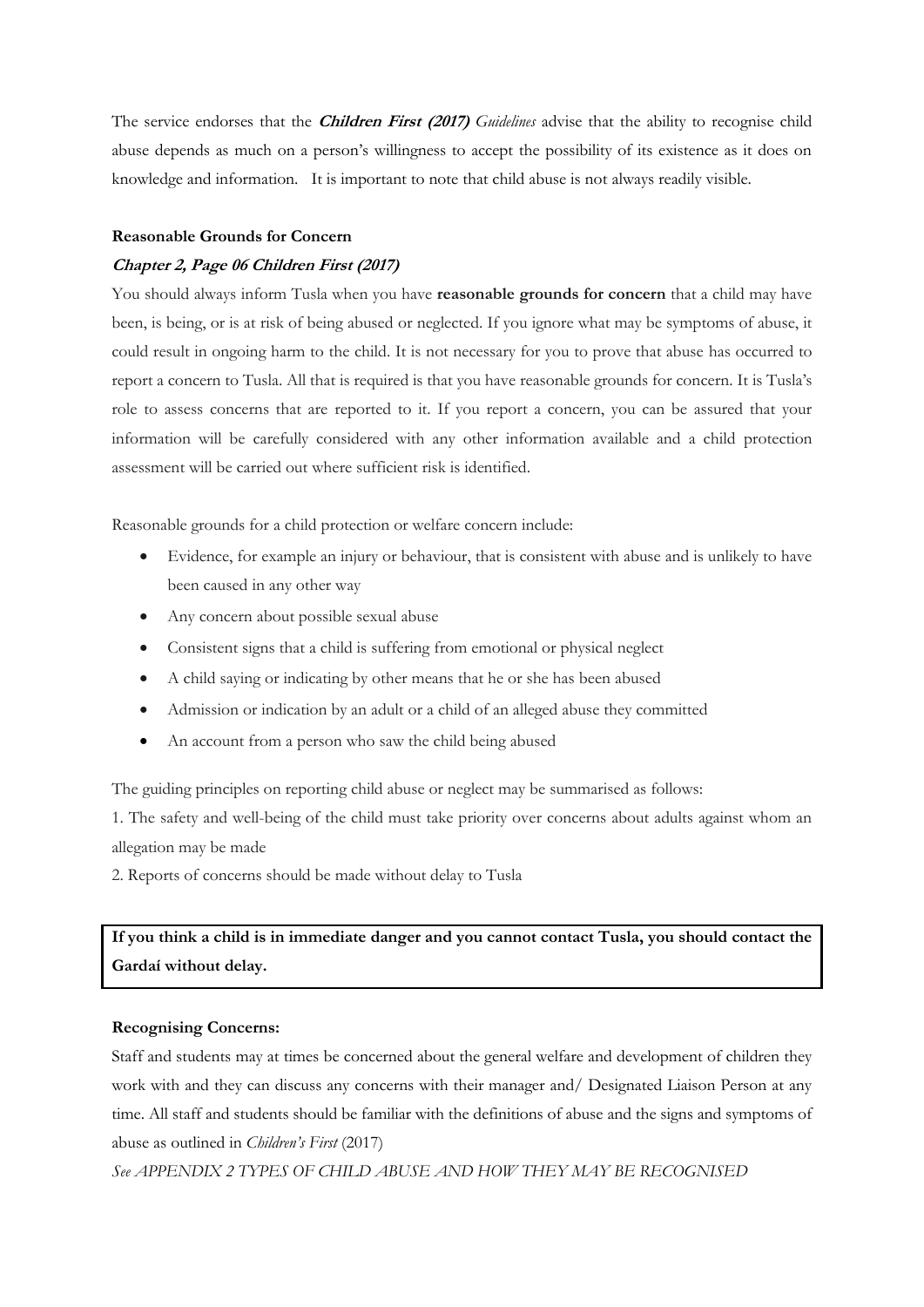The service endorses that the **Children First (2017)** *Guidelines* advise that the ability to recognise child abuse depends as much on a person's willingness to accept the possibility of its existence as it does on knowledge and information. It is important to note that child abuse is not always readily visible.

#### **Reasonable Grounds for Concern**

#### **Chapter 2, Page 06 Children First (2017)**

You should always inform Tusla when you have **reasonable grounds for concern** that a child may have been, is being, or is at risk of being abused or neglected. If you ignore what may be symptoms of abuse, it could result in ongoing harm to the child. It is not necessary for you to prove that abuse has occurred to report a concern to Tusla. All that is required is that you have reasonable grounds for concern. It is Tusla's role to assess concerns that are reported to it. If you report a concern, you can be assured that your information will be carefully considered with any other information available and a child protection assessment will be carried out where sufficient risk is identified.

Reasonable grounds for a child protection or welfare concern include:

- Evidence, for example an injury or behaviour, that is consistent with abuse and is unlikely to have been caused in any other way
- Any concern about possible sexual abuse
- Consistent signs that a child is suffering from emotional or physical neglect
- A child saying or indicating by other means that he or she has been abused
- Admission or indication by an adult or a child of an alleged abuse they committed
- An account from a person who saw the child being abused

The guiding principles on reporting child abuse or neglect may be summarised as follows:

1. The safety and well-being of the child must take priority over concerns about adults against whom an allegation may be made

2. Reports of concerns should be made without delay to Tusla

**If you think a child is in immediate danger and you cannot contact Tusla, you should contact the Gardaí without delay.**

#### **Recognising Concerns:**

Staff and students may at times be concerned about the general welfare and development of children they work with and they can discuss any concerns with their manager and/ Designated Liaison Person at any time. All staff and students should be familiar with the definitions of abuse and the signs and symptoms of abuse as outlined in *Children's First* (2017)

*See APPENDIX 2 TYPES OF CHILD ABUSE AND HOW THEY MAY BE RECOGNISED*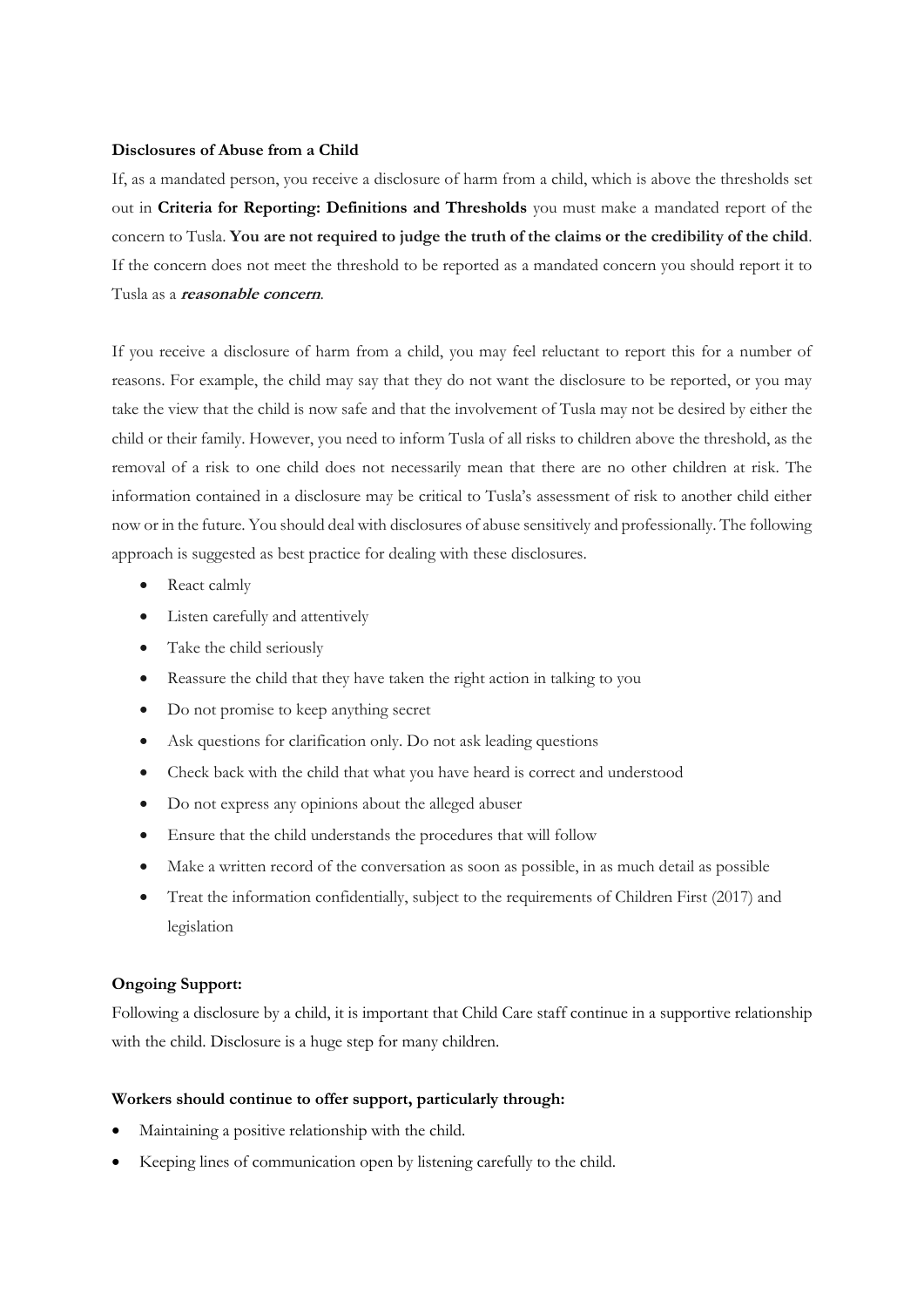#### **Disclosures of Abuse from a Child**

If, as a mandated person, you receive a disclosure of harm from a child, which is above the thresholds set out in **Criteria for Reporting: Definitions and Thresholds** you must make a mandated report of the concern to Tusla. **You are not required to judge the truth of the claims or the credibility of the child**. If the concern does not meet the threshold to be reported as a mandated concern you should report it to Tusla as a **reasonable concern**.

If you receive a disclosure of harm from a child, you may feel reluctant to report this for a number of reasons. For example, the child may say that they do not want the disclosure to be reported, or you may take the view that the child is now safe and that the involvement of Tusla may not be desired by either the child or their family. However, you need to inform Tusla of all risks to children above the threshold, as the removal of a risk to one child does not necessarily mean that there are no other children at risk. The information contained in a disclosure may be critical to Tusla's assessment of risk to another child either now or in the future. You should deal with disclosures of abuse sensitively and professionally. The following approach is suggested as best practice for dealing with these disclosures.

- React calmly
- Listen carefully and attentively
- Take the child seriously
- Reassure the child that they have taken the right action in talking to you
- Do not promise to keep anything secret
- Ask questions for clarification only. Do not ask leading questions
- Check back with the child that what you have heard is correct and understood
- Do not express any opinions about the alleged abuser
- Ensure that the child understands the procedures that will follow
- Make a written record of the conversation as soon as possible, in as much detail as possible
- Treat the information confidentially, subject to the requirements of Children First (2017) and legislation

### **Ongoing Support:**

Following a disclosure by a child, it is important that Child Care staff continue in a supportive relationship with the child. Disclosure is a huge step for many children.

### **Workers should continue to offer support, particularly through:**

- Maintaining a positive relationship with the child.
- Keeping lines of communication open by listening carefully to the child.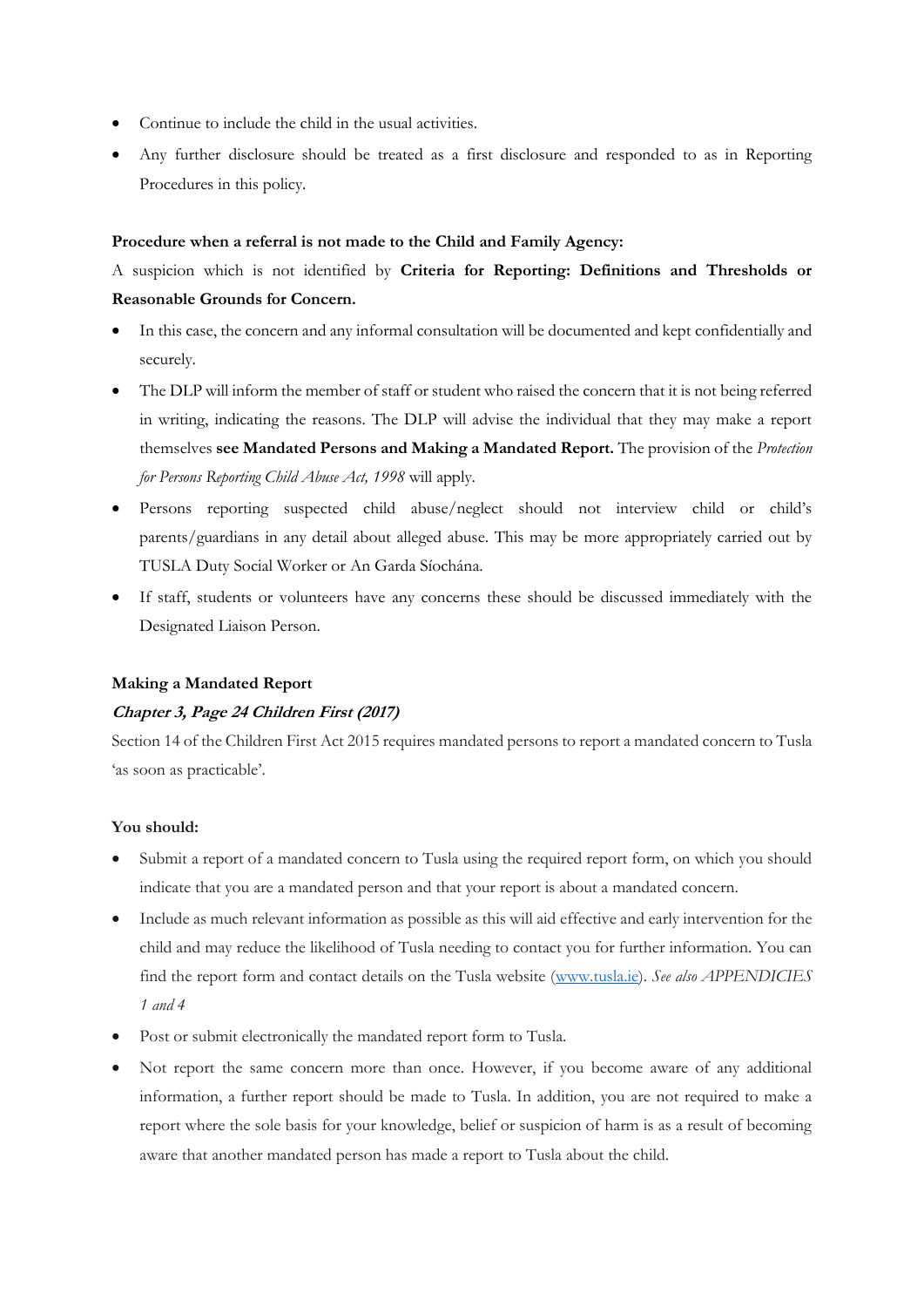- Continue to include the child in the usual activities.
- Any further disclosure should be treated as a first disclosure and responded to as in Reporting Procedures in this policy.

#### **Procedure when a referral is not made to the Child and Family Agency:**

# A suspicion which is not identified by **Criteria for Reporting: Definitions and Thresholds or Reasonable Grounds for Concern.**

- In this case, the concern and any informal consultation will be documented and kept confidentially and securely.
- The DLP will inform the member of staff or student who raised the concern that it is not being referred in writing, indicating the reasons. The DLP will advise the individual that they may make a report themselves **see Mandated Persons and Making a Mandated Report.** The provision of the *Protection for Persons Reporting Child Abuse Act, 1998* will apply.
- Persons reporting suspected child abuse/neglect should not interview child or child's parents/guardians in any detail about alleged abuse. This may be more appropriately carried out by TUSLA Duty Social Worker or An Garda Síochána.
- If staff, students or volunteers have any concerns these should be discussed immediately with the Designated Liaison Person.

### **Making a Mandated Report**

### **Chapter 3, Page 24 Children First (2017)**

Section 14 of the Children First Act 2015 requires mandated persons to report a mandated concern to Tusla 'as soon as practicable'.

### **You should:**

- Submit a report of a mandated concern to Tusla using the required report form, on which you should indicate that you are a mandated person and that your report is about a mandated concern.
- Include as much relevant information as possible as this will aid effective and early intervention for the child and may reduce the likelihood of Tusla needing to contact you for further information. You can find the report form and contact details on the Tusla website [\(www.tusla.ie\)](http://www.tusla.ie/). *See also APPENDICIES 1 and 4*
- Post or submit electronically the mandated report form to Tusla.
- Not report the same concern more than once. However, if you become aware of any additional information, a further report should be made to Tusla. In addition, you are not required to make a report where the sole basis for your knowledge, belief or suspicion of harm is as a result of becoming aware that another mandated person has made a report to Tusla about the child.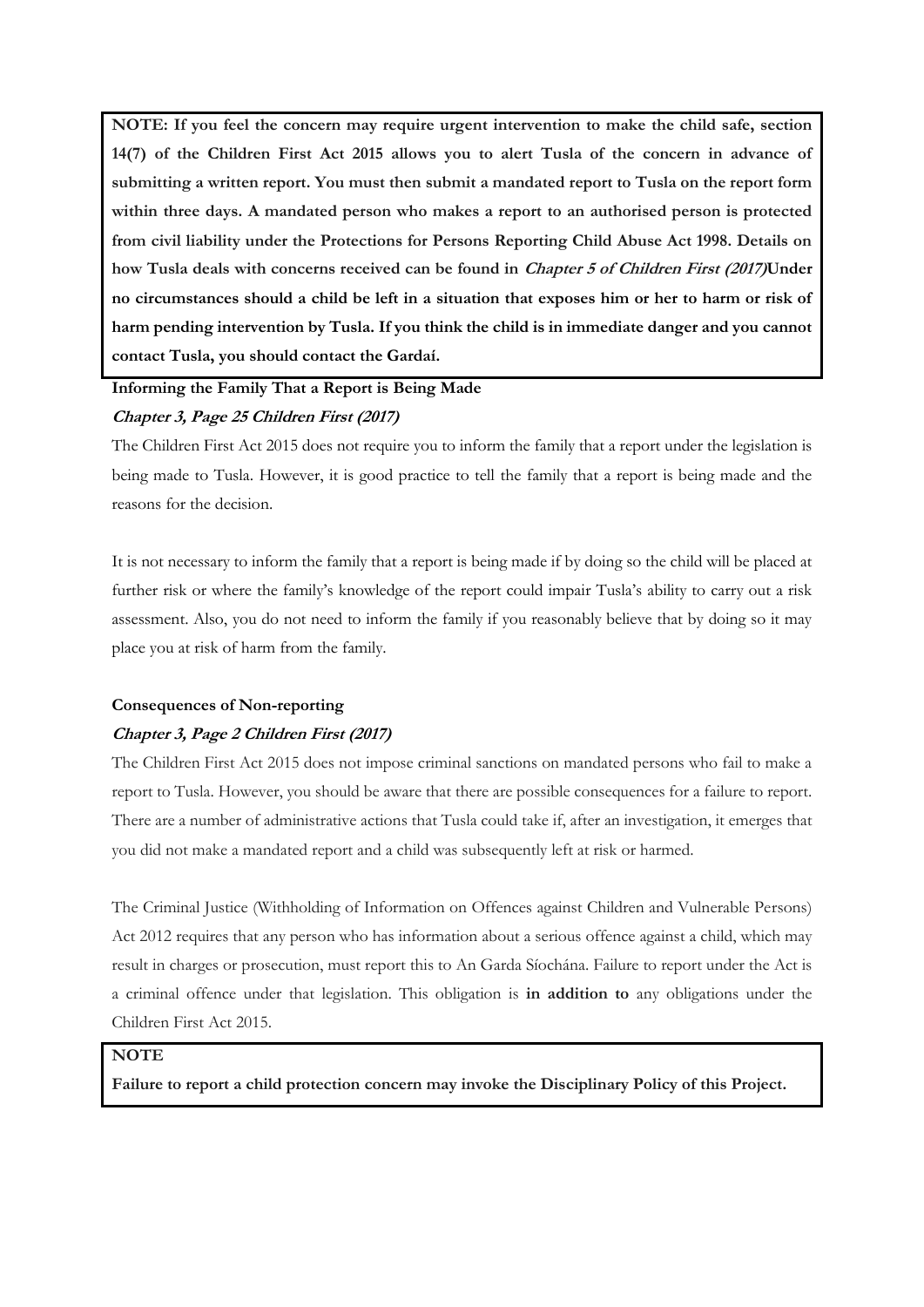**NOTE: If you feel the concern may require urgent intervention to make the child safe, section 14(7) of the Children First Act 2015 allows you to alert Tusla of the concern in advance of submitting a written report. You must then submit a mandated report to Tusla on the report form within three days. A mandated person who makes a report to an authorised person is protected from civil liability under the Protections for Persons Reporting Child Abuse Act 1998. Details on how Tusla deals with concerns received can be found in Chapter 5 of Children First (2017)Under no circumstances should a child be left in a situation that exposes him or her to harm or risk of harm pending intervention by Tusla. If you think the child is in immediate danger and you cannot contact Tusla, you should contact the Gardaí.**

### **Informing the Family That a Report is Being Made**

#### **Chapter 3, Page 25 Children First (2017)**

The Children First Act 2015 does not require you to inform the family that a report under the legislation is being made to Tusla. However, it is good practice to tell the family that a report is being made and the reasons for the decision.

It is not necessary to inform the family that a report is being made if by doing so the child will be placed at further risk or where the family's knowledge of the report could impair Tusla's ability to carry out a risk assessment. Also, you do not need to inform the family if you reasonably believe that by doing so it may place you at risk of harm from the family.

#### **Consequences of Non-reporting**

#### **Chapter 3, Page 2 Children First (2017)**

The Children First Act 2015 does not impose criminal sanctions on mandated persons who fail to make a report to Tusla. However, you should be aware that there are possible consequences for a failure to report. There are a number of administrative actions that Tusla could take if, after an investigation, it emerges that you did not make a mandated report and a child was subsequently left at risk or harmed.

The Criminal Justice (Withholding of Information on Offences against Children and Vulnerable Persons) Act 2012 requires that any person who has information about a serious offence against a child, which may result in charges or prosecution, must report this to An Garda Síochána. Failure to report under the Act is a criminal offence under that legislation. This obligation is **in addition to** any obligations under the Children First Act 2015.

#### **NOTE**

**Failure to report a child protection concern may invoke the Disciplinary Policy of this Project.**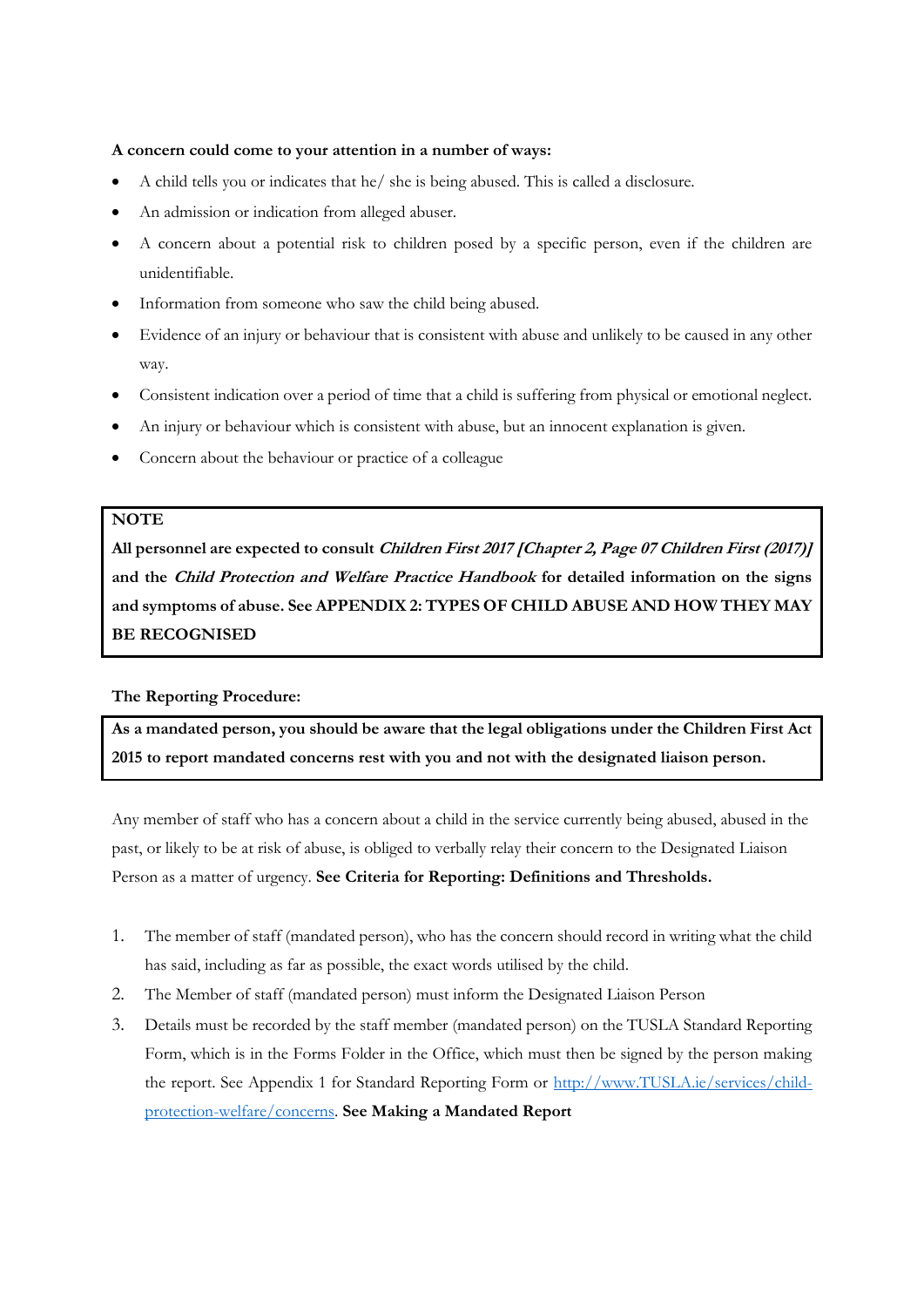#### **A concern could come to your attention in a number of ways:**

- A child tells you or indicates that he/ she is being abused. This is called a disclosure.
- An admission or indication from alleged abuser.
- A concern about a potential risk to children posed by a specific person, even if the children are unidentifiable.
- Information from someone who saw the child being abused.
- Evidence of an injury or behaviour that is consistent with abuse and unlikely to be caused in any other way.
- Consistent indication over a period of time that a child is suffering from physical or emotional neglect.
- An injury or behaviour which is consistent with abuse, but an innocent explanation is given.
- Concern about the behaviour or practice of a colleague

# **NOTE**

**All personnel are expected to consult Children First 2017 [Chapter 2, Page 07 Children First (2017)] and the Child Protection and Welfare Practice Handbook for detailed information on the signs and symptoms of abuse. See APPENDIX 2: TYPES OF CHILD ABUSE AND HOW THEY MAY BE RECOGNISED**

#### **The Reporting Procedure:**

**As a mandated person, you should be aware that the legal obligations under the Children First Act 2015 to report mandated concerns rest with you and not with the designated liaison person.**

Any member of staff who has a concern about a child in the service currently being abused, abused in the past, or likely to be at risk of abuse, is obliged to verbally relay their concern to the Designated Liaison Person as a matter of urgency. **See Criteria for Reporting: Definitions and Thresholds.**

- 1. The member of staff (mandated person), who has the concern should record in writing what the child has said, including as far as possible, the exact words utilised by the child.
- 2. The Member of staff (mandated person) must inform the Designated Liaison Person
- 3. Details must be recorded by the staff member (mandated person) on the TUSLA Standard Reporting Form, which is in the Forms Folder in the Office, which must then be signed by the person making the report. See Appendix 1 for Standard Reporting Form or [http://www.TUSLA.ie/services/child](http://www.tusla.ie/services/child-protection-welfare/concerns)[protection-welfare/concerns.](http://www.tusla.ie/services/child-protection-welfare/concerns) **See Making a Mandated Report**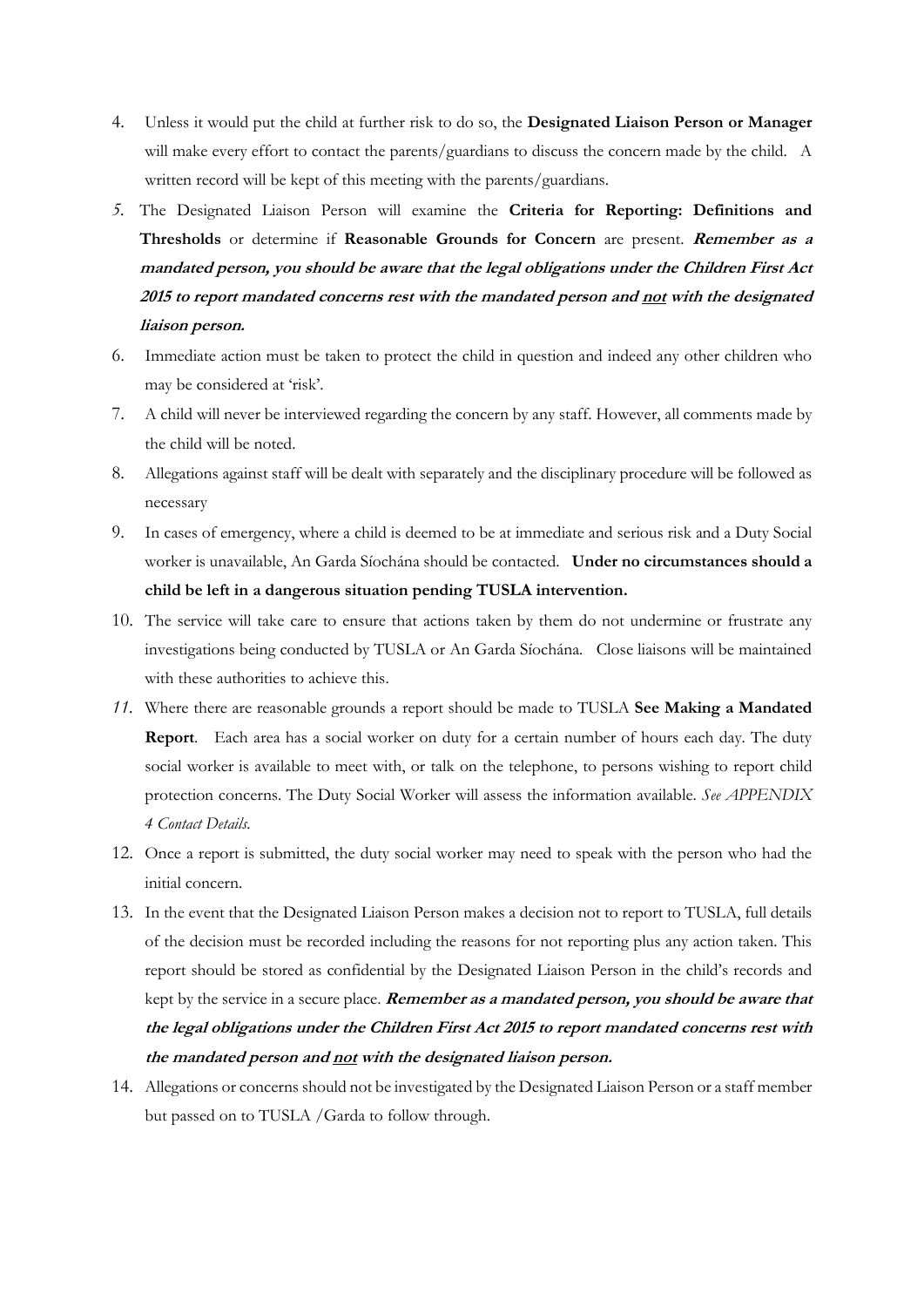- 4. Unless it would put the child at further risk to do so, the **Designated Liaison Person or Manager** will make every effort to contact the parents/guardians to discuss the concern made by the child. A written record will be kept of this meeting with the parents/guardians.
- *5.* The Designated Liaison Person will examine the **Criteria for Reporting: Definitions and Thresholds** or determine if **Reasonable Grounds for Concern** are present. **Remember as a mandated person, you should be aware that the legal obligations under the Children First Act 2015 to report mandated concerns rest with the mandated person and not with the designated liaison person.**
- 6. Immediate action must be taken to protect the child in question and indeed any other children who may be considered at 'risk'.
- 7. A child will never be interviewed regarding the concern by any staff. However, all comments made by the child will be noted.
- 8. Allegations against staff will be dealt with separately and the disciplinary procedure will be followed as necessary
- 9. In cases of emergency, where a child is deemed to be at immediate and serious risk and a Duty Social worker is unavailable, An Garda Síochána should be contacted. **Under no circumstances should a child be left in a dangerous situation pending TUSLA intervention.**
- 10. The service will take care to ensure that actions taken by them do not undermine or frustrate any investigations being conducted by TUSLA or An Garda Síochána. Close liaisons will be maintained with these authorities to achieve this.
- *11.* Where there are reasonable grounds a report should be made to TUSLA **See Making a Mandated Report**. Each area has a social worker on duty for a certain number of hours each day. The duty social worker is available to meet with, or talk on the telephone, to persons wishing to report child protection concerns. The Duty Social Worker will assess the information available. *See APPENDIX 4 Contact Details.*
- 12. Once a report is submitted, the duty social worker may need to speak with the person who had the initial concern.
- 13. In the event that the Designated Liaison Person makes a decision not to report to TUSLA, full details of the decision must be recorded including the reasons for not reporting plus any action taken. This report should be stored as confidential by the Designated Liaison Person in the child's records and kept by the service in a secure place. **Remember as a mandated person, you should be aware that the legal obligations under the Children First Act 2015 to report mandated concerns rest with the mandated person and not with the designated liaison person.**
- 14. Allegations or concerns should not be investigated by the Designated Liaison Person or a staff member but passed on to TUSLA /Garda to follow through.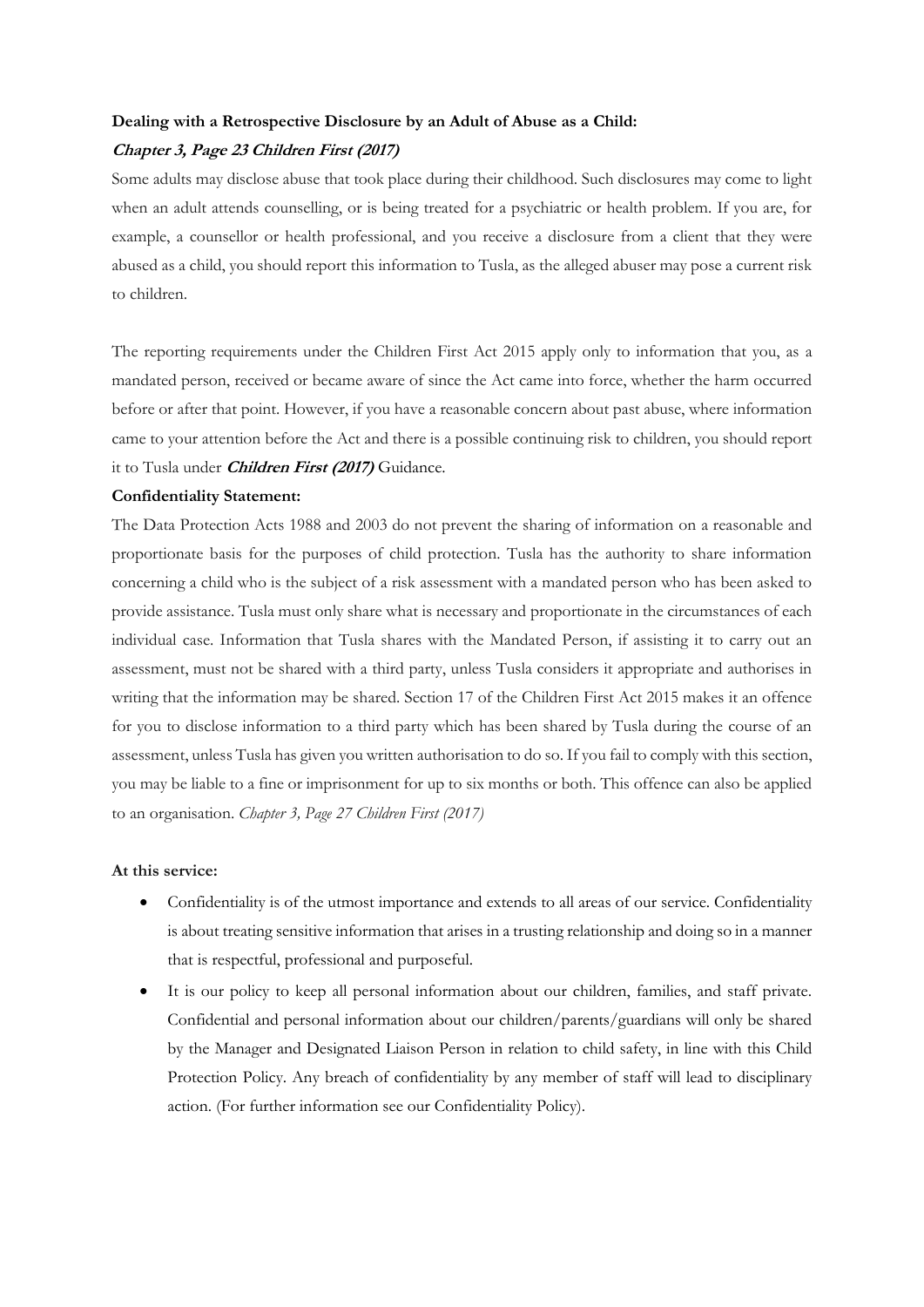#### **Dealing with a Retrospective Disclosure by an Adult of Abuse as a Child:**

#### **Chapter 3, Page 23 Children First (2017)**

Some adults may disclose abuse that took place during their childhood. Such disclosures may come to light when an adult attends counselling, or is being treated for a psychiatric or health problem. If you are, for example, a counsellor or health professional, and you receive a disclosure from a client that they were abused as a child, you should report this information to Tusla, as the alleged abuser may pose a current risk to children.

The reporting requirements under the Children First Act 2015 apply only to information that you, as a mandated person, received or became aware of since the Act came into force, whether the harm occurred before or after that point. However, if you have a reasonable concern about past abuse, where information came to your attention before the Act and there is a possible continuing risk to children, you should report it to Tusla under **Children First (2017)** Guidance.

#### **Confidentiality Statement:**

The Data Protection Acts 1988 and 2003 do not prevent the sharing of information on a reasonable and proportionate basis for the purposes of child protection. Tusla has the authority to share information concerning a child who is the subject of a risk assessment with a mandated person who has been asked to provide assistance. Tusla must only share what is necessary and proportionate in the circumstances of each individual case. Information that Tusla shares with the Mandated Person, if assisting it to carry out an assessment, must not be shared with a third party, unless Tusla considers it appropriate and authorises in writing that the information may be shared. Section 17 of the Children First Act 2015 makes it an offence for you to disclose information to a third party which has been shared by Tusla during the course of an assessment, unless Tusla has given you written authorisation to do so. If you fail to comply with this section, you may be liable to a fine or imprisonment for up to six months or both. This offence can also be applied to an organisation. *Chapter 3, Page 27 Children First (2017)*

#### **At this service:**

- Confidentiality is of the utmost importance and extends to all areas of our service. Confidentiality is about treating sensitive information that arises in a trusting relationship and doing so in a manner that is respectful, professional and purposeful.
- It is our policy to keep all personal information about our children, families, and staff private. Confidential and personal information about our children/parents/guardians will only be shared by the Manager and Designated Liaison Person in relation to child safety, in line with this Child Protection Policy. Any breach of confidentiality by any member of staff will lead to disciplinary action. (For further information see our Confidentiality Policy).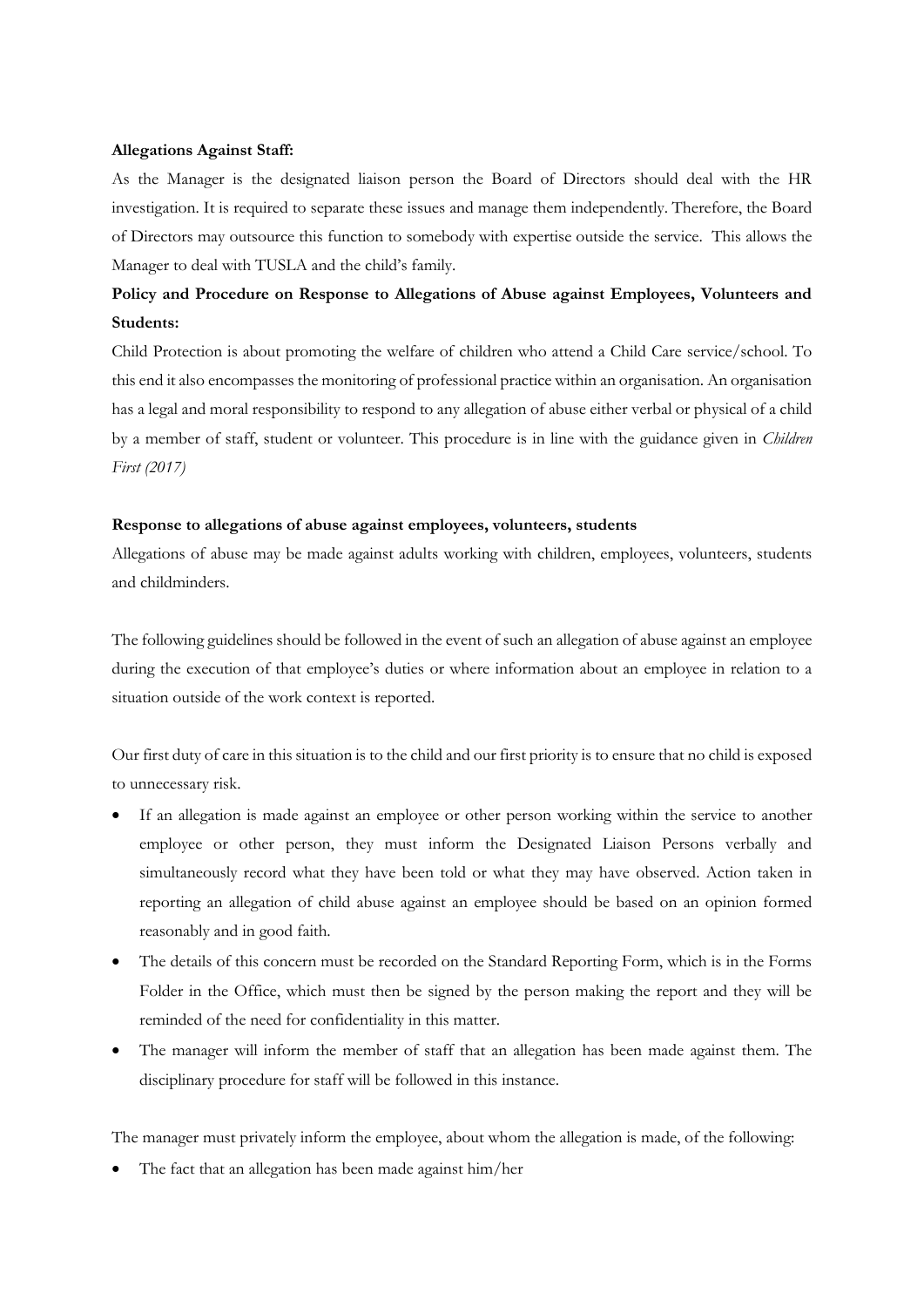#### **Allegations Against Staff:**

As the Manager is the designated liaison person the Board of Directors should deal with the HR investigation. It is required to separate these issues and manage them independently. Therefore, the Board of Directors may outsource this function to somebody with expertise outside the service. This allows the Manager to deal with TUSLA and the child's family.

# **Policy and Procedure on Response to Allegations of Abuse against Employees, Volunteers and Students:**

Child Protection is about promoting the welfare of children who attend a Child Care service/school. To this end it also encompasses the monitoring of professional practice within an organisation. An organisation has a legal and moral responsibility to respond to any allegation of abuse either verbal or physical of a child by a member of staff, student or volunteer. This procedure is in line with the guidance given in *Children First (2017)*

#### **Response to allegations of abuse against employees, volunteers, students**

Allegations of abuse may be made against adults working with children, employees, volunteers, students and childminders.

The following guidelines should be followed in the event of such an allegation of abuse against an employee during the execution of that employee's duties or where information about an employee in relation to a situation outside of the work context is reported.

Our first duty of care in this situation is to the child and our first priority is to ensure that no child is exposed to unnecessary risk.

- If an allegation is made against an employee or other person working within the service to another employee or other person, they must inform the Designated Liaison Persons verbally and simultaneously record what they have been told or what they may have observed. Action taken in reporting an allegation of child abuse against an employee should be based on an opinion formed reasonably and in good faith.
- The details of this concern must be recorded on the Standard Reporting Form, which is in the Forms Folder in the Office, which must then be signed by the person making the report and they will be reminded of the need for confidentiality in this matter.
- The manager will inform the member of staff that an allegation has been made against them. The disciplinary procedure for staff will be followed in this instance.

The manager must privately inform the employee, about whom the allegation is made, of the following:

• The fact that an allegation has been made against him/her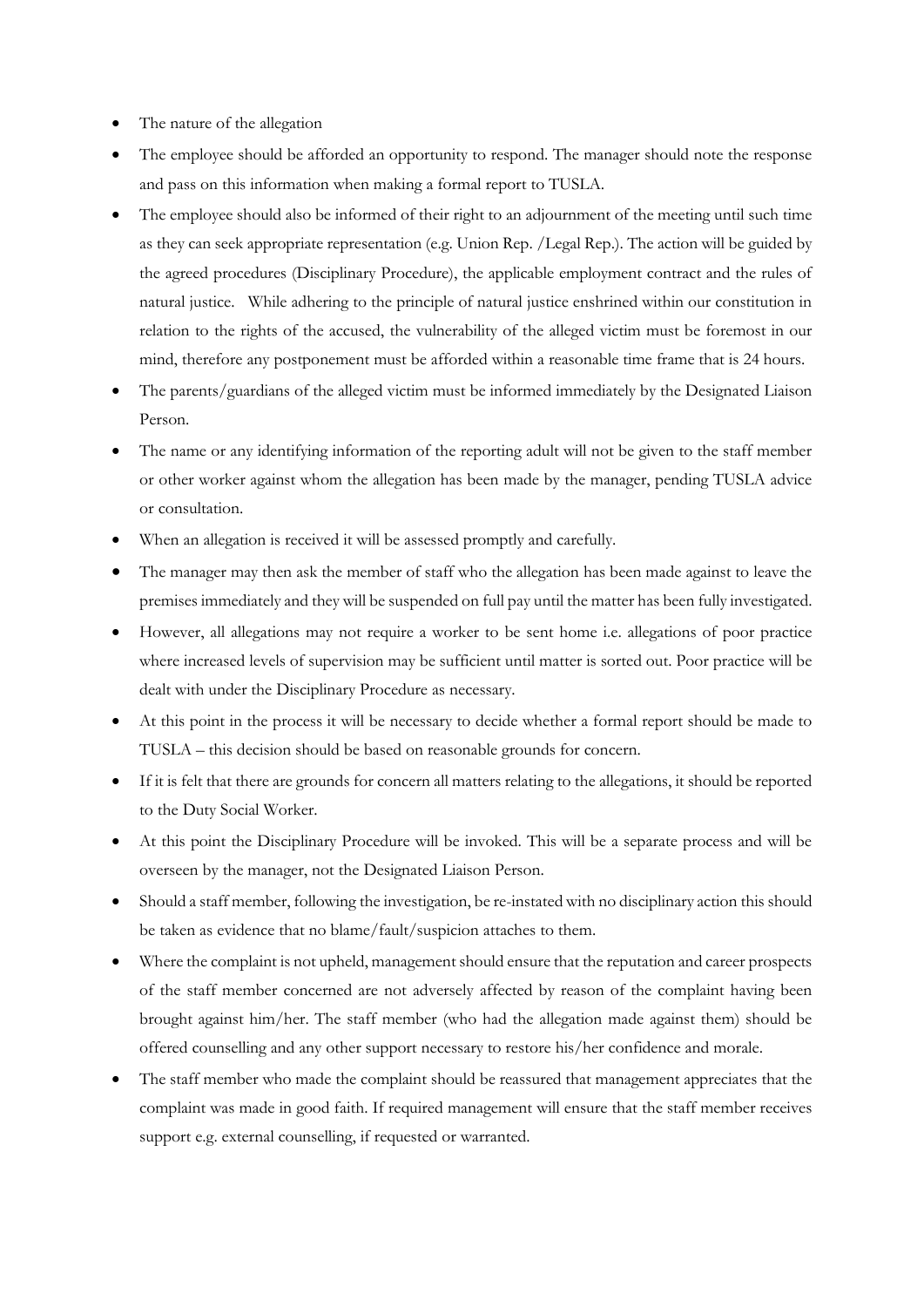- The nature of the allegation
- The employee should be afforded an opportunity to respond. The manager should note the response and pass on this information when making a formal report to TUSLA.
- The employee should also be informed of their right to an adjournment of the meeting until such time as they can seek appropriate representation (e.g. Union Rep. /Legal Rep.). The action will be guided by the agreed procedures (Disciplinary Procedure), the applicable employment contract and the rules of natural justice. While adhering to the principle of natural justice enshrined within our constitution in relation to the rights of the accused, the vulnerability of the alleged victim must be foremost in our mind, therefore any postponement must be afforded within a reasonable time frame that is 24 hours.
- The parents/guardians of the alleged victim must be informed immediately by the Designated Liaison Person.
- The name or any identifying information of the reporting adult will not be given to the staff member or other worker against whom the allegation has been made by the manager, pending TUSLA advice or consultation.
- When an allegation is received it will be assessed promptly and carefully.
- The manager may then ask the member of staff who the allegation has been made against to leave the premises immediately and they will be suspended on full pay until the matter has been fully investigated.
- However, all allegations may not require a worker to be sent home i.e. allegations of poor practice where increased levels of supervision may be sufficient until matter is sorted out. Poor practice will be dealt with under the Disciplinary Procedure as necessary.
- At this point in the process it will be necessary to decide whether a formal report should be made to TUSLA – this decision should be based on reasonable grounds for concern.
- If it is felt that there are grounds for concern all matters relating to the allegations, it should be reported to the Duty Social Worker.
- At this point the Disciplinary Procedure will be invoked. This will be a separate process and will be overseen by the manager, not the Designated Liaison Person.
- Should a staff member, following the investigation, be re-instated with no disciplinary action this should be taken as evidence that no blame/fault/suspicion attaches to them.
- Where the complaint is not upheld, management should ensure that the reputation and career prospects of the staff member concerned are not adversely affected by reason of the complaint having been brought against him/her. The staff member (who had the allegation made against them) should be offered counselling and any other support necessary to restore his/her confidence and morale.
- The staff member who made the complaint should be reassured that management appreciates that the complaint was made in good faith. If required management will ensure that the staff member receives support e.g. external counselling, if requested or warranted.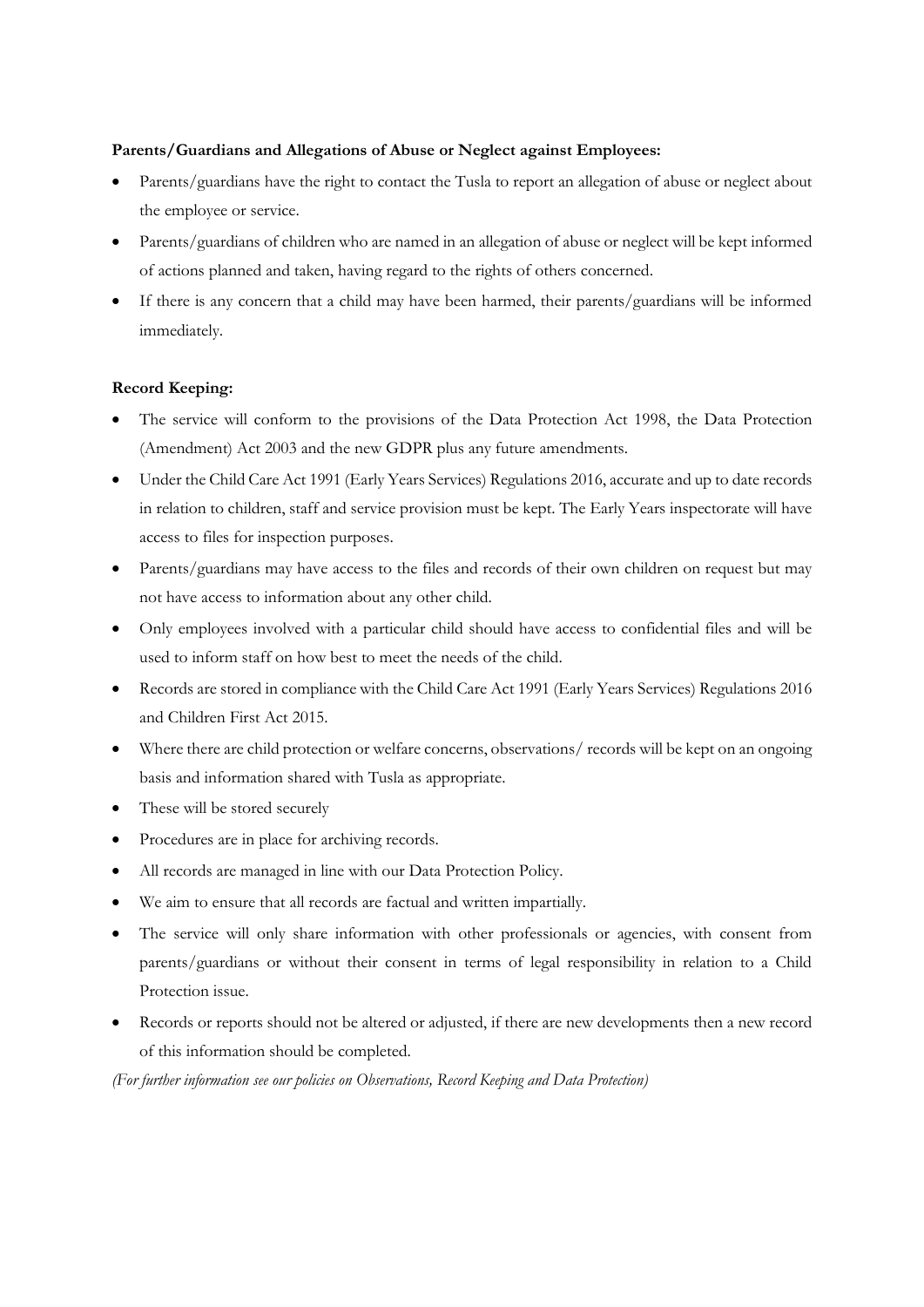## **Parents/Guardians and Allegations of Abuse or Neglect against Employees:**

- Parents/guardians have the right to contact the Tusla to report an allegation of abuse or neglect about the employee or service.
- Parents/guardians of children who are named in an allegation of abuse or neglect will be kept informed of actions planned and taken, having regard to the rights of others concerned.
- If there is any concern that a child may have been harmed, their parents/guardians will be informed immediately.

# **Record Keeping:**

- The service will conform to the provisions of the Data Protection Act 1998, the Data Protection (Amendment) Act 2003 and the new GDPR plus any future amendments.
- Under the Child Care Act 1991 (Early Years Services) Regulations 2016, accurate and up to date records in relation to children, staff and service provision must be kept. The Early Years inspectorate will have access to files for inspection purposes.
- Parents/guardians may have access to the files and records of their own children on request but may not have access to information about any other child.
- Only employees involved with a particular child should have access to confidential files and will be used to inform staff on how best to meet the needs of the child.
- Records are stored in compliance with the Child Care Act 1991 (Early Years Services) Regulations 2016 and Children First Act 2015.
- Where there are child protection or welfare concerns, observations/ records will be kept on an ongoing basis and information shared with Tusla as appropriate.
- These will be stored securely
- Procedures are in place for archiving records.
- All records are managed in line with our Data Protection Policy.
- We aim to ensure that all records are factual and written impartially.
- The service will only share information with other professionals or agencies, with consent from parents/guardians or without their consent in terms of legal responsibility in relation to a Child Protection issue.
- Records or reports should not be altered or adjusted, if there are new developments then a new record of this information should be completed.

*(For further information see our policies on Observations, Record Keeping and Data Protection)*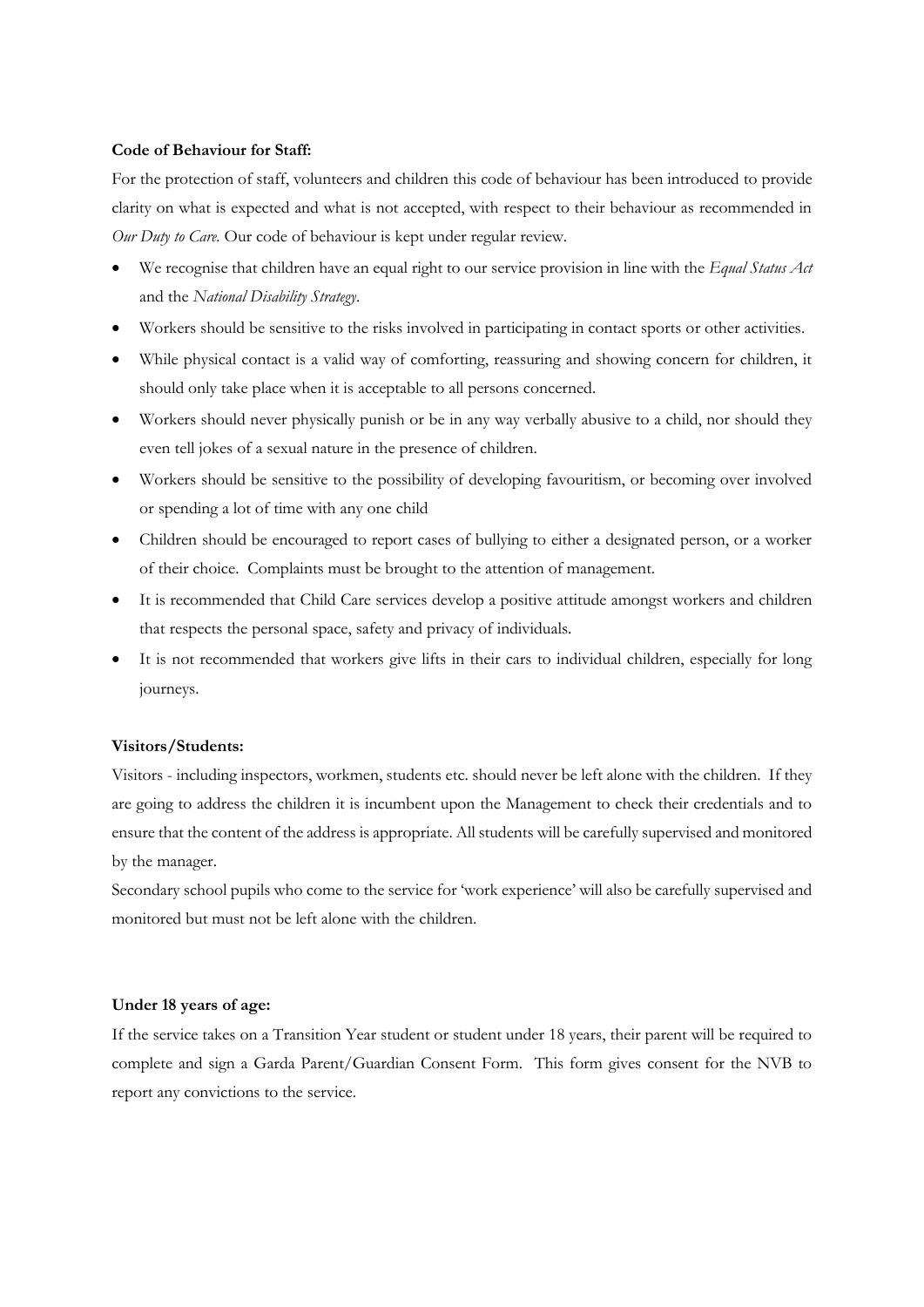#### **Code of Behaviour for Staff:**

For the protection of staff, volunteers and children this code of behaviour has been introduced to provide clarity on what is expected and what is not accepted, with respect to their behaviour as recommended in *Our Duty to Care.* Our code of behaviour is kept under regular review.

- We recognise that children have an equal right to our service provision in line with the *Equal Status Act* and the *National Disability Strategy*.
- Workers should be sensitive to the risks involved in participating in contact sports or other activities.
- While physical contact is a valid way of comforting, reassuring and showing concern for children, it should only take place when it is acceptable to all persons concerned.
- Workers should never physically punish or be in any way verbally abusive to a child, nor should they even tell jokes of a sexual nature in the presence of children.
- Workers should be sensitive to the possibility of developing favouritism, or becoming over involved or spending a lot of time with any one child
- Children should be encouraged to report cases of bullying to either a designated person, or a worker of their choice. Complaints must be brought to the attention of management.
- It is recommended that Child Care services develop a positive attitude amongst workers and children that respects the personal space, safety and privacy of individuals.
- It is not recommended that workers give lifts in their cars to individual children, especially for long journeys.

#### **Visitors/Students:**

Visitors - including inspectors, workmen, students etc. should never be left alone with the children. If they are going to address the children it is incumbent upon the Management to check their credentials and to ensure that the content of the address is appropriate. All students will be carefully supervised and monitored by the manager.

Secondary school pupils who come to the service for 'work experience' will also be carefully supervised and monitored but must not be left alone with the children.

#### **Under 18 years of age:**

If the service takes on a Transition Year student or student under 18 years, their parent will be required to complete and sign a Garda Parent/Guardian Consent Form. This form gives consent for the NVB to report any convictions to the service.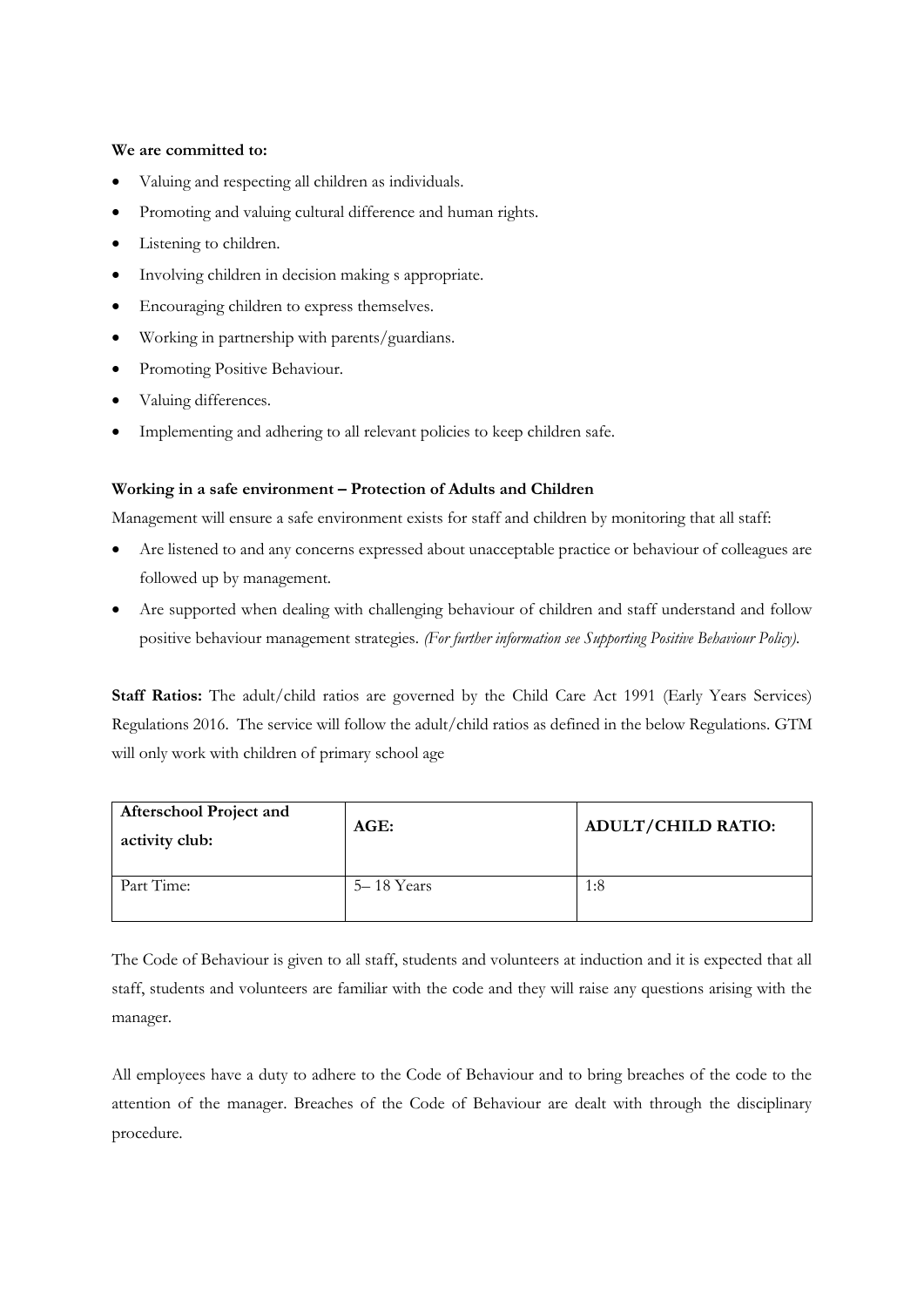### **We are committed to:**

- Valuing and respecting all children as individuals.
- Promoting and valuing cultural difference and human rights.
- Listening to children.
- Involving children in decision making s appropriate.
- Encouraging children to express themselves.
- Working in partnership with parents/guardians.
- Promoting Positive Behaviour.
- Valuing differences.
- Implementing and adhering to all relevant policies to keep children safe.

### **Working in a safe environment – Protection of Adults and Children**

Management will ensure a safe environment exists for staff and children by monitoring that all staff:

- Are listened to and any concerns expressed about unacceptable practice or behaviour of colleagues are followed up by management.
- Are supported when dealing with challenging behaviour of children and staff understand and follow positive behaviour management strategies. *(For further information see Supporting Positive Behaviour Policy).*

**Staff Ratios:** The adult/child ratios are governed by the Child Care Act 1991 (Early Years Services) Regulations 2016. The service will follow the adult/child ratios as defined in the below Regulations. GTM will only work with children of primary school age

| <b>Afterschool Project and</b><br>activity club: | AGE:       | <b>ADULT/CHILD RATIO:</b> |
|--------------------------------------------------|------------|---------------------------|
| Part Time:                                       | 5–18 Years | 1:8                       |

The Code of Behaviour is given to all staff, students and volunteers at induction and it is expected that all staff, students and volunteers are familiar with the code and they will raise any questions arising with the manager.

All employees have a duty to adhere to the Code of Behaviour and to bring breaches of the code to the attention of the manager. Breaches of the Code of Behaviour are dealt with through the disciplinary procedure.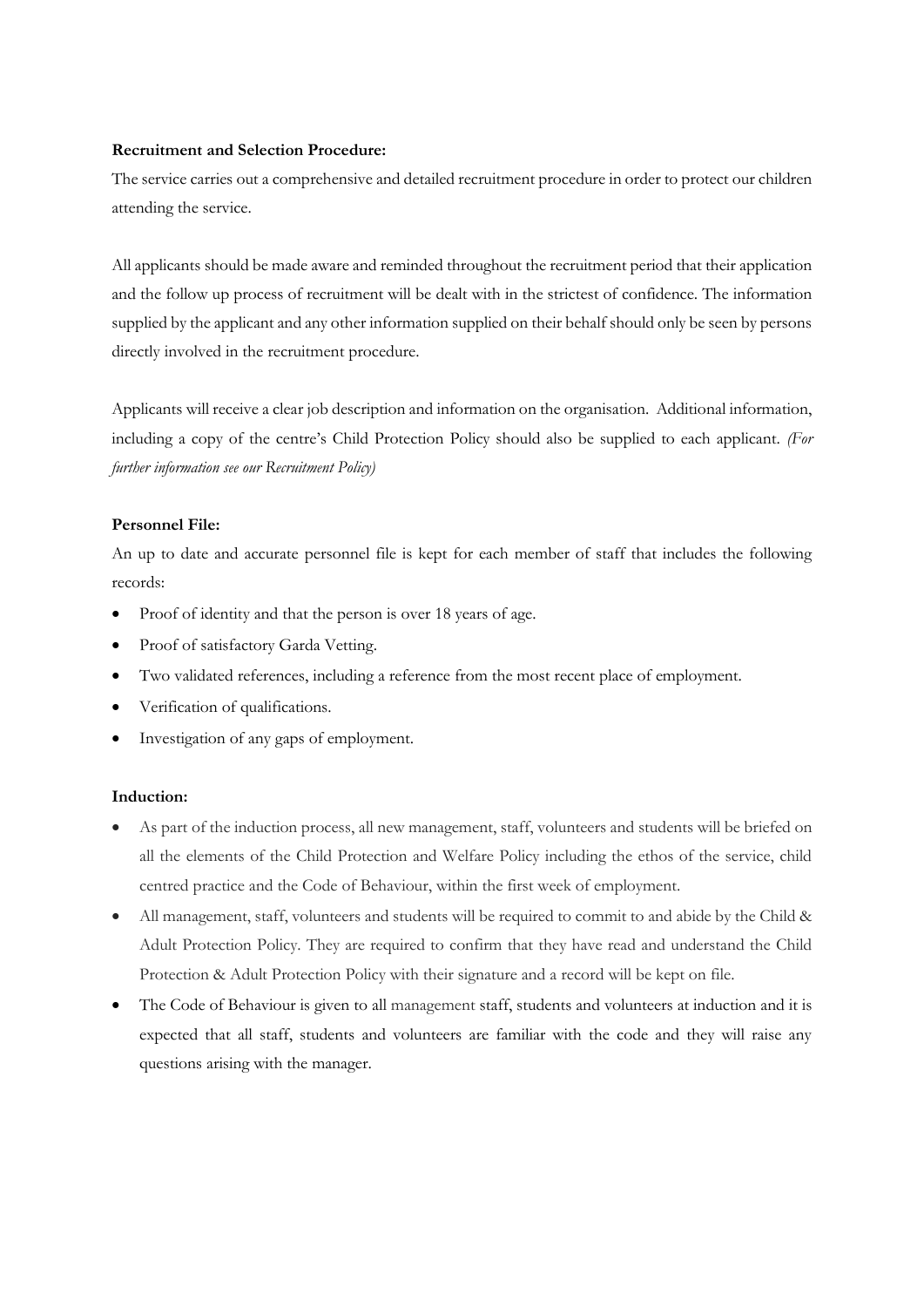## **Recruitment and Selection Procedure:**

The service carries out a comprehensive and detailed recruitment procedure in order to protect our children attending the service.

All applicants should be made aware and reminded throughout the recruitment period that their application and the follow up process of recruitment will be dealt with in the strictest of confidence. The information supplied by the applicant and any other information supplied on their behalf should only be seen by persons directly involved in the recruitment procedure.

Applicants will receive a clear job description and information on the organisation. Additional information, including a copy of the centre's Child Protection Policy should also be supplied to each applicant. *(For further information see our Recruitment Policy)*

### **Personnel File:**

An up to date and accurate personnel file is kept for each member of staff that includes the following records:

- Proof of identity and that the person is over 18 years of age.
- Proof of satisfactory Garda Vetting.
- Two validated references, including a reference from the most recent place of employment.
- Verification of qualifications.
- Investigation of any gaps of employment.

### **Induction:**

- As part of the induction process, all new management, staff, volunteers and students will be briefed on all the elements of the Child Protection and Welfare Policy including the ethos of the service, child centred practice and the Code of Behaviour, within the first week of employment.
- All management, staff, volunteers and students will be required to commit to and abide by the Child & Adult Protection Policy. They are required to confirm that they have read and understand the Child Protection & Adult Protection Policy with their signature and a record will be kept on file.
- The Code of Behaviour is given to all management staff, students and volunteers at induction and it is expected that all staff, students and volunteers are familiar with the code and they will raise any questions arising with the manager.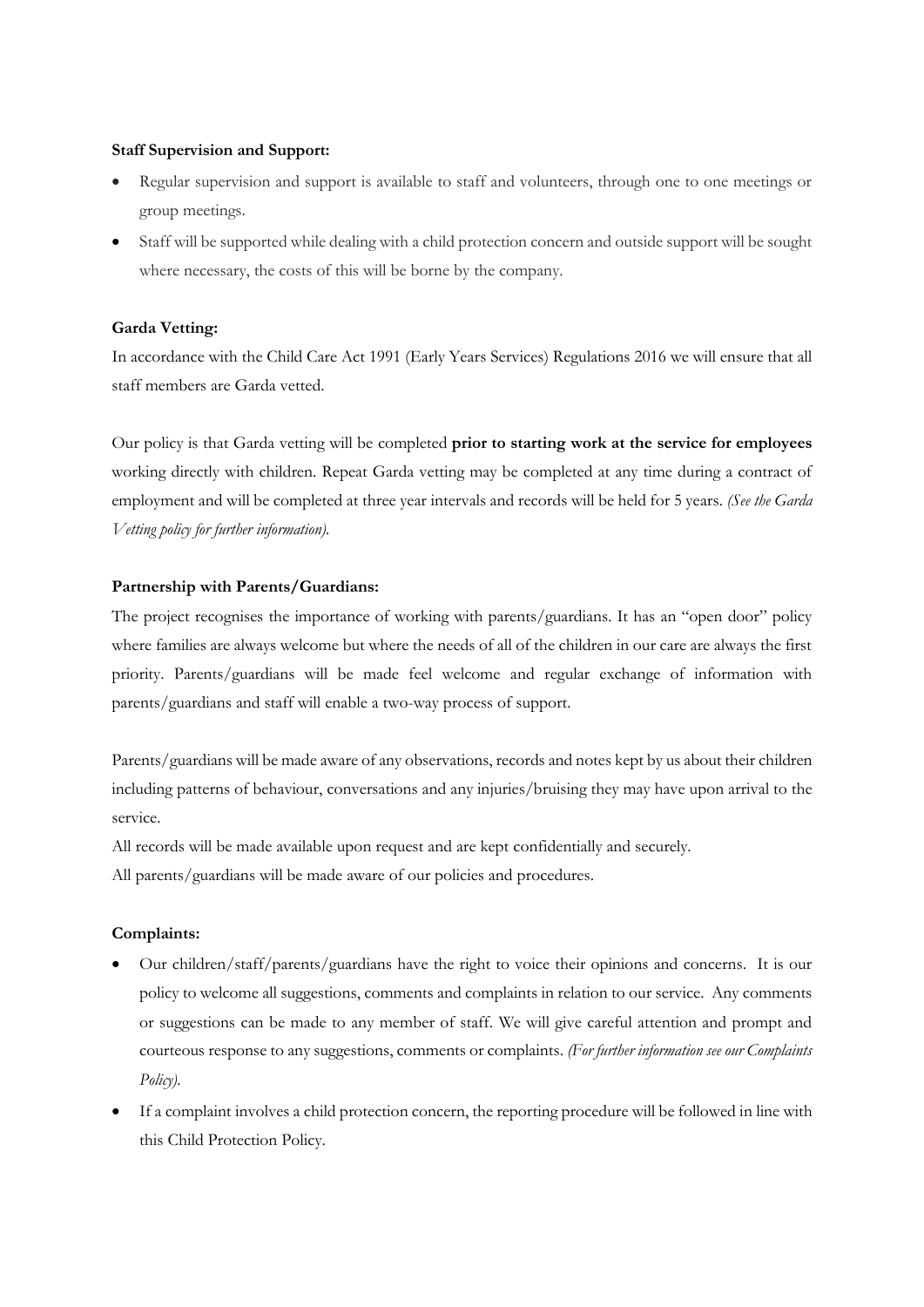#### **Staff Supervision and Support:**

- Regular supervision and support is available to staff and volunteers, through one to one meetings or group meetings.
- Staff will be supported while dealing with a child protection concern and outside support will be sought where necessary, the costs of this will be borne by the company.

#### **Garda Vetting:**

In accordance with the Child Care Act 1991 (Early Years Services) Regulations 2016 we will ensure that all staff members are Garda vetted.

Our policy is that Garda vetting will be completed **prior to starting work at the service for employees** working directly with children. Repeat Garda vetting may be completed at any time during a contract of employment and will be completed at three year intervals and records will be held for 5 years. *(See the Garda Vetting policy for further information).*

#### **Partnership with Parents/Guardians:**

The project recognises the importance of working with parents/guardians. It has an "open door" policy where families are always welcome but where the needs of all of the children in our care are always the first priority. Parents/guardians will be made feel welcome and regular exchange of information with parents/guardians and staff will enable a two-way process of support.

Parents/guardians will be made aware of any observations, records and notes kept by us about their children including patterns of behaviour, conversations and any injuries/bruising they may have upon arrival to the service.

All records will be made available upon request and are kept confidentially and securely.

All parents/guardians will be made aware of our policies and procedures.

#### **Complaints:**

- Our children/staff/parents/guardians have the right to voice their opinions and concerns. It is our policy to welcome all suggestions, comments and complaints in relation to our service. Any comments or suggestions can be made to any member of staff. We will give careful attention and prompt and courteous response to any suggestions, comments or complaints. *(For further information see our Complaints Policy).*
- If a complaint involves a child protection concern, the reporting procedure will be followed in line with this Child Protection Policy.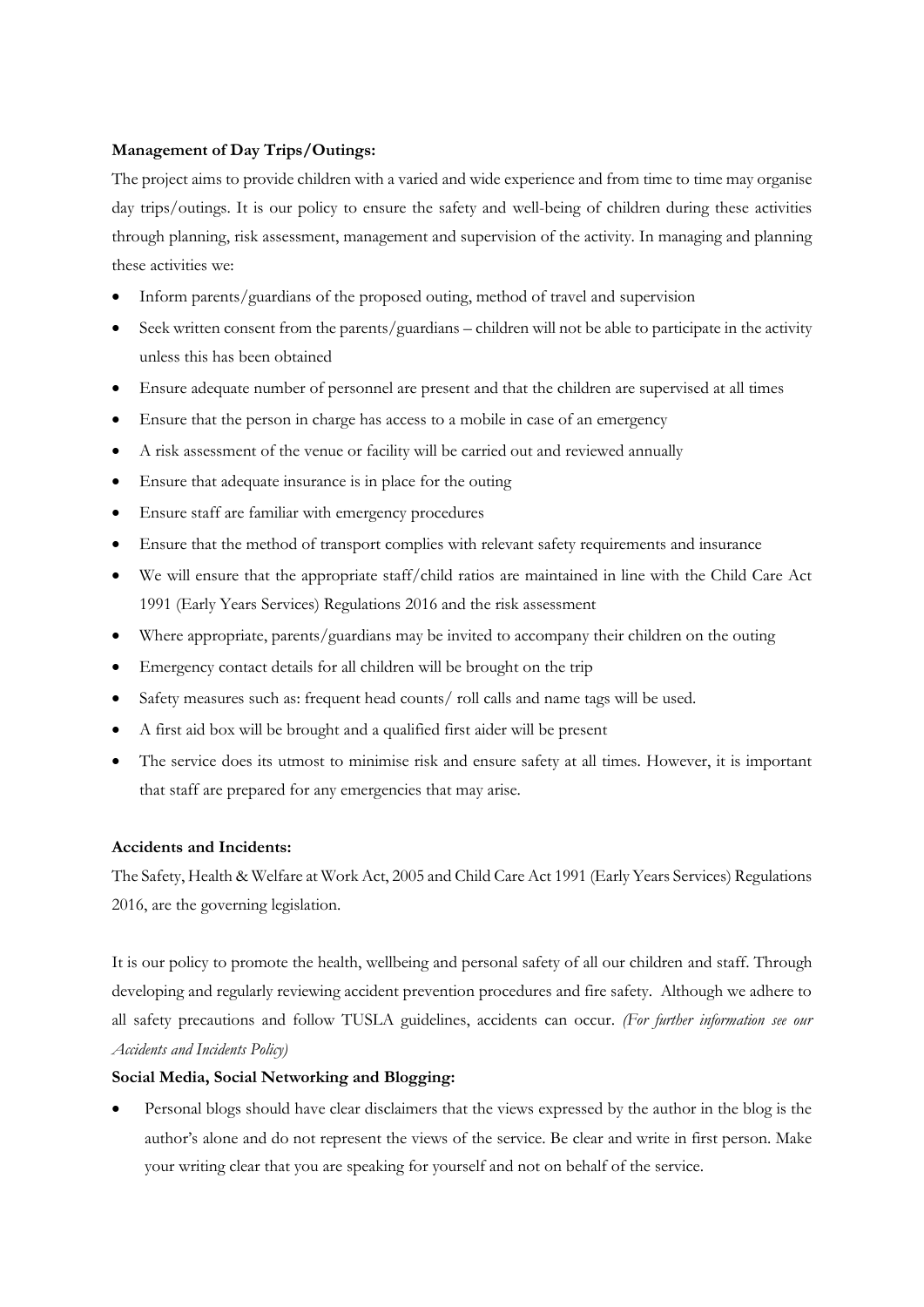# **Management of Day Trips/Outings:**

The project aims to provide children with a varied and wide experience and from time to time may organise day trips/outings. It is our policy to ensure the safety and well-being of children during these activities through planning, risk assessment, management and supervision of the activity. In managing and planning these activities we:

- Inform parents/guardians of the proposed outing, method of travel and supervision
- Seek written consent from the parents/guardians children will not be able to participate in the activity unless this has been obtained
- Ensure adequate number of personnel are present and that the children are supervised at all times
- Ensure that the person in charge has access to a mobile in case of an emergency
- A risk assessment of the venue or facility will be carried out and reviewed annually
- Ensure that adequate insurance is in place for the outing
- Ensure staff are familiar with emergency procedures
- Ensure that the method of transport complies with relevant safety requirements and insurance
- We will ensure that the appropriate staff/child ratios are maintained in line with the Child Care Act 1991 (Early Years Services) Regulations 2016 and the risk assessment
- Where appropriate, parents/guardians may be invited to accompany their children on the outing
- Emergency contact details for all children will be brought on the trip
- Safety measures such as: frequent head counts/ roll calls and name tags will be used.
- A first aid box will be brought and a qualified first aider will be present
- The service does its utmost to minimise risk and ensure safety at all times. However, it is important that staff are prepared for any emergencies that may arise.

# **Accidents and Incidents:**

The Safety, Health & Welfare at Work Act, 2005 and Child Care Act 1991 (Early Years Services) Regulations 2016, are the governing legislation.

It is our policy to promote the health, wellbeing and personal safety of all our children and staff. Through developing and regularly reviewing accident prevention procedures and fire safety. Although we adhere to all safety precautions and follow TUSLA guidelines, accidents can occur. *(For further information see our Accidents and Incidents Policy)*

### **Social Media, Social Networking and Blogging:**

• Personal blogs should have clear disclaimers that the views expressed by the author in the blog is the author's alone and do not represent the views of the service. Be clear and write in first person. Make your writing clear that you are speaking for yourself and not on behalf of the service.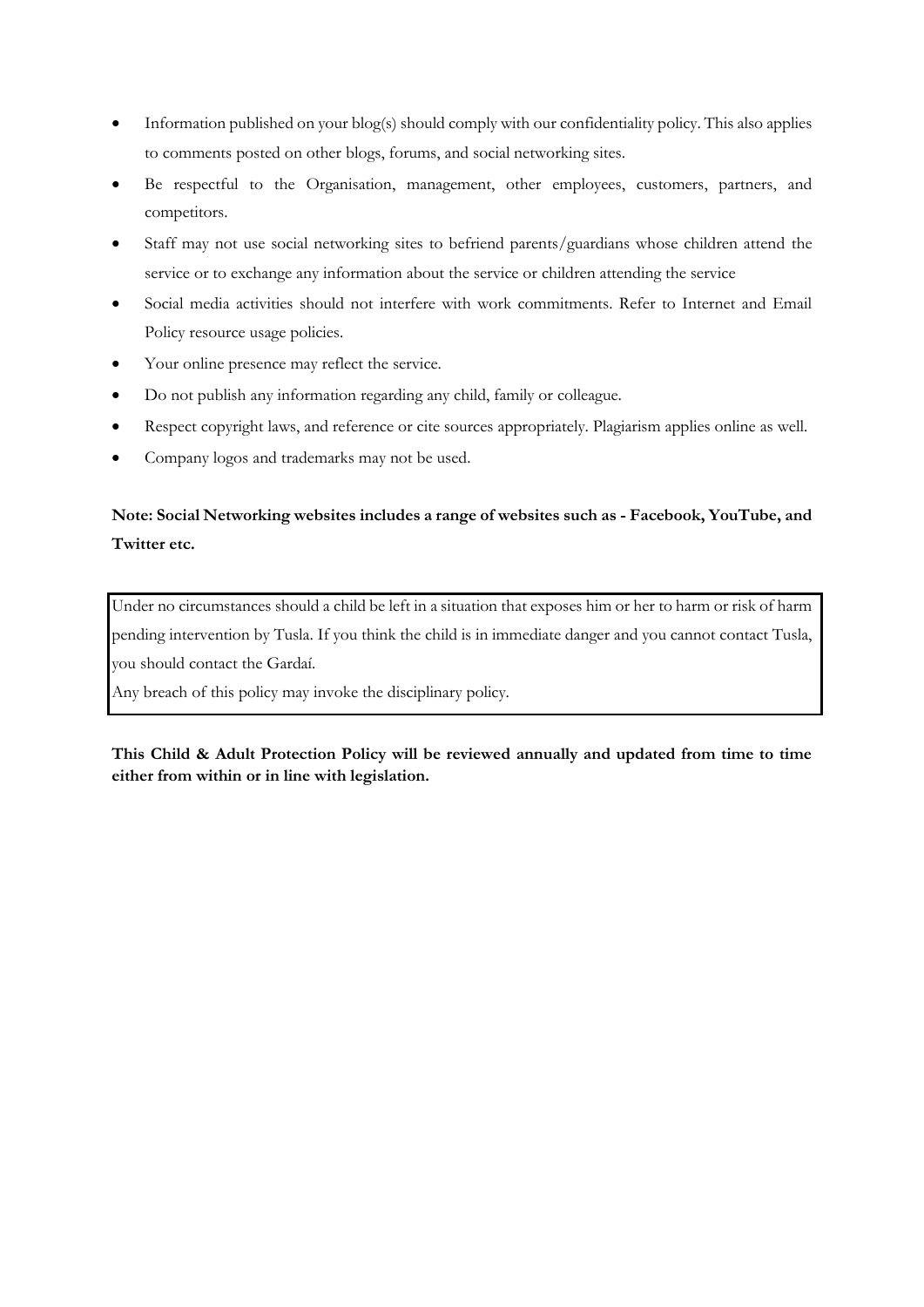- Information published on your blog(s) should comply with our confidentiality policy. This also applies to comments posted on other blogs, forums, and social networking sites.
- Be respectful to the Organisation, management, other employees, customers, partners, and competitors.
- Staff may not use social networking sites to befriend parents/guardians whose children attend the service or to exchange any information about the service or children attending the service
- Social media activities should not interfere with work commitments. Refer to Internet and Email Policy resource usage policies.
- Your online presence may reflect the service.
- Do not publish any information regarding any child, family or colleague.
- Respect copyright laws, and reference or cite sources appropriately. Plagiarism applies online as well.
- Company logos and trademarks may not be used.

# **Note: Social Networking websites includes a range of websites such as - Facebook, YouTube, and Twitter etc.**

Under no circumstances should a child be left in a situation that exposes him or her to harm or risk of harm pending intervention by Tusla. If you think the child is in immediate danger and you cannot contact Tusla, you should contact the Gardaí.

Any breach of this policy may invoke the disciplinary policy.

**This Child & Adult Protection Policy will be reviewed annually and updated from time to time either from within or in line with legislation.**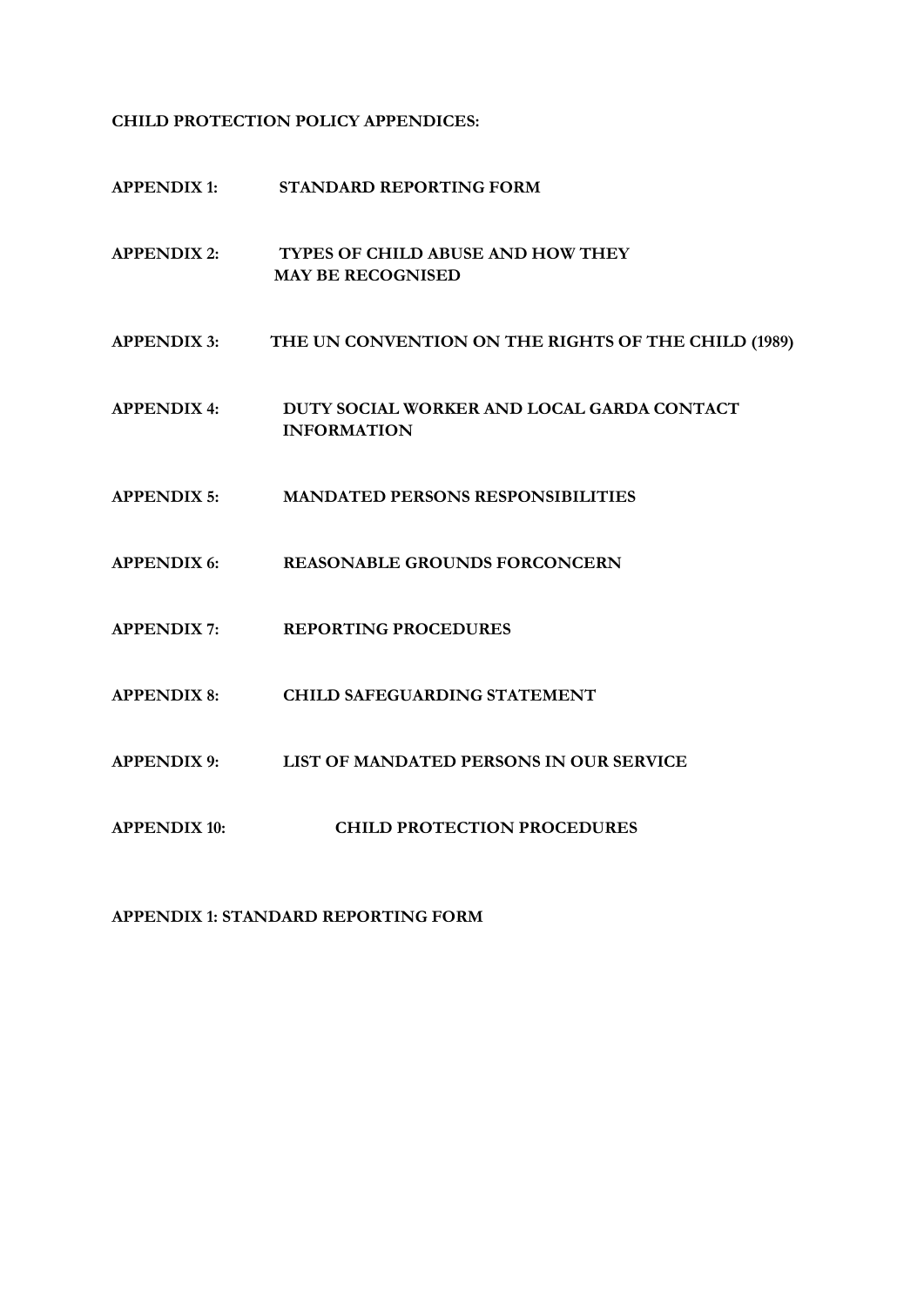**CHILD PROTECTION POLICY APPENDICES:** 

**APPENDIX 1: STANDARD REPORTING FORM APPENDIX 2: TYPES OF CHILD ABUSE AND HOW THEY MAY BE RECOGNISED APPENDIX 3: THE UN CONVENTION ON THE RIGHTS OF THE CHILD (1989) APPENDIX 4: DUTY SOCIAL WORKER AND LOCAL GARDA CONTACT INFORMATION APPENDIX 5: MANDATED PERSONS RESPONSIBILITIES APPENDIX 6: REASONABLE GROUNDS FORCONCERN APPENDIX 7: REPORTING PROCEDURES APPENDIX 8: CHILD SAFEGUARDING STATEMENT APPENDIX 9: LIST OF MANDATED PERSONS IN OUR SERVICE APPENDIX 10: CHILD PROTECTION PROCEDURES**

**APPENDIX 1: STANDARD REPORTING FORM**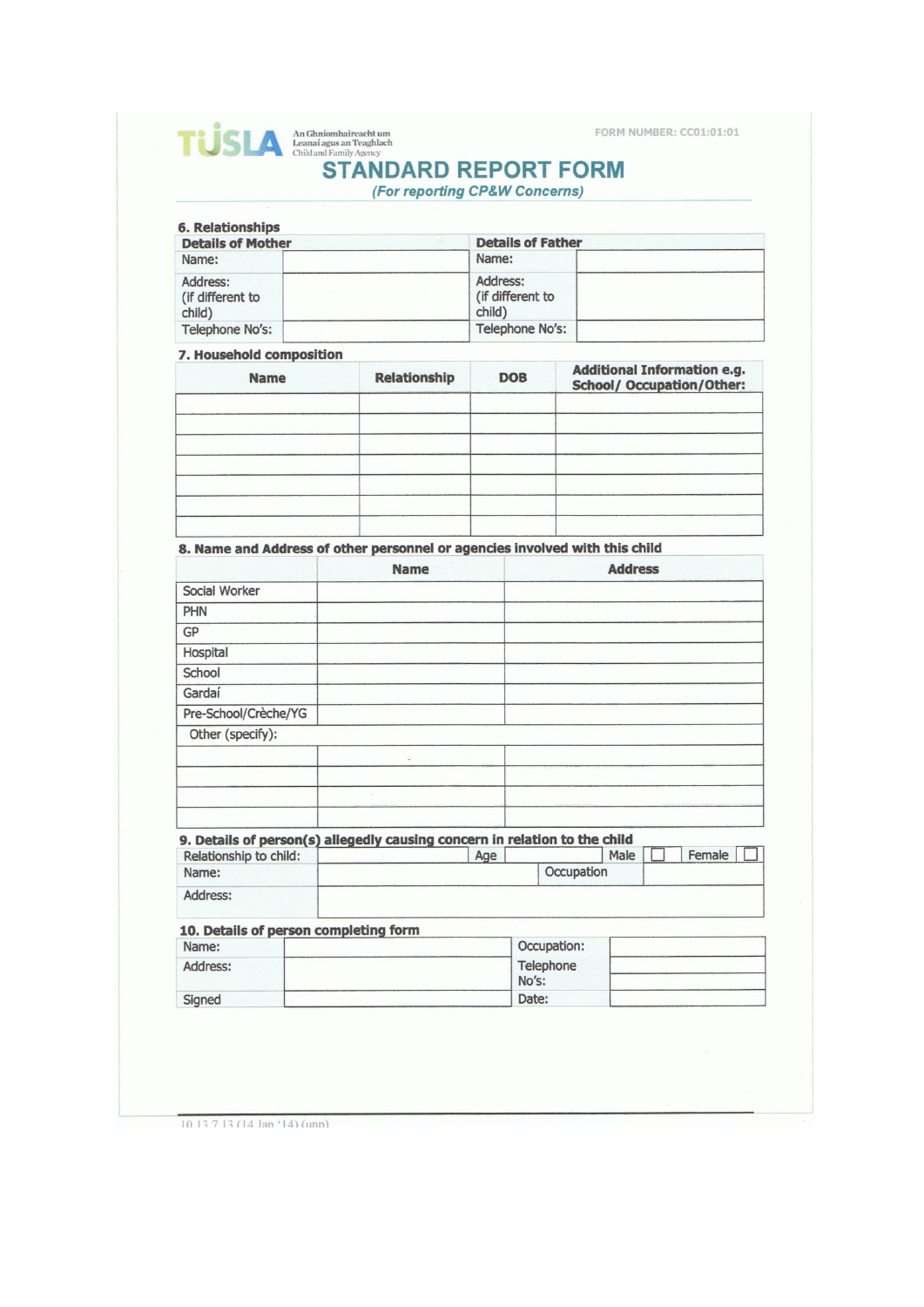FORM NUMBER: CC01:01:01

| <b>TUSIA</b> An Union Deaphlach<br>Child and Family Agency | An Ghníomhaireacht um       | <b>FORM</b> |
|------------------------------------------------------------|-----------------------------|-------------|
|                                                            | <b>STANDARD REPORT FORM</b> |             |

(For reporting CP&W Concerns)

| <b>Details of Mother</b>               | <b>Details of Father</b>               |  |
|----------------------------------------|----------------------------------------|--|
| Name:                                  | Name:                                  |  |
| Address:<br>(if different to<br>child) | Address:<br>(if different to<br>child) |  |
| Telephone No's:                        | Telephone No's:                        |  |

#### 7. Household composition

| <b>Name</b> | <b>Relationship</b> | <b>DOB</b> | <b>Additional Information e.g.</b><br><b>School/ Occupation/Other:</b> |
|-------------|---------------------|------------|------------------------------------------------------------------------|
|             |                     |            |                                                                        |
|             |                     |            |                                                                        |
|             |                     |            |                                                                        |
|             |                     |            |                                                                        |

# 8. Name and Address of other personnel or agencies involved with this child

|                      | <b>Name</b> | <b>Address</b> |
|----------------------|-------------|----------------|
| Social Worker        |             |                |
| PHN                  |             |                |
| GP                   |             |                |
| Hospital             |             |                |
| School               |             |                |
| Gardaí               |             |                |
| Pre-School/Crèche/YG |             |                |
| Other (specify):     |             |                |
|                      | $\omega$    |                |
|                      |             |                |
|                      |             |                |
|                      |             |                |

#### 9. Details of person(s) allegedly causing concern in relation to the child

| Relationship to child: | Age |            | Male | Female |  |
|------------------------|-----|------------|------|--------|--|
| Name:                  |     | Occupation |      |        |  |
| Address:               |     |            |      |        |  |

#### 10. Details of person completing form

| Name:    | Occupation:        |  |
|----------|--------------------|--|
| Address: | Telephone<br>No's: |  |
| Signed   | Date:              |  |

10 13 7 13 (14 Jan '14) (unp)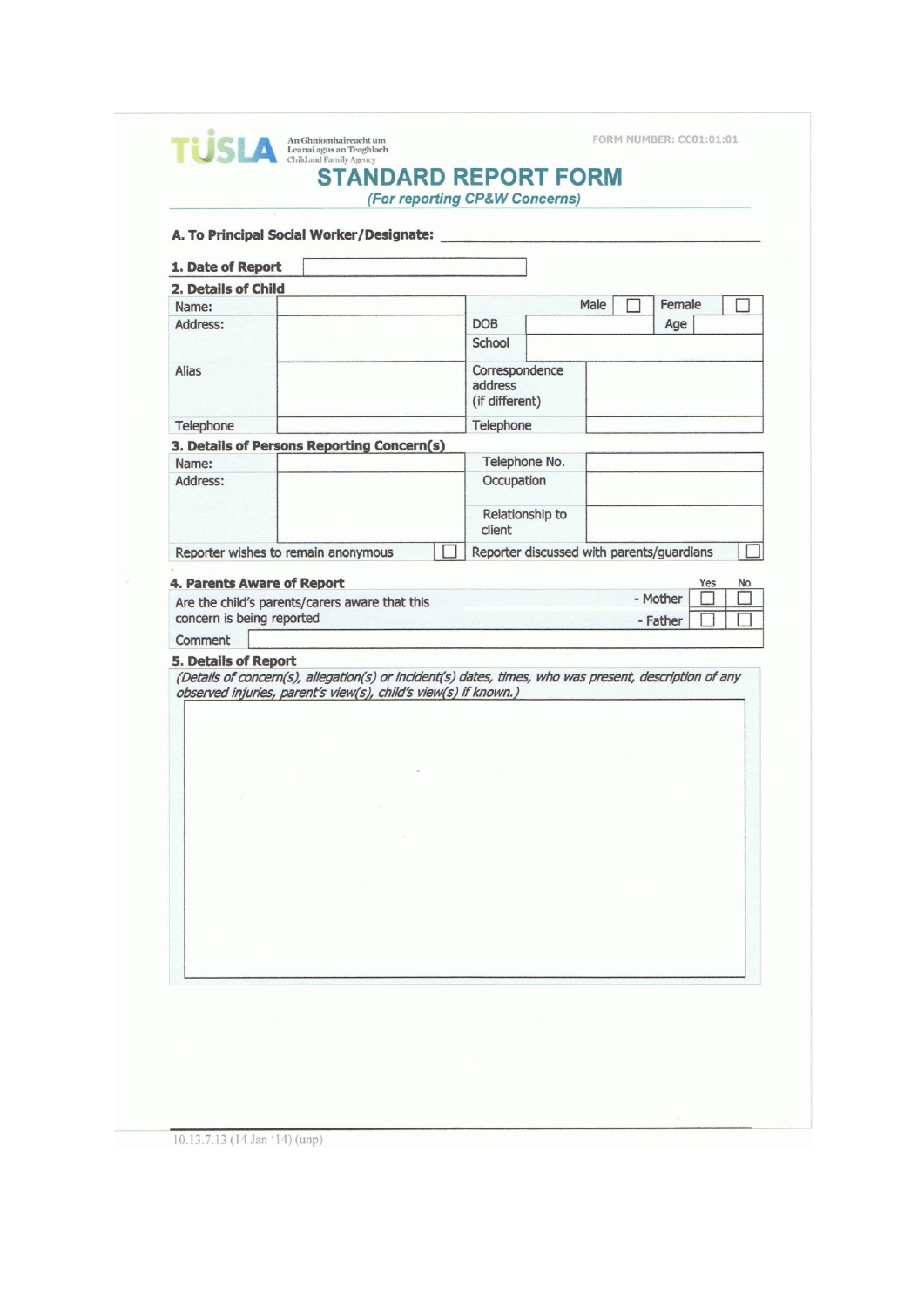| A. To Principal Social Worker/Designate:                                                                                                                                                                 |  |                                             |                                           |      |        |  |
|----------------------------------------------------------------------------------------------------------------------------------------------------------------------------------------------------------|--|---------------------------------------------|-------------------------------------------|------|--------|--|
| 1. Date of Report                                                                                                                                                                                        |  |                                             |                                           |      |        |  |
| 2. Details of Child                                                                                                                                                                                      |  |                                             |                                           |      |        |  |
| Name:                                                                                                                                                                                                    |  |                                             |                                           | Male | Female |  |
| Address:                                                                                                                                                                                                 |  | <b>DOB</b><br>School                        |                                           |      | Age    |  |
| Alias                                                                                                                                                                                                    |  | Correspondence<br>address<br>(if different) |                                           |      |        |  |
| Telephone                                                                                                                                                                                                |  | Telephone                                   |                                           |      |        |  |
| 3. Details of Persons Reporting Concern(s)                                                                                                                                                               |  |                                             |                                           |      |        |  |
| Name:                                                                                                                                                                                                    |  |                                             | Telephone No.                             |      |        |  |
| Address:                                                                                                                                                                                                 |  | Occupation                                  |                                           |      |        |  |
|                                                                                                                                                                                                          |  | client                                      | Relationship to                           |      |        |  |
| Reporter wishes to remain anonymous                                                                                                                                                                      |  |                                             | Reporter discussed with parents/guardians |      |        |  |
| Comment                                                                                                                                                                                                  |  |                                             |                                           |      |        |  |
| <b>5. Details of Report</b><br>(Details of concern(s), allegation(s) or incident(s) dates, times, who was present, description of any<br>observed injuries, parent's view(s), child's view(s) if known.) |  |                                             |                                           |      |        |  |
|                                                                                                                                                                                                          |  |                                             |                                           |      |        |  |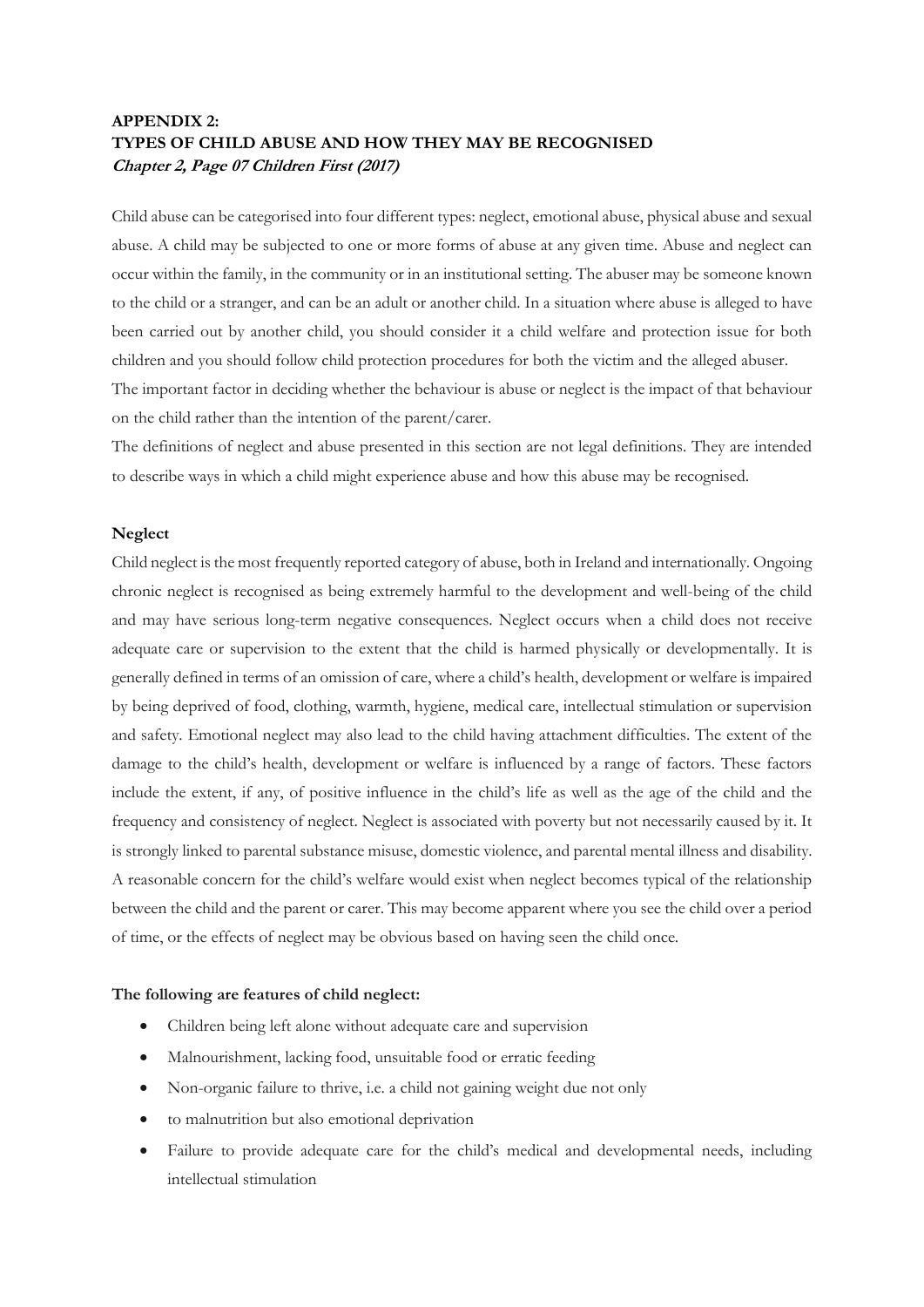# **APPENDIX 2: TYPES OF CHILD ABUSE AND HOW THEY MAY BE RECOGNISED Chapter 2, Page 07 Children First (2017)**

Child abuse can be categorised into four different types: neglect, emotional abuse, physical abuse and sexual abuse. A child may be subjected to one or more forms of abuse at any given time. Abuse and neglect can occur within the family, in the community or in an institutional setting. The abuser may be someone known to the child or a stranger, and can be an adult or another child. In a situation where abuse is alleged to have been carried out by another child, you should consider it a child welfare and protection issue for both children and you should follow child protection procedures for both the victim and the alleged abuser. The important factor in deciding whether the behaviour is abuse or neglect is the impact of that behaviour on the child rather than the intention of the parent/carer.

The definitions of neglect and abuse presented in this section are not legal definitions. They are intended to describe ways in which a child might experience abuse and how this abuse may be recognised.

#### **Neglect**

Child neglect is the most frequently reported category of abuse, both in Ireland and internationally. Ongoing chronic neglect is recognised as being extremely harmful to the development and well-being of the child and may have serious long-term negative consequences. Neglect occurs when a child does not receive adequate care or supervision to the extent that the child is harmed physically or developmentally. It is generally defined in terms of an omission of care, where a child's health, development or welfare is impaired by being deprived of food, clothing, warmth, hygiene, medical care, intellectual stimulation or supervision and safety. Emotional neglect may also lead to the child having attachment difficulties. The extent of the damage to the child's health, development or welfare is influenced by a range of factors. These factors include the extent, if any, of positive influence in the child's life as well as the age of the child and the frequency and consistency of neglect. Neglect is associated with poverty but not necessarily caused by it. It is strongly linked to parental substance misuse, domestic violence, and parental mental illness and disability. A reasonable concern for the child's welfare would exist when neglect becomes typical of the relationship between the child and the parent or carer. This may become apparent where you see the child over a period of time, or the effects of neglect may be obvious based on having seen the child once.

#### **The following are features of child neglect:**

- Children being left alone without adequate care and supervision
- Malnourishment, lacking food, unsuitable food or erratic feeding
- Non-organic failure to thrive, i.e. a child not gaining weight due not only
- to malnutrition but also emotional deprivation
- Failure to provide adequate care for the child's medical and developmental needs, including intellectual stimulation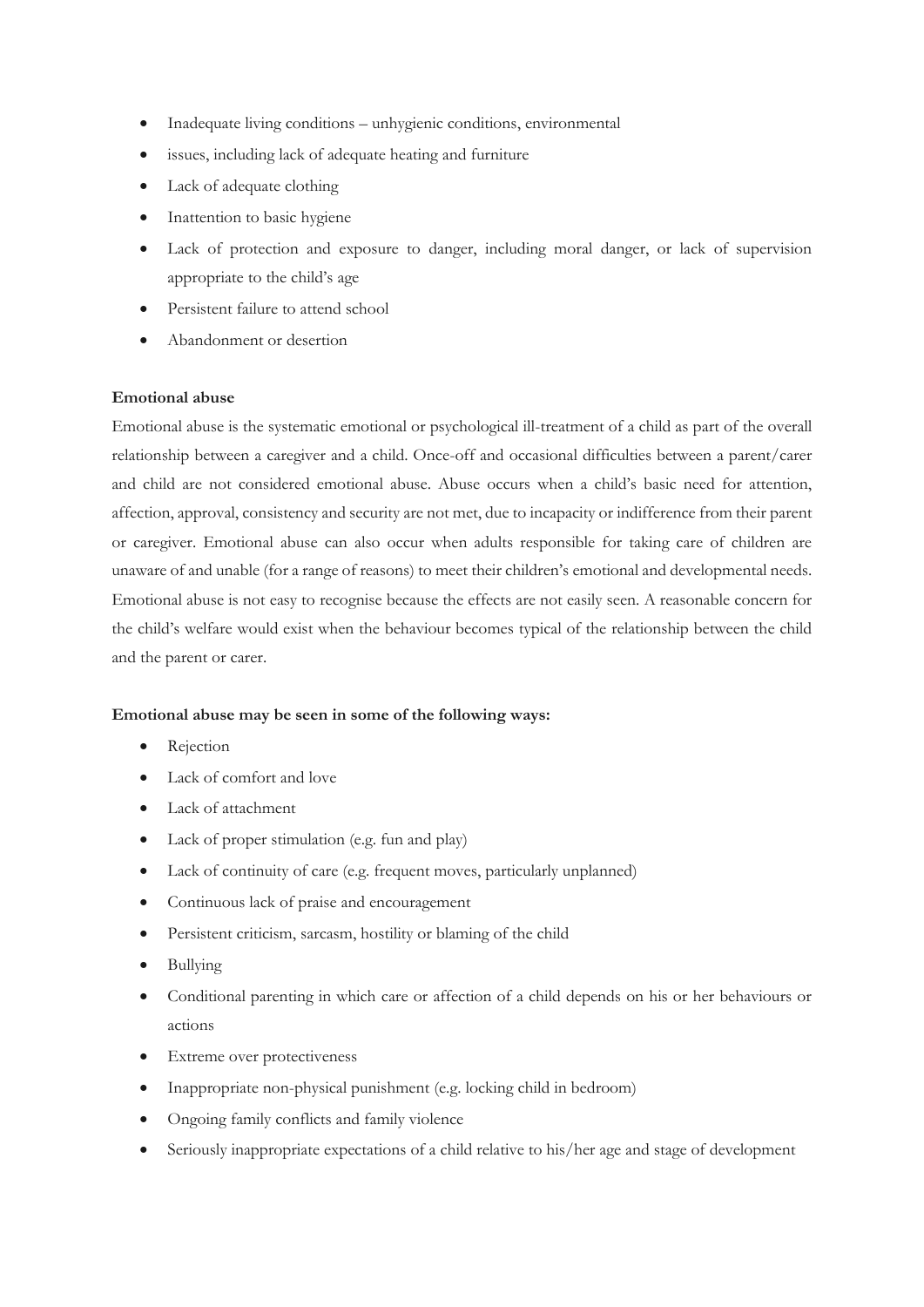- Inadequate living conditions unhygienic conditions, environmental
- issues, including lack of adequate heating and furniture
- Lack of adequate clothing
- Inattention to basic hygiene
- Lack of protection and exposure to danger, including moral danger, or lack of supervision appropriate to the child's age
- Persistent failure to attend school
- Abandonment or desertion

### **Emotional abuse**

Emotional abuse is the systematic emotional or psychological ill-treatment of a child as part of the overall relationship between a caregiver and a child. Once-off and occasional difficulties between a parent/carer and child are not considered emotional abuse. Abuse occurs when a child's basic need for attention, affection, approval, consistency and security are not met, due to incapacity or indifference from their parent or caregiver. Emotional abuse can also occur when adults responsible for taking care of children are unaware of and unable (for a range of reasons) to meet their children's emotional and developmental needs. Emotional abuse is not easy to recognise because the effects are not easily seen. A reasonable concern for the child's welfare would exist when the behaviour becomes typical of the relationship between the child and the parent or carer.

#### **Emotional abuse may be seen in some of the following ways:**

- Rejection
- Lack of comfort and love
- Lack of attachment
- Lack of proper stimulation (e.g. fun and play)
- Lack of continuity of care (e.g. frequent moves, particularly unplanned)
- Continuous lack of praise and encouragement
- Persistent criticism, sarcasm, hostility or blaming of the child
- Bullying
- Conditional parenting in which care or affection of a child depends on his or her behaviours or actions
- Extreme over protectiveness
- Inappropriate non-physical punishment (e.g. locking child in bedroom)
- Ongoing family conflicts and family violence
- Seriously inappropriate expectations of a child relative to his/her age and stage of development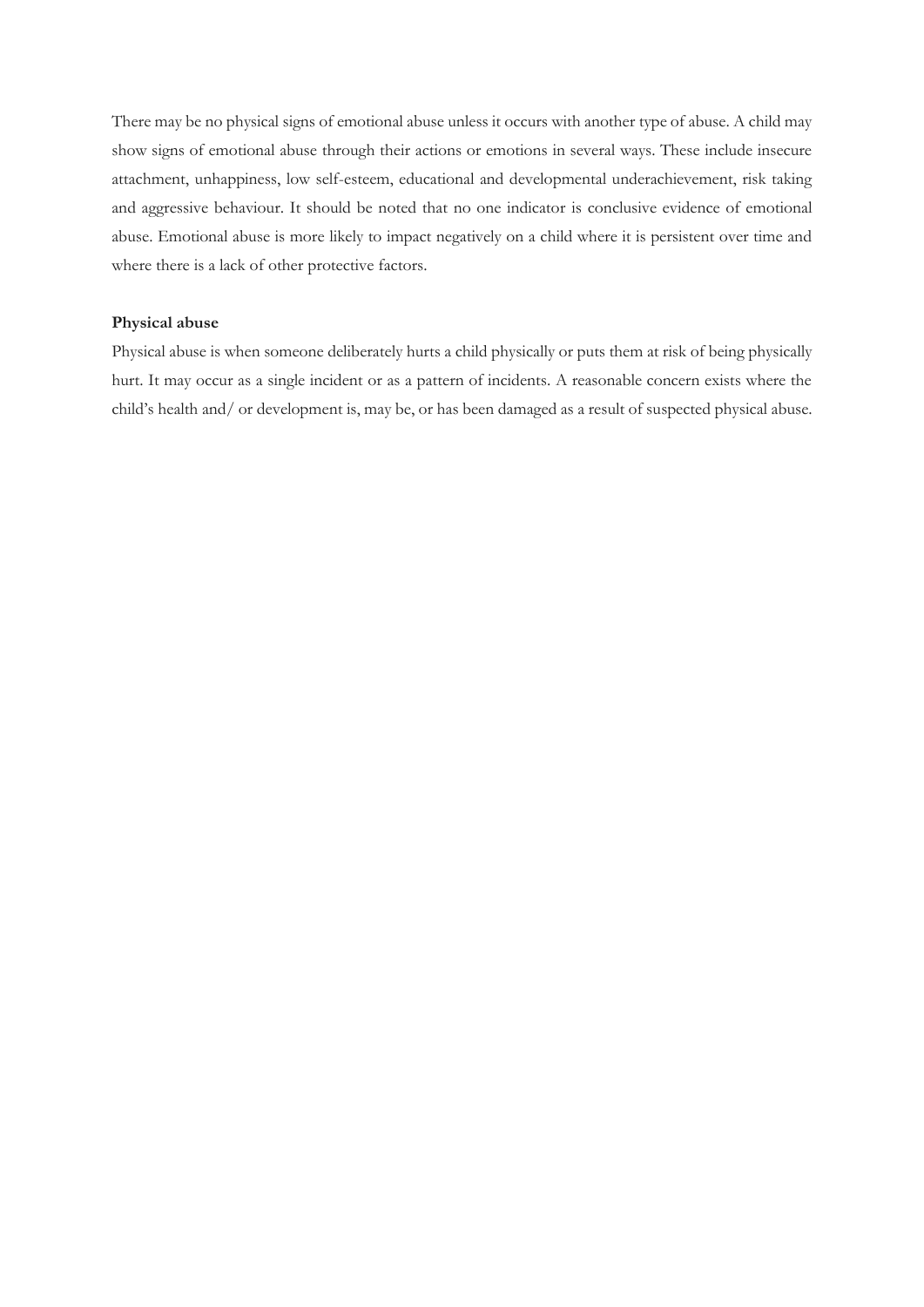There may be no physical signs of emotional abuse unless it occurs with another type of abuse. A child may show signs of emotional abuse through their actions or emotions in several ways. These include insecure attachment, unhappiness, low self-esteem, educational and developmental underachievement, risk taking and aggressive behaviour. It should be noted that no one indicator is conclusive evidence of emotional abuse. Emotional abuse is more likely to impact negatively on a child where it is persistent over time and where there is a lack of other protective factors.

#### **Physical abuse**

Physical abuse is when someone deliberately hurts a child physically or puts them at risk of being physically hurt. It may occur as a single incident or as a pattern of incidents. A reasonable concern exists where the child's health and/ or development is, may be, or has been damaged as a result of suspected physical abuse.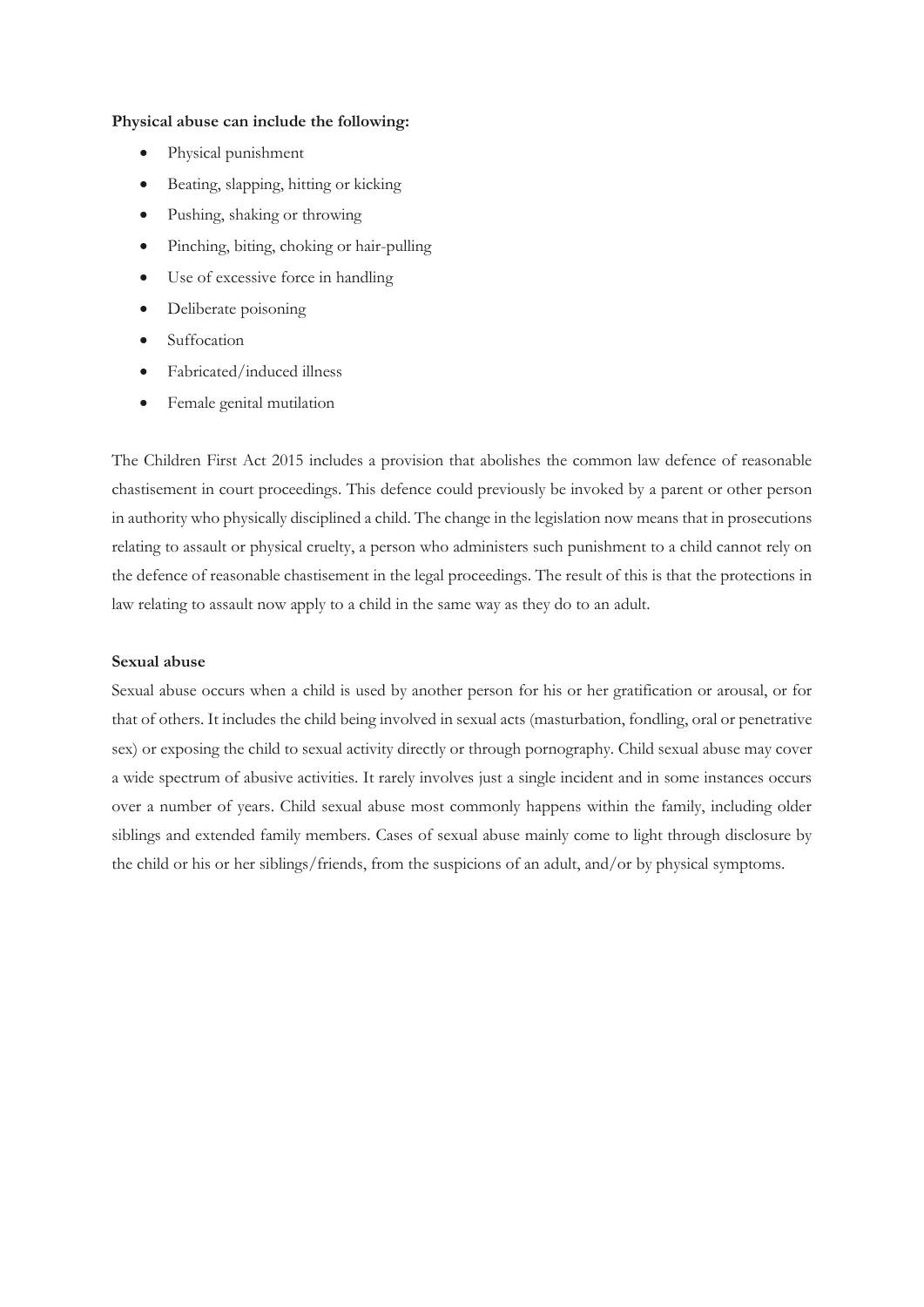#### **Physical abuse can include the following:**

- Physical punishment
- Beating, slapping, hitting or kicking
- Pushing, shaking or throwing
- Pinching, biting, choking or hair-pulling
- Use of excessive force in handling
- Deliberate poisoning
- Suffocation
- Fabricated/induced illness
- Female genital mutilation

The Children First Act 2015 includes a provision that abolishes the common law defence of reasonable chastisement in court proceedings. This defence could previously be invoked by a parent or other person in authority who physically disciplined a child. The change in the legislation now means that in prosecutions relating to assault or physical cruelty, a person who administers such punishment to a child cannot rely on the defence of reasonable chastisement in the legal proceedings. The result of this is that the protections in law relating to assault now apply to a child in the same way as they do to an adult.

#### **Sexual abuse**

Sexual abuse occurs when a child is used by another person for his or her gratification or arousal, or for that of others. It includes the child being involved in sexual acts (masturbation, fondling, oral or penetrative sex) or exposing the child to sexual activity directly or through pornography. Child sexual abuse may cover a wide spectrum of abusive activities. It rarely involves just a single incident and in some instances occurs over a number of years. Child sexual abuse most commonly happens within the family, including older siblings and extended family members. Cases of sexual abuse mainly come to light through disclosure by the child or his or her siblings/friends, from the suspicions of an adult, and/or by physical symptoms.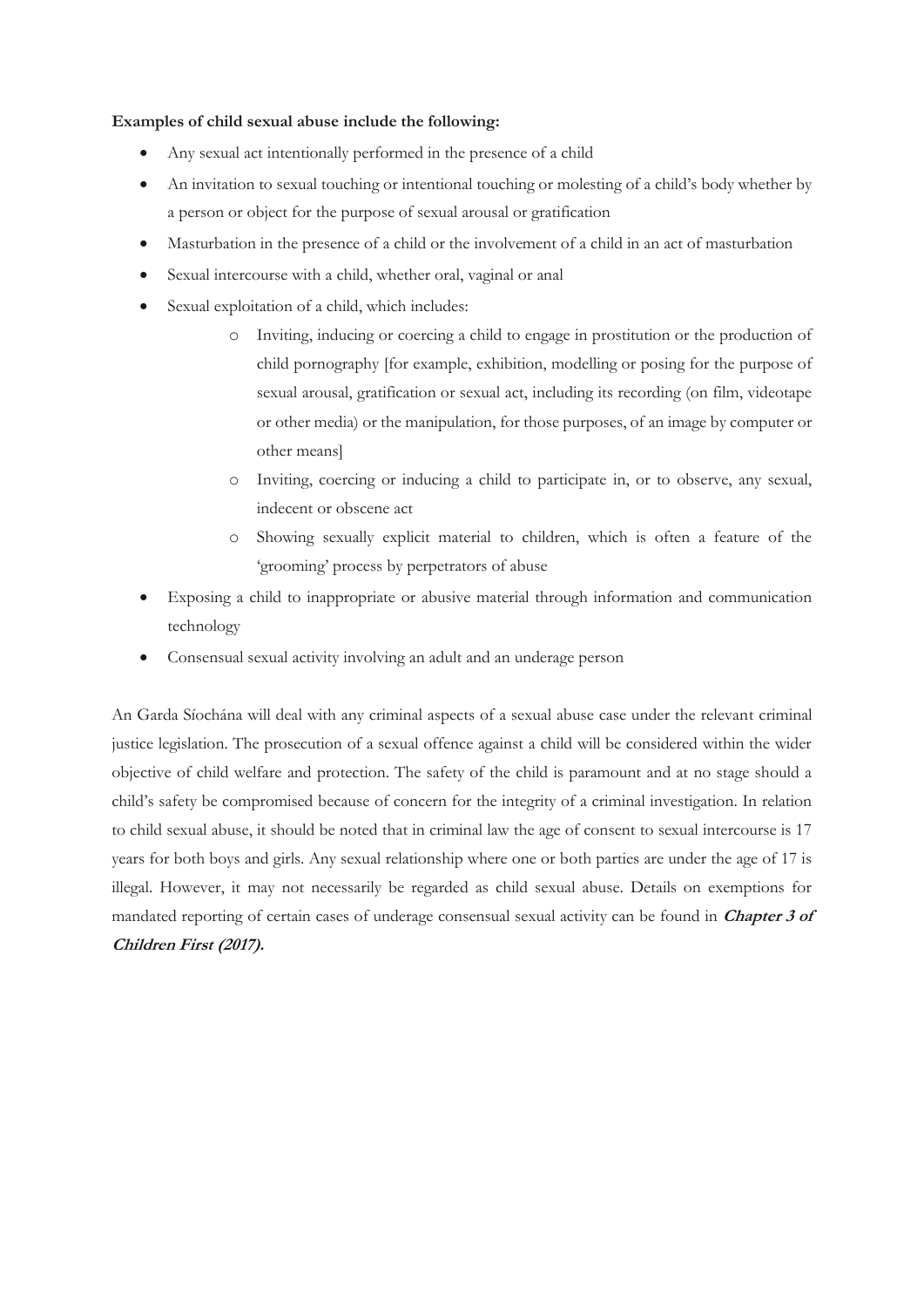## **Examples of child sexual abuse include the following:**

- Any sexual act intentionally performed in the presence of a child
- An invitation to sexual touching or intentional touching or molesting of a child's body whether by a person or object for the purpose of sexual arousal or gratification
- Masturbation in the presence of a child or the involvement of a child in an act of masturbation
- Sexual intercourse with a child, whether oral, vaginal or anal
- Sexual exploitation of a child, which includes:
	- o Inviting, inducing or coercing a child to engage in prostitution or the production of child pornography [for example, exhibition, modelling or posing for the purpose of sexual arousal, gratification or sexual act, including its recording (on film, videotape or other media) or the manipulation, for those purposes, of an image by computer or other means]
	- o Inviting, coercing or inducing a child to participate in, or to observe, any sexual, indecent or obscene act
	- o Showing sexually explicit material to children, which is often a feature of the 'grooming' process by perpetrators of abuse
- Exposing a child to inappropriate or abusive material through information and communication technology
- Consensual sexual activity involving an adult and an underage person

An Garda Síochána will deal with any criminal aspects of a sexual abuse case under the relevant criminal justice legislation. The prosecution of a sexual offence against a child will be considered within the wider objective of child welfare and protection. The safety of the child is paramount and at no stage should a child's safety be compromised because of concern for the integrity of a criminal investigation. In relation to child sexual abuse, it should be noted that in criminal law the age of consent to sexual intercourse is 17 years for both boys and girls. Any sexual relationship where one or both parties are under the age of 17 is illegal. However, it may not necessarily be regarded as child sexual abuse. Details on exemptions for mandated reporting of certain cases of underage consensual sexual activity can be found in **Chapter 3 of Children First (2017).**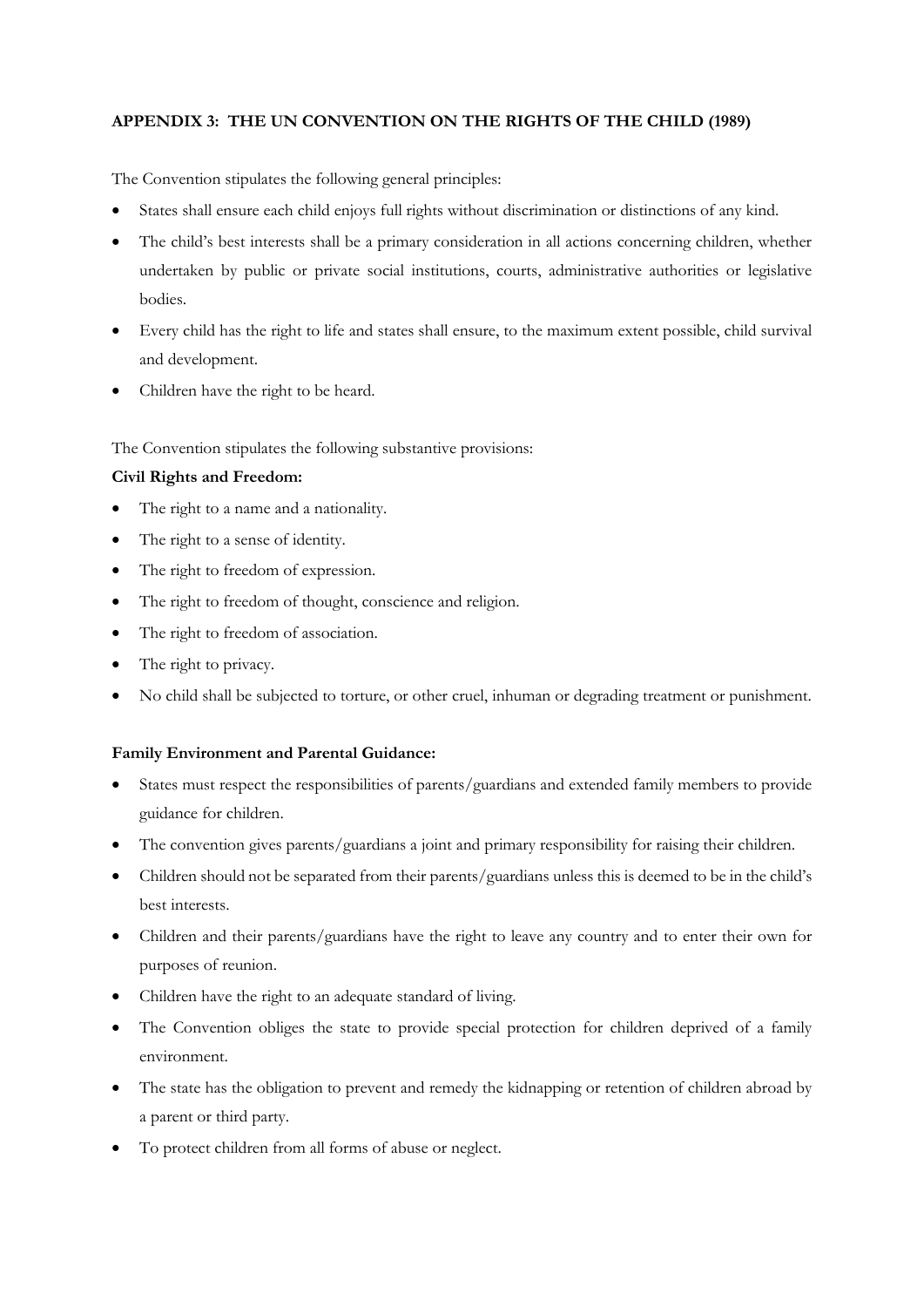# **APPENDIX 3: THE UN CONVENTION ON THE RIGHTS OF THE CHILD (1989)**

The Convention stipulates the following general principles:

- States shall ensure each child enjoys full rights without discrimination or distinctions of any kind.
- The child's best interests shall be a primary consideration in all actions concerning children, whether undertaken by public or private social institutions, courts, administrative authorities or legislative bodies.
- Every child has the right to life and states shall ensure, to the maximum extent possible, child survival and development.
- Children have the right to be heard.

The Convention stipulates the following substantive provisions:

### **Civil Rights and Freedom:**

- The right to a name and a nationality.
- The right to a sense of identity.
- The right to freedom of expression.
- The right to freedom of thought, conscience and religion.
- The right to freedom of association.
- The right to privacy.
- No child shall be subjected to torture, or other cruel, inhuman or degrading treatment or punishment.

### **Family Environment and Parental Guidance:**

- States must respect the responsibilities of parents/guardians and extended family members to provide guidance for children.
- The convention gives parents/guardians a joint and primary responsibility for raising their children.
- Children should not be separated from their parents/guardians unless this is deemed to be in the child's best interests.
- Children and their parents/guardians have the right to leave any country and to enter their own for purposes of reunion.
- Children have the right to an adequate standard of living.
- The Convention obliges the state to provide special protection for children deprived of a family environment.
- The state has the obligation to prevent and remedy the kidnapping or retention of children abroad by a parent or third party.
- To protect children from all forms of abuse or neglect.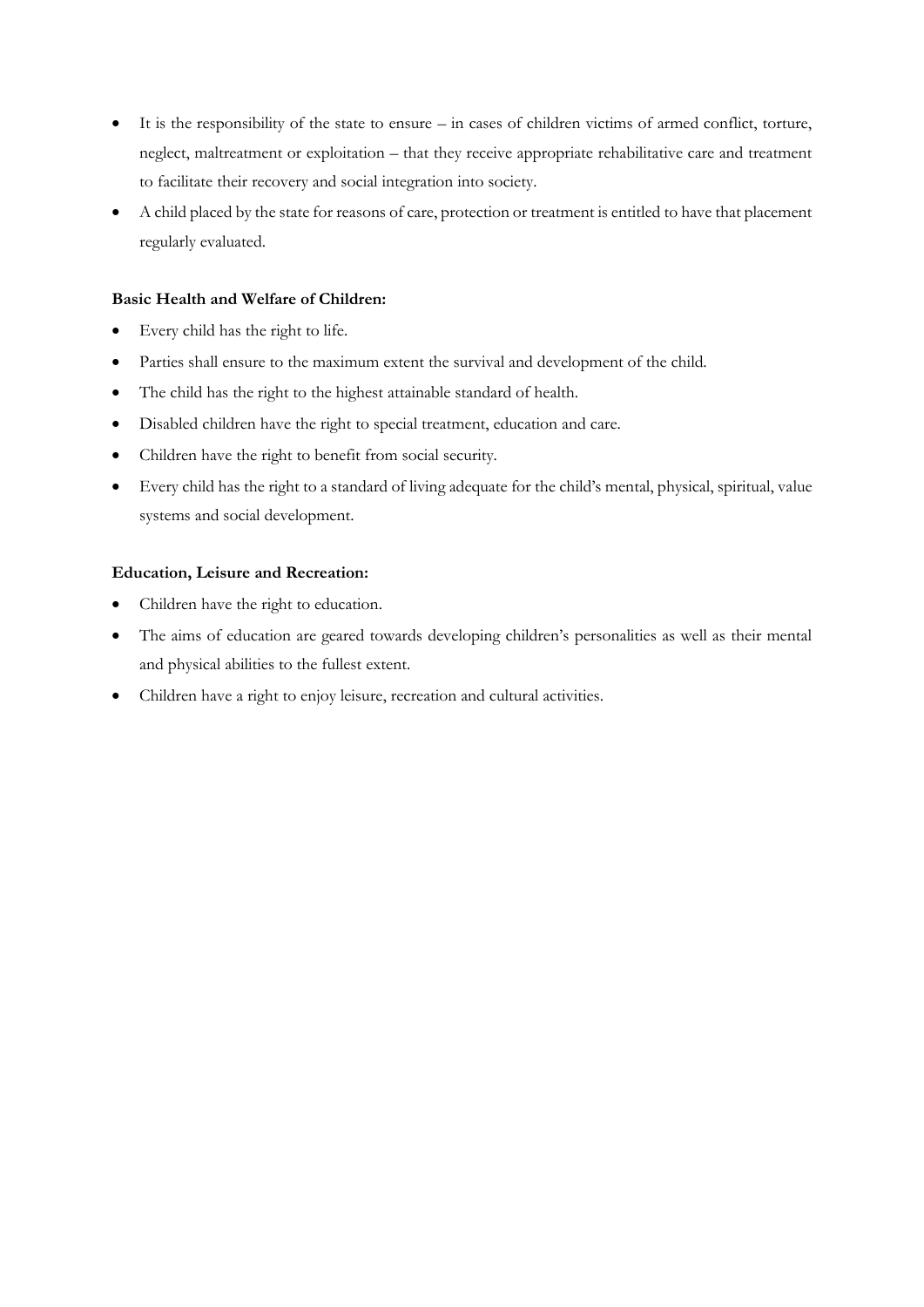- It is the responsibility of the state to ensure in cases of children victims of armed conflict, torture, neglect, maltreatment or exploitation – that they receive appropriate rehabilitative care and treatment to facilitate their recovery and social integration into society.
- A child placed by the state for reasons of care, protection or treatment is entitled to have that placement regularly evaluated.

# **Basic Health and Welfare of Children:**

- Every child has the right to life.
- Parties shall ensure to the maximum extent the survival and development of the child.
- The child has the right to the highest attainable standard of health.
- Disabled children have the right to special treatment, education and care.
- Children have the right to benefit from social security.
- Every child has the right to a standard of living adequate for the child's mental, physical, spiritual, value systems and social development.

## **Education, Leisure and Recreation:**

- Children have the right to education.
- The aims of education are geared towards developing children's personalities as well as their mental and physical abilities to the fullest extent.
- Children have a right to enjoy leisure, recreation and cultural activities.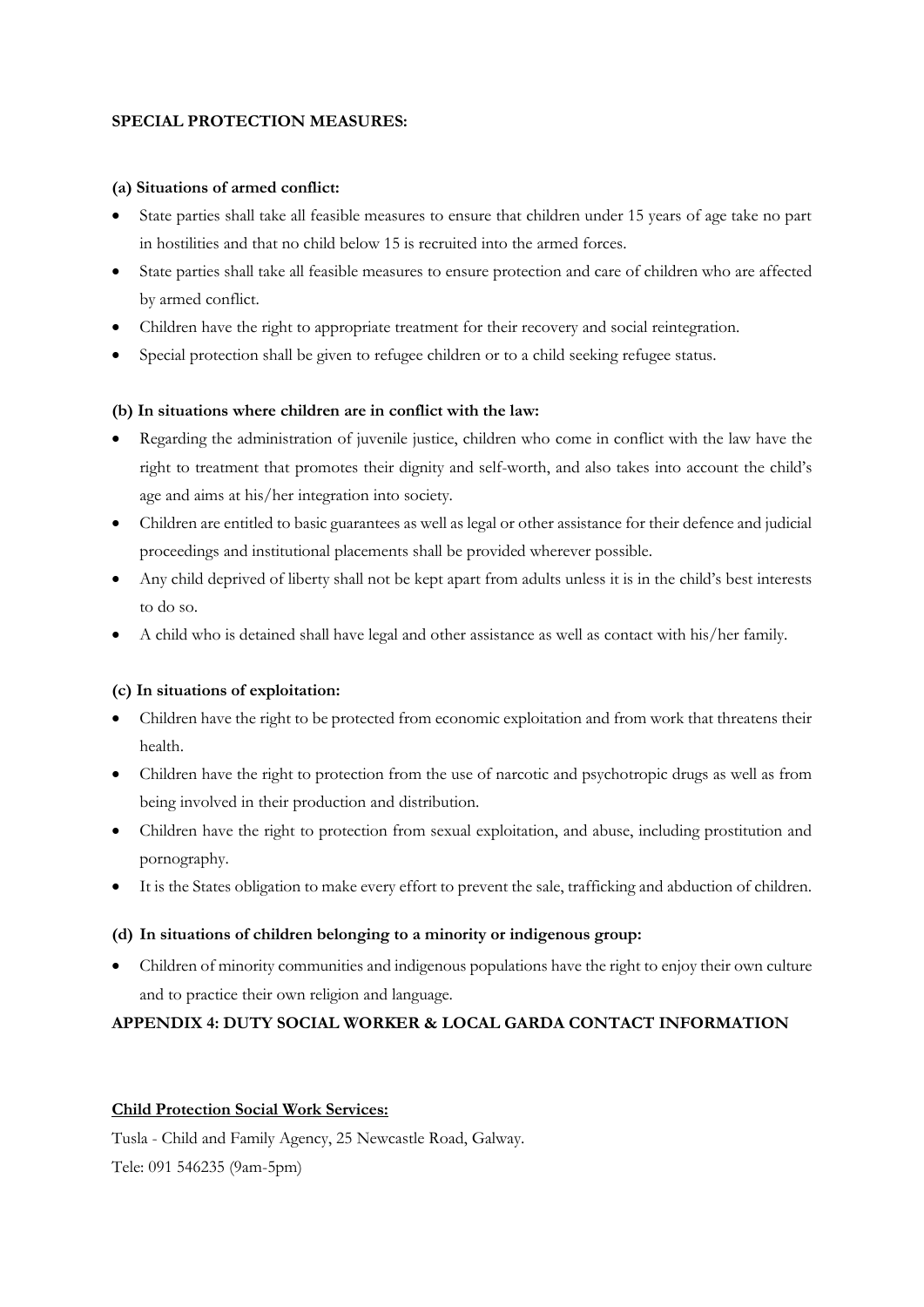# **SPECIAL PROTECTION MEASURES:**

### **(a) Situations of armed conflict:**

- State parties shall take all feasible measures to ensure that children under 15 years of age take no part in hostilities and that no child below 15 is recruited into the armed forces.
- State parties shall take all feasible measures to ensure protection and care of children who are affected by armed conflict.
- Children have the right to appropriate treatment for their recovery and social reintegration.
- Special protection shall be given to refugee children or to a child seeking refugee status.

# **(b) In situations where children are in conflict with the law:**

- Regarding the administration of juvenile justice, children who come in conflict with the law have the right to treatment that promotes their dignity and self-worth, and also takes into account the child's age and aims at his/her integration into society.
- Children are entitled to basic guarantees as well as legal or other assistance for their defence and judicial proceedings and institutional placements shall be provided wherever possible.
- Any child deprived of liberty shall not be kept apart from adults unless it is in the child's best interests to do so.
- A child who is detained shall have legal and other assistance as well as contact with his/her family.

# **(c) In situations of exploitation:**

- Children have the right to be protected from economic exploitation and from work that threatens their health.
- Children have the right to protection from the use of narcotic and psychotropic drugs as well as from being involved in their production and distribution.
- Children have the right to protection from sexual exploitation, and abuse, including prostitution and pornography.
- It is the States obligation to make every effort to prevent the sale, trafficking and abduction of children.

# **(d) In situations of children belonging to a minority or indigenous group:**

• Children of minority communities and indigenous populations have the right to enjoy their own culture and to practice their own religion and language.

# **APPENDIX 4: DUTY SOCIAL WORKER & LOCAL GARDA CONTACT INFORMATION**

# **Child Protection Social Work Services:**

Tusla - Child and Family Agency, 25 Newcastle Road, Galway. Tele: 091 546235 (9am-5pm)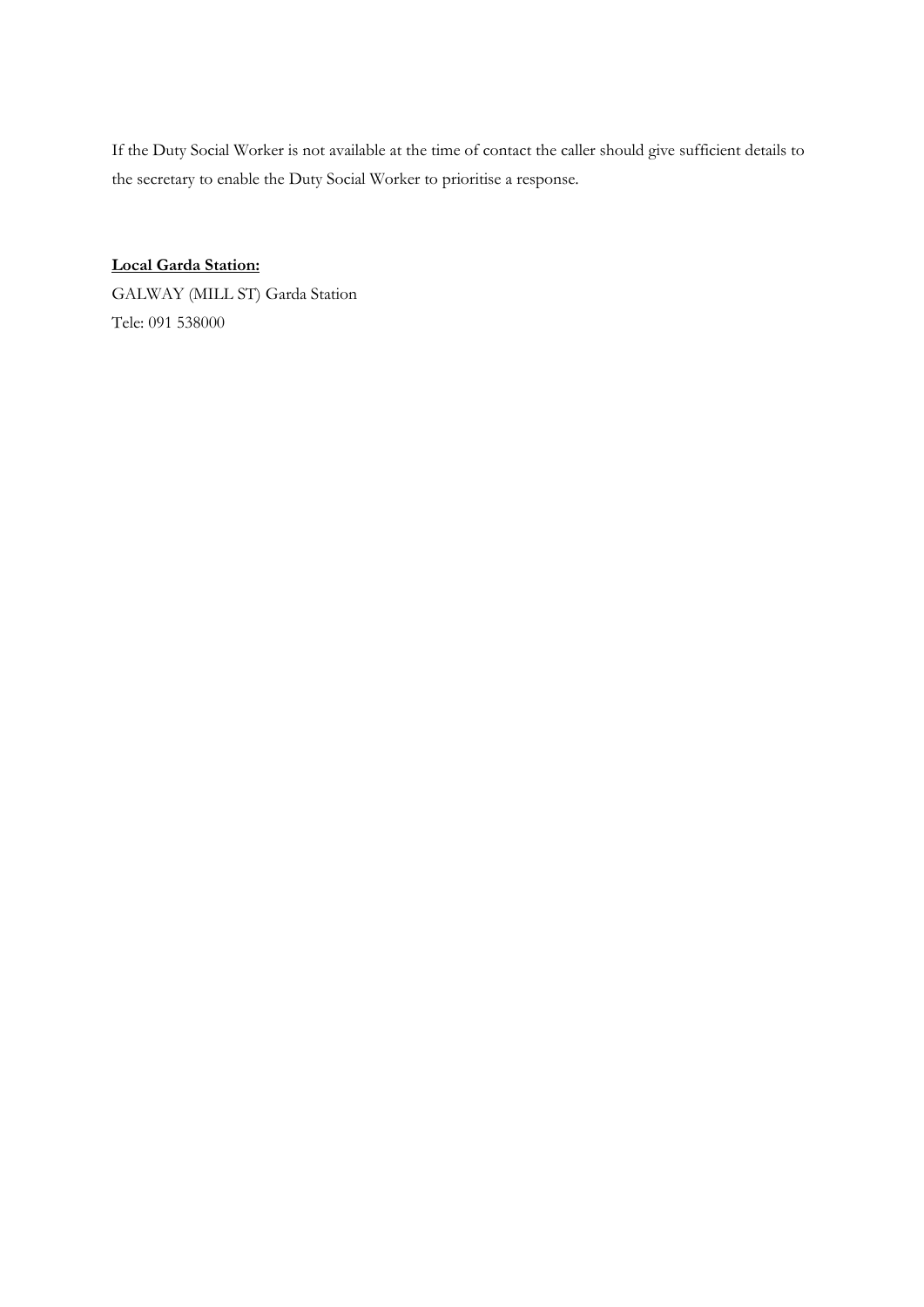If the Duty Social Worker is not available at the time of contact the caller should give sufficient details to the secretary to enable the Duty Social Worker to prioritise a response.

**Local Garda Station:** GALWAY (MILL ST) Garda Station Tele: 091 538000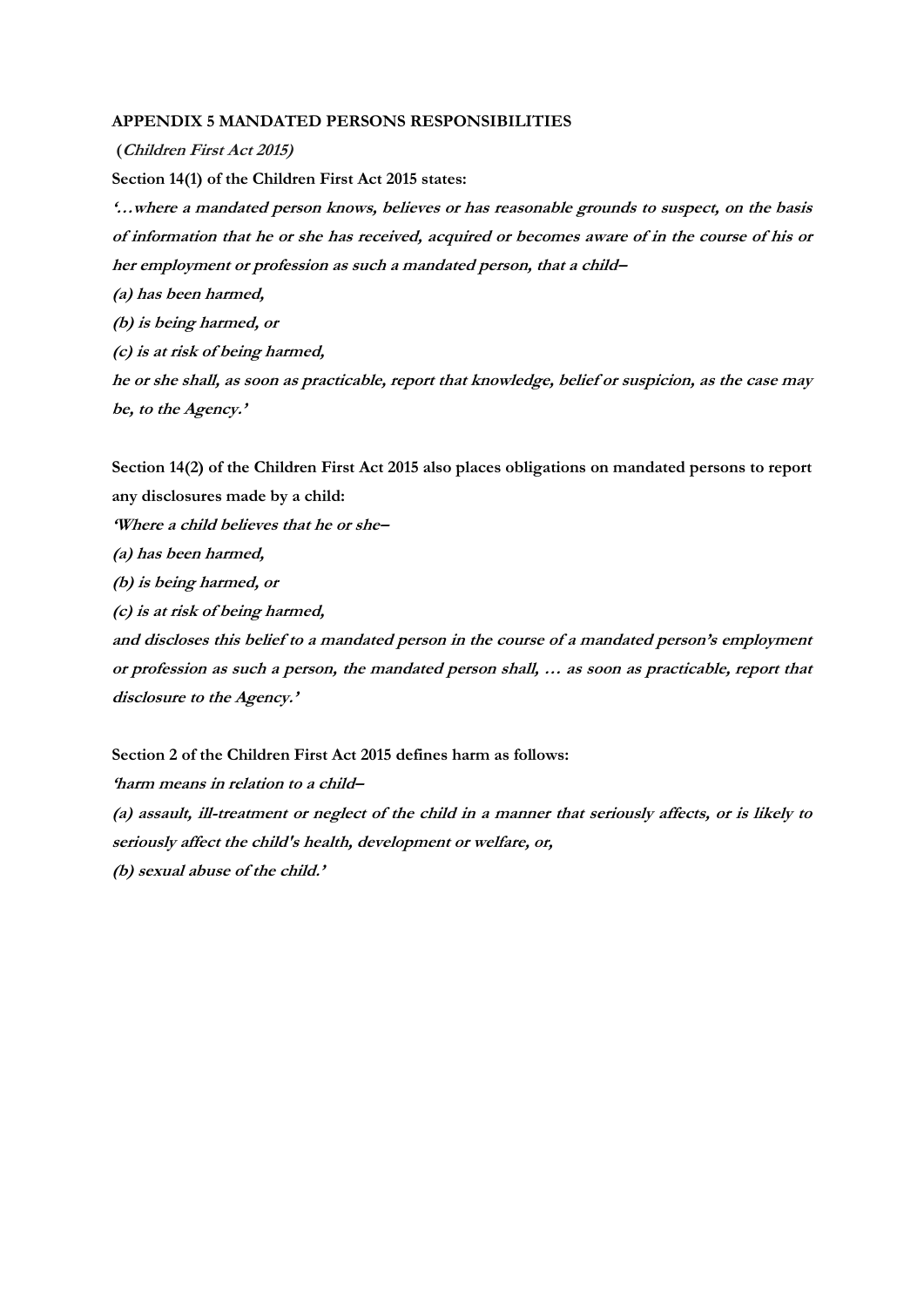#### **APPENDIX 5 MANDATED PERSONS RESPONSIBILITIES**

**(Children First Act 2015) Section 14(1) of the Children First Act 2015 states: '…where a mandated person knows, believes or has reasonable grounds to suspect, on the basis of information that he or she has received, acquired or becomes aware of in the course of his or her employment or profession as such a mandated person, that a child– (a) has been harmed, (b) is being harmed, or**

**(c) is at risk of being harmed,**

**he or she shall, as soon as practicable, report that knowledge, belief or suspicion, as the case may be, to the Agency.'**

**Section 14(2) of the Children First Act 2015 also places obligations on mandated persons to report any disclosures made by a child:**

**'Where a child believes that he or she–**

**(a) has been harmed,**

**(b) is being harmed, or**

**(c) is at risk of being harmed,**

**and discloses this belief to a mandated person in the course of a mandated person's employment or profession as such a person, the mandated person shall, … as soon as practicable, report that disclosure to the Agency.'**

**Section 2 of the Children First Act 2015 defines harm as follows:**

**'harm means in relation to a child–**

**(a) assault, ill-treatment or neglect of the child in a manner that seriously affects, or is likely to seriously affect the child's health, development or welfare, or, (b) sexual abuse of the child.'**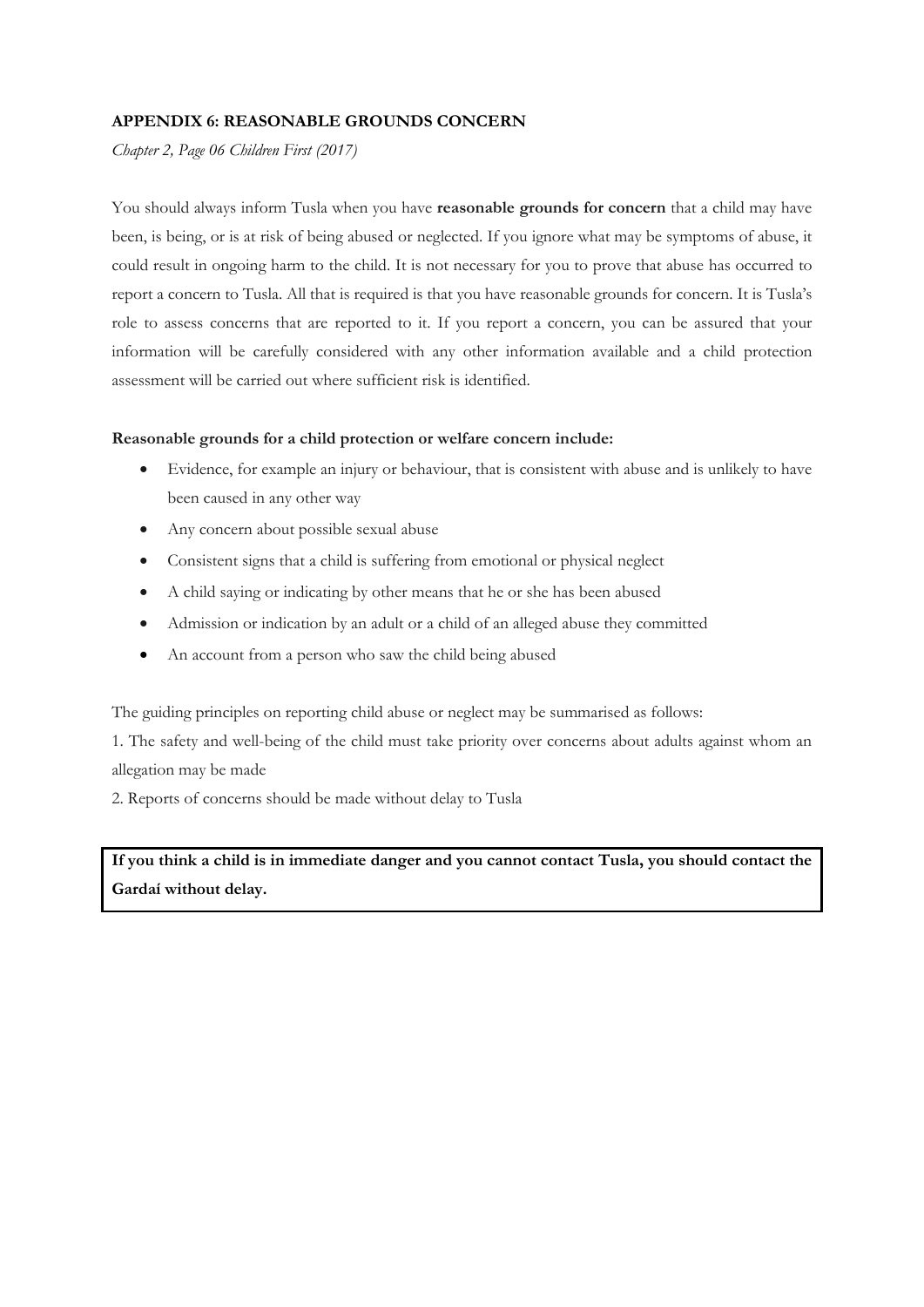# **APPENDIX 6: REASONABLE GROUNDS CONCERN**

*Chapter 2, Page 06 Children First (2017)*

You should always inform Tusla when you have **reasonable grounds for concern** that a child may have been, is being, or is at risk of being abused or neglected. If you ignore what may be symptoms of abuse, it could result in ongoing harm to the child. It is not necessary for you to prove that abuse has occurred to report a concern to Tusla. All that is required is that you have reasonable grounds for concern. It is Tusla's role to assess concerns that are reported to it. If you report a concern, you can be assured that your information will be carefully considered with any other information available and a child protection assessment will be carried out where sufficient risk is identified.

### **Reasonable grounds for a child protection or welfare concern include:**

- Evidence, for example an injury or behaviour, that is consistent with abuse and is unlikely to have been caused in any other way
- Any concern about possible sexual abuse
- Consistent signs that a child is suffering from emotional or physical neglect
- A child saying or indicating by other means that he or she has been abused
- Admission or indication by an adult or a child of an alleged abuse they committed
- An account from a person who saw the child being abused

The guiding principles on reporting child abuse or neglect may be summarised as follows:

1. The safety and well-being of the child must take priority over concerns about adults against whom an allegation may be made

2. Reports of concerns should be made without delay to Tusla

**If you think a child is in immediate danger and you cannot contact Tusla, you should contact the Gardaí without delay.**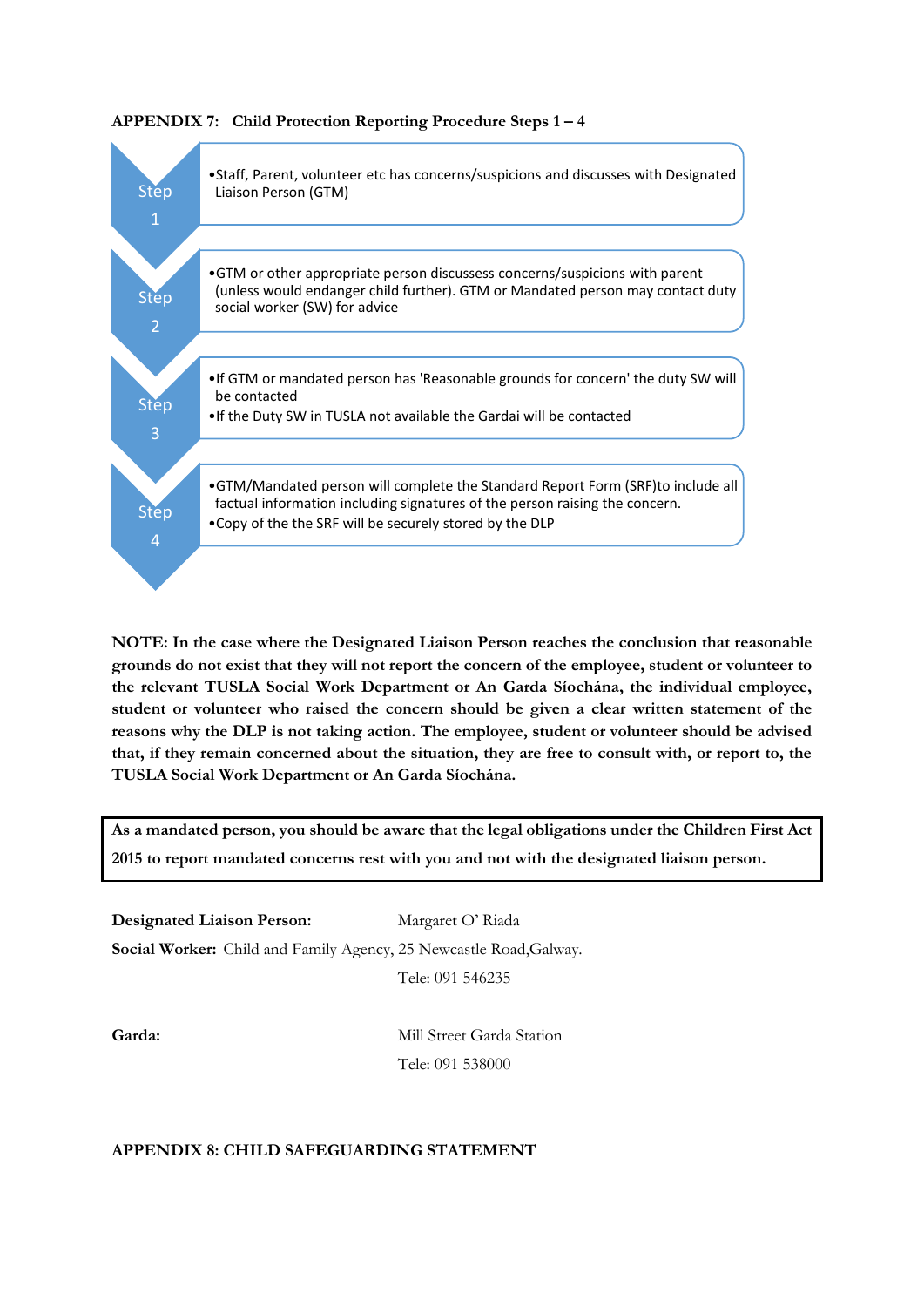

**APPENDIX 7: Child Protection Reporting Procedure Steps 1 – 4**

**NOTE: In the case where the Designated Liaison Person reaches the conclusion that reasonable grounds do not exist that they will not report the concern of the employee, student or volunteer to the relevant TUSLA Social Work Department or An Garda Síochána, the individual employee, student or volunteer who raised the concern should be given a clear written statement of the reasons why the DLP is not taking action. The employee, student or volunteer should be advised that, if they remain concerned about the situation, they are free to consult with, or report to, the TUSLA Social Work Department or An Garda Síochána.**

**As a mandated person, you should be aware that the legal obligations under the Children First Act 2015 to report mandated concerns rest with you and not with the designated liaison person.**

**Designated Liaison Person:** Margaret O' Riada

**Social Worker:** Child and Family Agency, 25 Newcastle Road,Galway.

Tele: 091 546235

**Garda:** Mill Street Garda Station Tele: 091 538000

# **APPENDIX 8: CHILD SAFEGUARDING STATEMENT**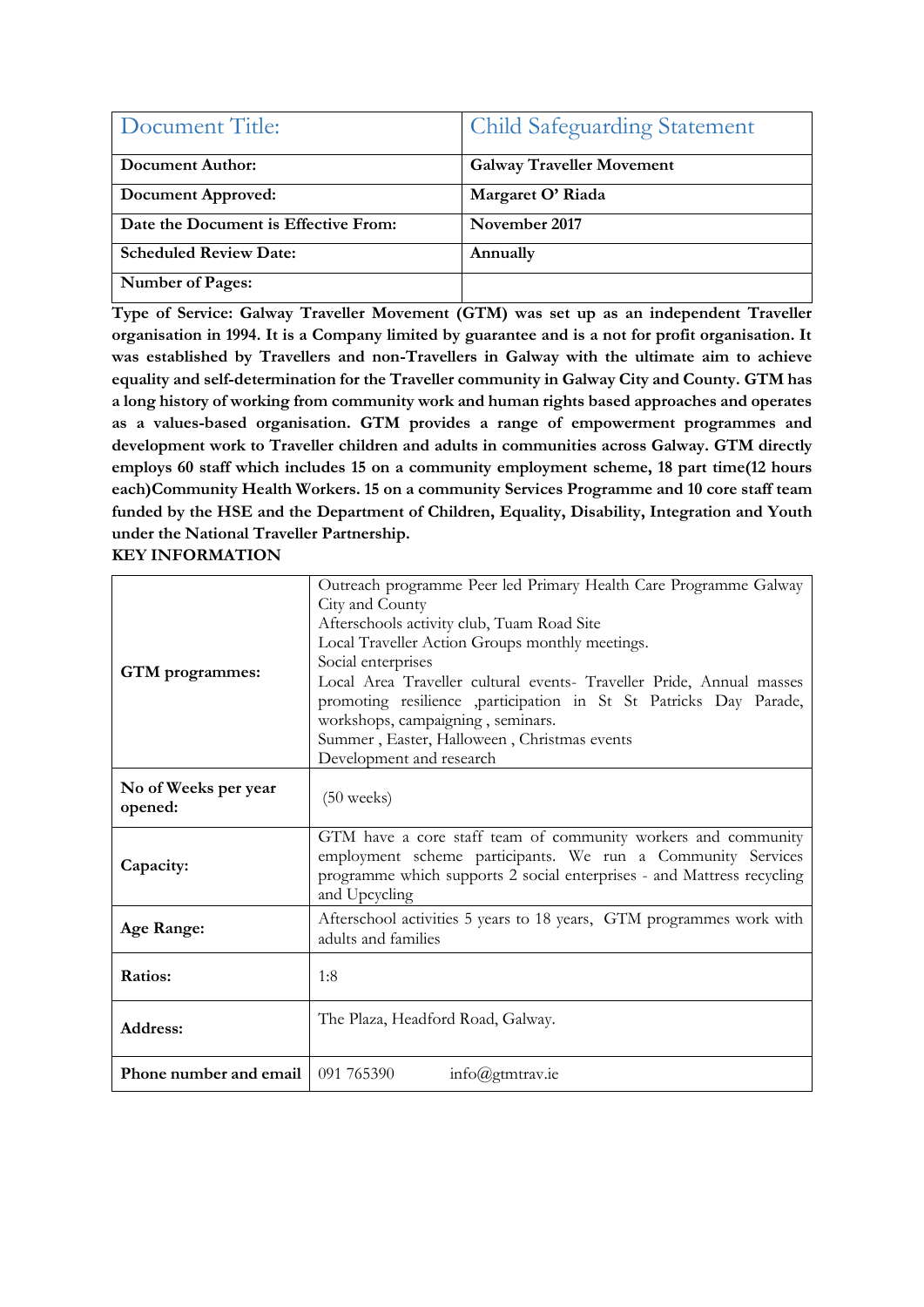| Document Title:                      | <b>Child Safeguarding Statement</b> |
|--------------------------------------|-------------------------------------|
| Document Author:                     | <b>Galway Traveller Movement</b>    |
| Document Approved:                   | Margaret O' Riada                   |
| Date the Document is Effective From: | November 2017                       |
| <b>Scheduled Review Date:</b>        | Annually                            |
| <b>Number of Pages:</b>              |                                     |

**Type of Service: Galway Traveller Movement (GTM) was set up as an independent Traveller organisation in 1994. It is a Company limited by guarantee and is a not for profit organisation. It was established by Travellers and non-Travellers in Galway with the ultimate aim to achieve equality and self-determination for the Traveller community in Galway City and County. GTM has a long history of working from community work and human rights based approaches and operates as a values-based organisation. GTM provides a range of empowerment programmes and development work to Traveller children and adults in communities across Galway. GTM directly employs 60 staff which includes 15 on a community employment scheme, 18 part time(12 hours each)Community Health Workers. 15 on a community Services Programme and 10 core staff team funded by the HSE and the Department of Children, Equality, Disability, Integration and Youth under the National Traveller Partnership.** 

**KEY INFORMATION** 

| GTM programmes:                 | Outreach programme Peer led Primary Health Care Programme Galway<br>City and County<br>Afterschools activity club, Tuam Road Site<br>Local Traveller Action Groups monthly meetings.<br>Social enterprises<br>Local Area Traveller cultural events- Traveller Pride, Annual masses<br>promoting resilience ,participation in St St Patricks Day Parade,<br>workshops, campaigning, seminars.<br>Summer, Easter, Halloween, Christmas events<br>Development and research |
|---------------------------------|-------------------------------------------------------------------------------------------------------------------------------------------------------------------------------------------------------------------------------------------------------------------------------------------------------------------------------------------------------------------------------------------------------------------------------------------------------------------------|
| No of Weeks per year<br>opened: | $(50 \text{ weeks})$                                                                                                                                                                                                                                                                                                                                                                                                                                                    |
| Capacity:                       | GTM have a core staff team of community workers and community<br>employment scheme participants. We run a Community Services<br>programme which supports 2 social enterprises - and Mattress recycling<br>and Upcycling                                                                                                                                                                                                                                                 |
| Age Range:                      | Afterschool activities 5 years to 18 years, GTM programmes work with<br>adults and families                                                                                                                                                                                                                                                                                                                                                                             |
| Ratios:                         | 1:8                                                                                                                                                                                                                                                                                                                                                                                                                                                                     |
| Address:                        | The Plaza, Headford Road, Galway.                                                                                                                                                                                                                                                                                                                                                                                                                                       |
| Phone number and email          | 091 765390<br>$info$ @gtmtrav.ie                                                                                                                                                                                                                                                                                                                                                                                                                                        |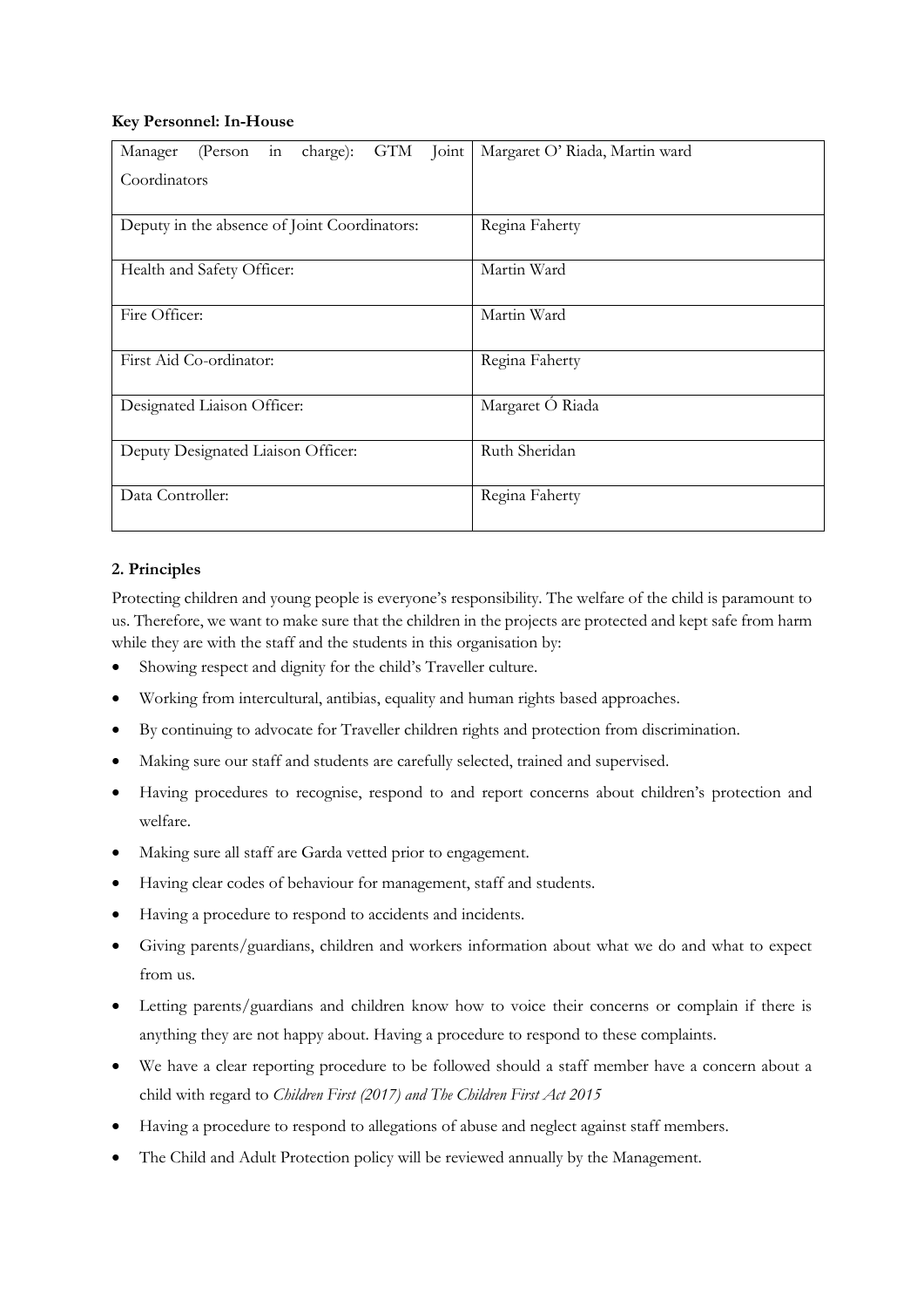# **Key Personnel: In-House**

| (Person in charge): GTM Joint<br>Manager     | Margaret O' Riada, Martin ward |
|----------------------------------------------|--------------------------------|
| Coordinators                                 |                                |
|                                              |                                |
| Deputy in the absence of Joint Coordinators: | Regina Faherty                 |
| Health and Safety Officer:                   | Martin Ward                    |
| Fire Officer:                                | Martin Ward                    |
| First Aid Co-ordinator:                      | Regina Faherty                 |
| Designated Liaison Officer:                  | Margaret Ó Riada               |
| Deputy Designated Liaison Officer:           | Ruth Sheridan                  |
| Data Controller:                             | Regina Faherty                 |

# **2. Principles**

Protecting children and young people is everyone's responsibility. The welfare of the child is paramount to us. Therefore, we want to make sure that the children in the projects are protected and kept safe from harm while they are with the staff and the students in this organisation by:

- Showing respect and dignity for the child's Traveller culture.
- Working from intercultural, antibias, equality and human rights based approaches.
- By continuing to advocate for Traveller children rights and protection from discrimination.
- Making sure our staff and students are carefully selected, trained and supervised.
- Having procedures to recognise, respond to and report concerns about children's protection and welfare.
- Making sure all staff are Garda vetted prior to engagement.
- Having clear codes of behaviour for management, staff and students.
- Having a procedure to respond to accidents and incidents.
- Giving parents/guardians, children and workers information about what we do and what to expect from us.
- Letting parents/guardians and children know how to voice their concerns or complain if there is anything they are not happy about. Having a procedure to respond to these complaints.
- We have a clear reporting procedure to be followed should a staff member have a concern about a child with regard to *Children First (2017) and The Children First Act 2015*
- Having a procedure to respond to allegations of abuse and neglect against staff members.
- The Child and Adult Protection policy will be reviewed annually by the Management.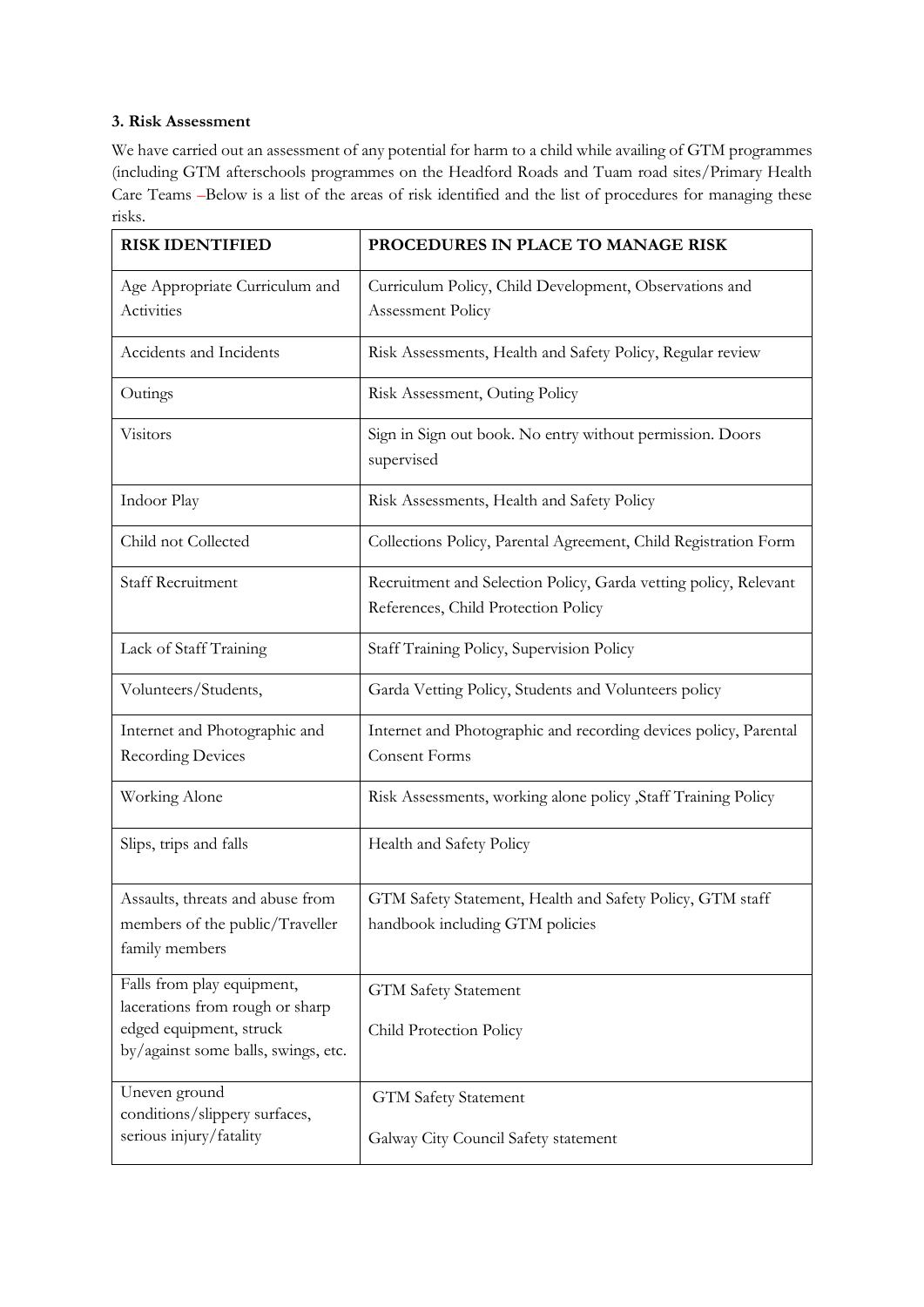# **3. Risk Assessment**

We have carried out an assessment of any potential for harm to a child while availing of GTM programmes (including GTM afterschools programmes on the Headford Roads and Tuam road sites/Primary Health Care Teams *–*Below is a list of the areas of risk identified and the list of procedures for managing these risks.

| <b>RISK IDENTIFIED</b>                                                                                                          | PROCEDURES IN PLACE TO MANAGE RISK                                                                      |  |
|---------------------------------------------------------------------------------------------------------------------------------|---------------------------------------------------------------------------------------------------------|--|
| Age Appropriate Curriculum and<br>Activities                                                                                    | Curriculum Policy, Child Development, Observations and<br>Assessment Policy                             |  |
| Accidents and Incidents                                                                                                         | Risk Assessments, Health and Safety Policy, Regular review                                              |  |
| Outings                                                                                                                         | Risk Assessment, Outing Policy                                                                          |  |
| Visitors                                                                                                                        | Sign in Sign out book. No entry without permission. Doors<br>supervised                                 |  |
| Indoor Play                                                                                                                     | Risk Assessments, Health and Safety Policy                                                              |  |
| Child not Collected                                                                                                             | Collections Policy, Parental Agreement, Child Registration Form                                         |  |
| <b>Staff Recruitment</b>                                                                                                        | Recruitment and Selection Policy, Garda vetting policy, Relevant<br>References, Child Protection Policy |  |
| Lack of Staff Training                                                                                                          | Staff Training Policy, Supervision Policy                                                               |  |
| Volunteers/Students,                                                                                                            | Garda Vetting Policy, Students and Volunteers policy                                                    |  |
| Internet and Photographic and<br><b>Recording Devices</b>                                                                       | Internet and Photographic and recording devices policy, Parental<br>Consent Forms                       |  |
| Working Alone                                                                                                                   | Risk Assessments, working alone policy , Staff Training Policy                                          |  |
| Slips, trips and falls                                                                                                          | Health and Safety Policy                                                                                |  |
| Assaults, threats and abuse from<br>members of the public/Traveller<br>family members                                           | GTM Safety Statement, Health and Safety Policy, GTM staff<br>handbook including GTM policies            |  |
| Falls from play equipment,<br>lacerations from rough or sharp<br>edged equipment, struck<br>by/against some balls, swings, etc. | <b>GTM Safety Statement</b><br>Child Protection Policy                                                  |  |
| Uneven ground<br>conditions/slippery surfaces,<br>serious injury/fatality                                                       | <b>GTM Safety Statement</b><br>Galway City Council Safety statement                                     |  |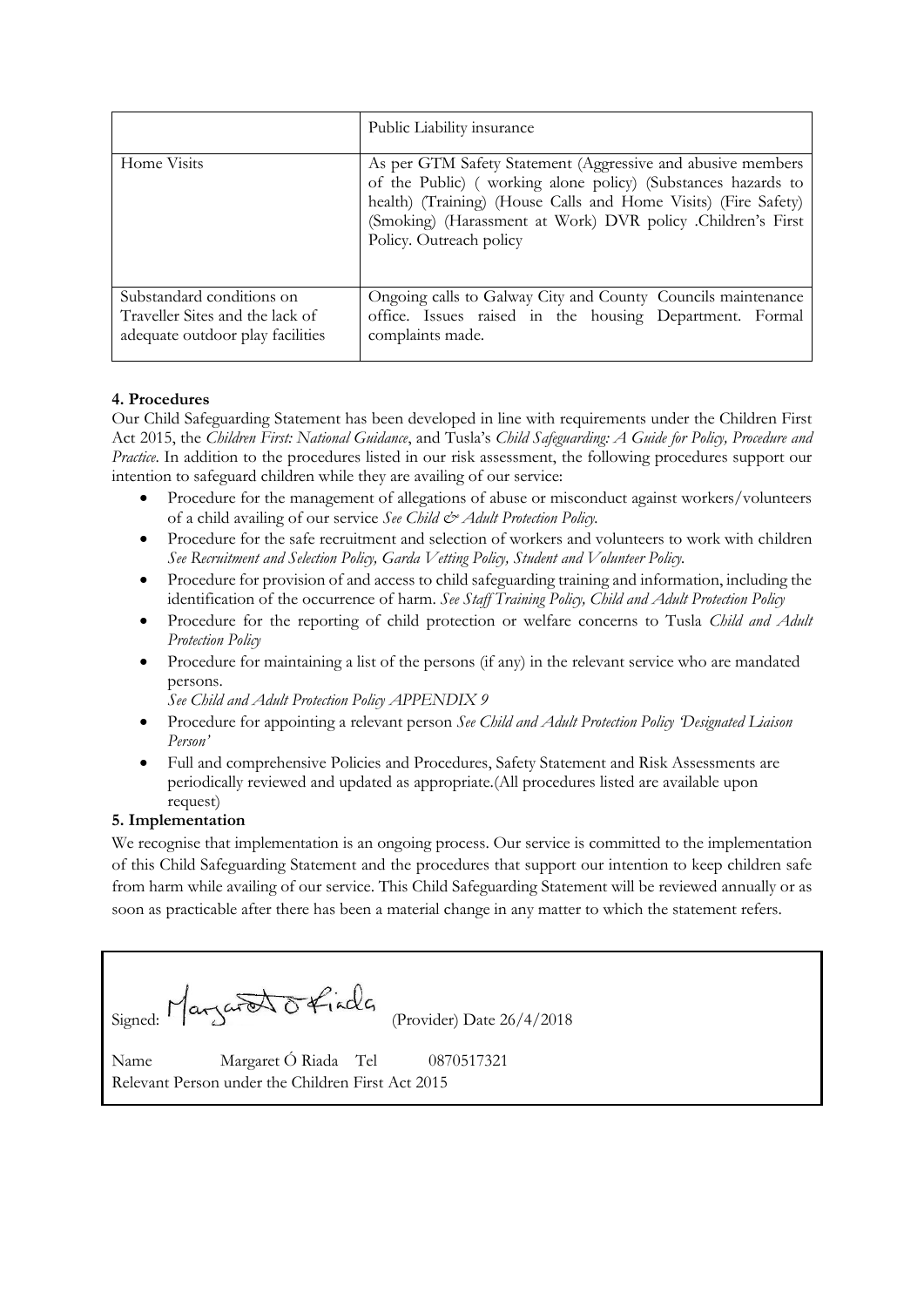|                                                                                                  | Public Liability insurance                                                                                                                                                                                                                                                              |
|--------------------------------------------------------------------------------------------------|-----------------------------------------------------------------------------------------------------------------------------------------------------------------------------------------------------------------------------------------------------------------------------------------|
| Home Visits                                                                                      | As per GTM Safety Statement (Aggressive and abusive members<br>of the Public) (working alone policy) (Substances hazards to<br>health) (Training) (House Calls and Home Visits) (Fire Safety)<br>(Smoking) (Harassment at Work) DVR policy .Children's First<br>Policy. Outreach policy |
| Substandard conditions on<br>Traveller Sites and the lack of<br>adequate outdoor play facilities | Ongoing calls to Galway City and County Councils maintenance<br>office. Issues raised in the housing Department. Formal<br>complaints made.                                                                                                                                             |

# **4. Procedures**

Our Child Safeguarding Statement has been developed in line with requirements under the Children First Act 2015, the *Children First: National Guidance*, and Tusla's *Child Safeguarding: A Guide for Policy, Procedure and Practice*. In addition to the procedures listed in our risk assessment, the following procedures support our intention to safeguard children while they are availing of our service:

- Procedure for the management of allegations of abuse or misconduct against workers/volunteers of a child availing of our service *See Child & Adult Protection Policy.*
- Procedure for the safe recruitment and selection of workers and volunteers to work with children *See Recruitment and Selection Policy, Garda Vetting Policy, Student and Volunteer Policy.*
- Procedure for provision of and access to child safeguarding training and information, including the identification of the occurrence of harm. *See Staff Training Policy, Child and Adult Protection Policy*
- Procedure for the reporting of child protection or welfare concerns to Tusla *Child and Adult Protection Policy*
- Procedure for maintaining a list of the persons (if any) in the relevant service who are mandated persons.

*See Child and Adult Protection Policy APPENDIX 9* 

- Procedure for appointing a relevant person *See Child and Adult Protection Policy 'Designated Liaison Person'*
- Full and comprehensive Policies and Procedures, Safety Statement and Risk Assessments are periodically reviewed and updated as appropriate.(All procedures listed are available upon request)

# **5. Implementation**

We recognise that implementation is an ongoing process. Our service is committed to the implementation of this Child Safeguarding Statement and the procedures that support our intention to keep children safe from harm while availing of our service. This Child Safeguarding Statement will be reviewed annually or as soon as practicable after there has been a material change in any matter to which the statement refers.

|                                                                                           | Signed: Margaret Offiacles (Provider) Date 26/4/2018 |
|-------------------------------------------------------------------------------------------|------------------------------------------------------|
| Name Margaret Ó Riada Tel 0870517321<br>Relevant Person under the Children First Act 2015 |                                                      |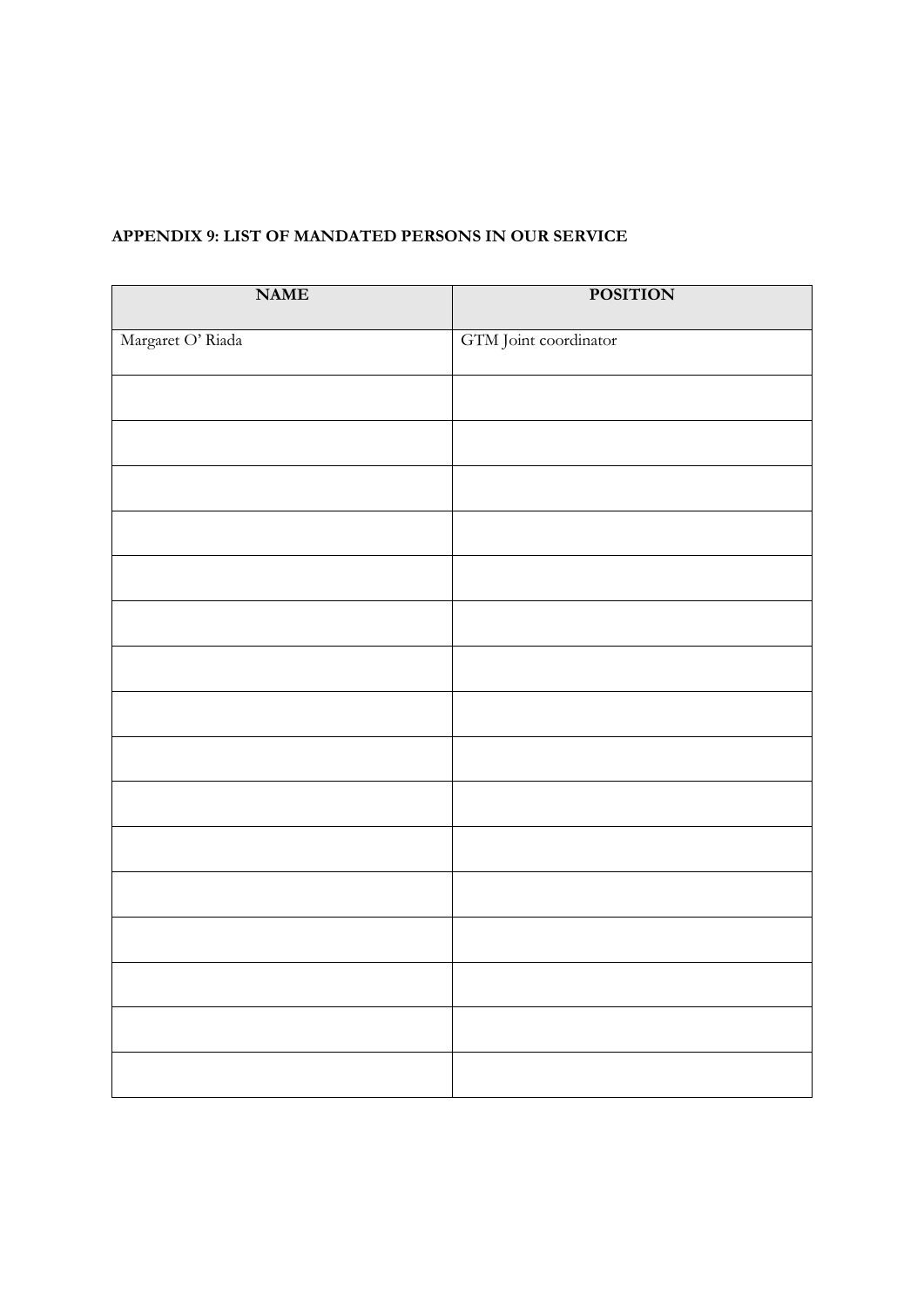| <b>NAME</b>       | <b>POSITION</b>       |
|-------------------|-----------------------|
| Margaret O' Riada | GTM Joint coordinator |
|                   |                       |
|                   |                       |
|                   |                       |
|                   |                       |
|                   |                       |
|                   |                       |
|                   |                       |
|                   |                       |
|                   |                       |
|                   |                       |
|                   |                       |
|                   |                       |
|                   |                       |
|                   |                       |
|                   |                       |
|                   |                       |

# **APPENDIX 9: LIST OF MANDATED PERSONS IN OUR SERVICE**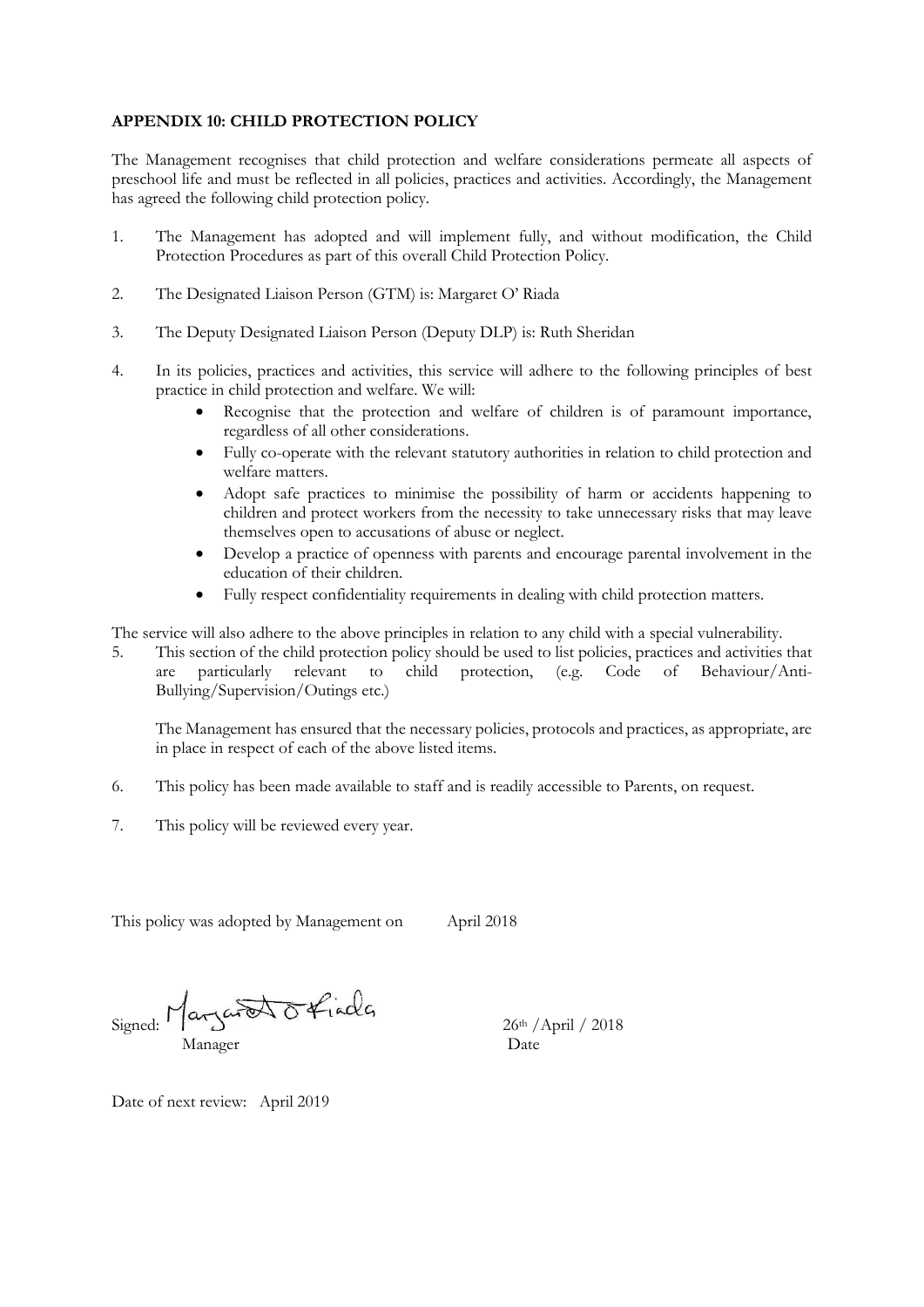### **APPENDIX 10: CHILD PROTECTION POLICY**

The Management recognises that child protection and welfare considerations permeate all aspects of preschool life and must be reflected in all policies, practices and activities. Accordingly, the Management has agreed the following child protection policy.

- 1. The Management has adopted and will implement fully, and without modification, the Child Protection Procedures as part of this overall Child Protection Policy.
- 2. The Designated Liaison Person (GTM) is: Margaret O' Riada
- 3. The Deputy Designated Liaison Person (Deputy DLP) is: Ruth Sheridan
- 4. In its policies, practices and activities, this service will adhere to the following principles of best practice in child protection and welfare. We will:
	- Recognise that the protection and welfare of children is of paramount importance, regardless of all other considerations.
	- Fully co-operate with the relevant statutory authorities in relation to child protection and welfare matters.
	- Adopt safe practices to minimise the possibility of harm or accidents happening to children and protect workers from the necessity to take unnecessary risks that may leave themselves open to accusations of abuse or neglect.
	- Develop a practice of openness with parents and encourage parental involvement in the education of their children.
	- Fully respect confidentiality requirements in dealing with child protection matters.

The service will also adhere to the above principles in relation to any child with a special vulnerability.

5. This section of the child protection policy should be used to list policies, practices and activities that are particularly relevant to child protection, (e.g. Code of Behaviour/Anti-Bullying/Supervision/Outings etc.)

The Management has ensured that the necessary policies, protocols and practices, as appropriate, are in place in respect of each of the above listed items.

- 6. This policy has been made available to staff and is readily accessible to Parents, on request.
- 7. This policy will be reviewed every year.

This policy was adopted by Management on April 2018

Signed: Margaret Offiacles 26th /April / 2018 Manager Date

Date of next review: April 2019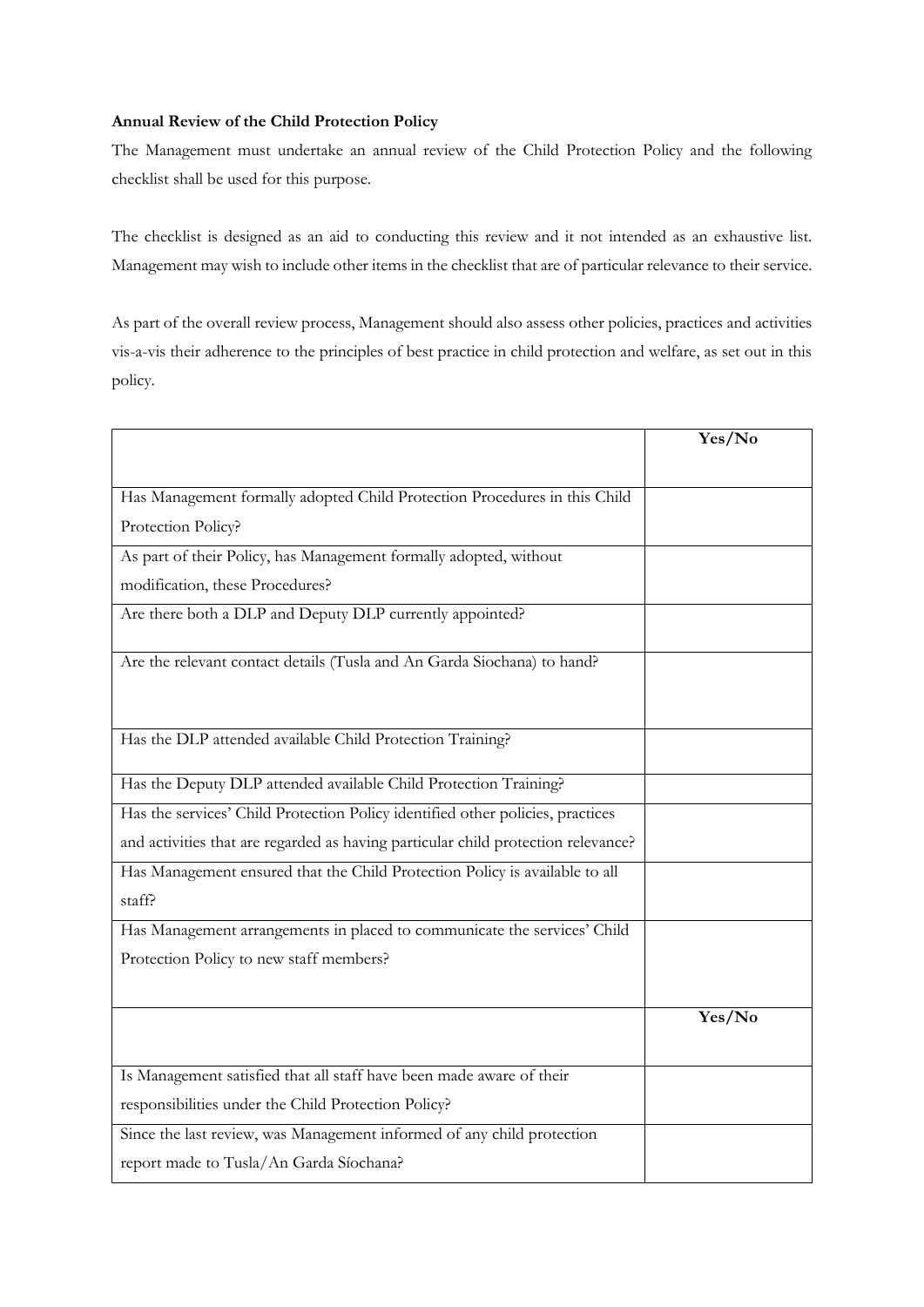## **Annual Review of the Child Protection Policy**

The Management must undertake an annual review of the Child Protection Policy and the following checklist shall be used for this purpose.

The checklist is designed as an aid to conducting this review and it not intended as an exhaustive list. Management may wish to include other items in the checklist that are of particular relevance to their service.

As part of the overall review process, Management should also assess other policies, practices and activities vis-a-vis their adherence to the principles of best practice in child protection and welfare, as set out in this policy.

|                                                                                   | Yes/No |
|-----------------------------------------------------------------------------------|--------|
|                                                                                   |        |
| Has Management formally adopted Child Protection Procedures in this Child         |        |
| Protection Policy?                                                                |        |
| As part of their Policy, has Management formally adopted, without                 |        |
| modification, these Procedures?                                                   |        |
| Are there both a DLP and Deputy DLP currently appointed?                          |        |
| Are the relevant contact details (Tusla and An Garda Siochana) to hand?           |        |
| Has the DLP attended available Child Protection Training?                         |        |
| Has the Deputy DLP attended available Child Protection Training?                  |        |
| Has the services' Child Protection Policy identified other policies, practices    |        |
| and activities that are regarded as having particular child protection relevance? |        |
| Has Management ensured that the Child Protection Policy is available to all       |        |
| staff?                                                                            |        |
| Has Management arrangements in placed to communicate the services' Child          |        |
| Protection Policy to new staff members?                                           |        |
|                                                                                   | Yes/No |
|                                                                                   |        |
| Is Management satisfied that all staff have been made aware of their              |        |
| responsibilities under the Child Protection Policy?                               |        |
| Since the last review, was Management informed of any child protection            |        |
| report made to Tusla/An Garda Síochana?                                           |        |